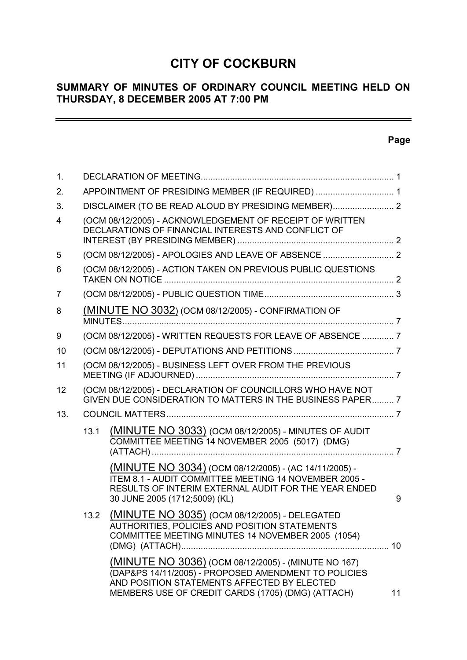# **CITY OF COCKBURN**

# **SUMMARY OF MINUTES OF ORDINARY COUNCIL MEETING HELD ON THURSDAY, 8 DECEMBER 2005 AT 7:00 PM**

# **Page**

 $\overline{\phantom{0}}$ 

| $\mathbf{1}$ . |                                                                                                                 |                                                                                                                                                                                                                 |    |
|----------------|-----------------------------------------------------------------------------------------------------------------|-----------------------------------------------------------------------------------------------------------------------------------------------------------------------------------------------------------------|----|
| 2.             | APPOINTMENT OF PRESIDING MEMBER (IF REQUIRED)  1                                                                |                                                                                                                                                                                                                 |    |
| 3.             |                                                                                                                 | DISCLAIMER (TO BE READ ALOUD BY PRESIDING MEMBER) 2                                                                                                                                                             |    |
| 4              | (OCM 08/12/2005) - ACKNOWLEDGEMENT OF RECEIPT OF WRITTEN<br>DECLARATIONS OF FINANCIAL INTERESTS AND CONFLICT OF |                                                                                                                                                                                                                 |    |
| 5              |                                                                                                                 |                                                                                                                                                                                                                 |    |
| 6              |                                                                                                                 | (OCM 08/12/2005) - ACTION TAKEN ON PREVIOUS PUBLIC QUESTIONS                                                                                                                                                    |    |
| 7              |                                                                                                                 |                                                                                                                                                                                                                 |    |
| 8              |                                                                                                                 | (MINUTE NO 3032) (OCM 08/12/2005) - CONFIRMATION OF                                                                                                                                                             |    |
| 9              |                                                                                                                 | (OCM 08/12/2005) - WRITTEN REQUESTS FOR LEAVE OF ABSENCE  7                                                                                                                                                     |    |
| 10             |                                                                                                                 |                                                                                                                                                                                                                 |    |
| 11             |                                                                                                                 | (OCM 08/12/2005) - BUSINESS LEFT OVER FROM THE PREVIOUS                                                                                                                                                         |    |
| 12             |                                                                                                                 | (OCM 08/12/2005) - DECLARATION OF COUNCILLORS WHO HAVE NOT<br>GIVEN DUE CONSIDERATION TO MATTERS IN THE BUSINESS PAPER 7                                                                                        |    |
| 13.            |                                                                                                                 |                                                                                                                                                                                                                 |    |
|                | 13.1                                                                                                            | (MINUTE NO 3033) (OCM 08/12/2005) - MINUTES OF AUDIT<br>COMMITTEE MEETING 14 NOVEMBER 2005 (5017) (DMG)                                                                                                         |    |
|                |                                                                                                                 | (MINUTE NO 3034) (OCM 08/12/2005) - (AC 14/11/2005) -<br>ITEM 8.1 - AUDIT COMMITTEE MEETING 14 NOVEMBER 2005 -<br>RESULTS OF INTERIM EXTERNAL AUDIT FOR THE YEAR ENDED<br>30 JUNE 2005 (1712;5009) (KL)         | 9  |
|                | 13.2                                                                                                            | (MINUTE NO 3035) (OCM 08/12/2005) - DELEGATED<br>AUTHORITIES, POLICIES AND POSITION STATEMENTS<br>COMMITTEE MEETING MINUTES 14 NOVEMBER 2005 (1054)                                                             |    |
|                |                                                                                                                 | (MINUTE NO 3036) (OCM 08/12/2005) - (MINUTE NO 167)<br>(DAP&PS 14/11/2005) - PROPOSED AMENDMENT TO POLICIES<br>AND POSITION STATEMENTS AFFECTED BY ELECTED<br>MEMBERS USE OF CREDIT CARDS (1705) (DMG) (ATTACH) | 11 |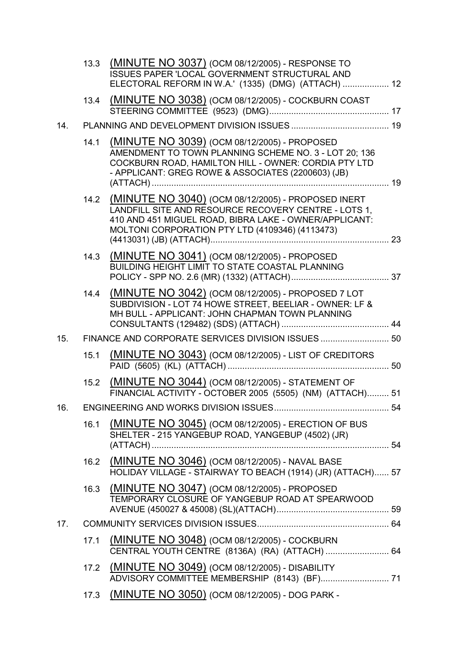|     |      | 13.3 (MINUTE NO 3037) (OCM 08/12/2005) - RESPONSE TO<br>ISSUES PAPER 'LOCAL GOVERNMENT STRUCTURAL AND<br>ELECTORAL REFORM IN W.A.' (1335) (DMG) (ATTACH)  12                                                                 |  |
|-----|------|------------------------------------------------------------------------------------------------------------------------------------------------------------------------------------------------------------------------------|--|
|     |      | 13.4 (MINUTE NO 3038) (OCM 08/12/2005) - COCKBURN COAST                                                                                                                                                                      |  |
| 14. |      |                                                                                                                                                                                                                              |  |
|     | 14.1 | (MINUTE NO 3039) (OCM 08/12/2005) - PROPOSED<br>AMENDMENT TO TOWN PLANNING SCHEME NO. 3 - LOT 20; 136<br>COCKBURN ROAD, HAMILTON HILL - OWNER: CORDIA PTY LTD<br>- APPLICANT: GREG ROWE & ASSOCIATES (2200603) (JB)          |  |
|     |      | 14.2 (MINUTE NO 3040) (OCM 08/12/2005) - PROPOSED INERT<br>LANDFILL SITE AND RESOURCE RECOVERY CENTRE - LOTS 1,<br>410 AND 451 MIGUEL ROAD, BIBRA LAKE - OWNER/APPLICANT:<br>MOLTONI CORPORATION PTY LTD (4109346) (4113473) |  |
|     |      | 14.3 (MINUTE NO 3041) (OCM 08/12/2005) - PROPOSED<br>BUILDING HEIGHT LIMIT TO STATE COASTAL PLANNING                                                                                                                         |  |
|     |      | 14.4 (MINUTE NO 3042) (OCM 08/12/2005) - PROPOSED 7 LOT<br>SUBDIVISION - LOT 74 HOWE STREET, BEELIAR - OWNER: LF &<br>MH BULL - APPLICANT: JOHN CHAPMAN TOWN PLANNING                                                        |  |
| 15. |      | FINANCE AND CORPORATE SERVICES DIVISION ISSUES  50                                                                                                                                                                           |  |
|     | 15.1 | (MINUTE NO 3043) (OCM 08/12/2005) - LIST OF CREDITORS                                                                                                                                                                        |  |
|     | 15.2 | (MINUTE NO 3044) (OCM 08/12/2005) - STATEMENT OF<br>FINANCIAL ACTIVITY - OCTOBER 2005 (5505) (NM) (ATTACH) 51                                                                                                                |  |
| 16. |      |                                                                                                                                                                                                                              |  |
|     | 16.1 | (MINUTE NO 3045) (OCM 08/12/2005) - ERECTION OF BUS<br>SHELTER - 215 YANGEBUP ROAD, YANGEBUP (4502) (JR)                                                                                                                     |  |
|     |      | 16.2 (MINUTE NO 3046) (OCM 08/12/2005) - NAVAL BASE<br>HOLIDAY VILLAGE - STAIRWAY TO BEACH (1914) (JR) (ATTACH) 57                                                                                                           |  |
|     |      | 16.3 (MINUTE NO 3047) (OCM 08/12/2005) - PROPOSED<br>TEMPORARY CLOSURE OF YANGEBUP ROAD AT SPEARWOOD                                                                                                                         |  |
| 17. |      |                                                                                                                                                                                                                              |  |
|     | 17.1 | (MINUTE NO 3048) (OCM 08/12/2005) - COCKBURN<br>CENTRAL YOUTH CENTRE (8136A) (RA) (ATTACH)  64                                                                                                                               |  |
|     | 17.2 | (MINUTE NO 3049) (OCM 08/12/2005) - DISABILITY                                                                                                                                                                               |  |
|     | 17.3 | (MINUTE NO 3050) (OCM 08/12/2005) - DOG PARK -                                                                                                                                                                               |  |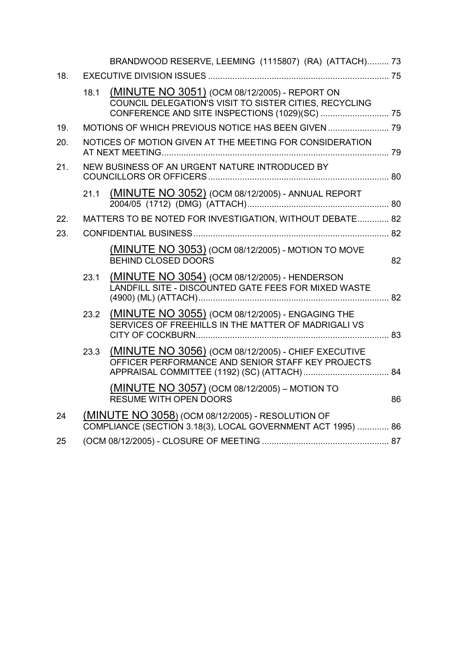|     |      | BRANDWOOD RESERVE, LEEMING (1115807) (RA) (ATTACH) 73                                                            |    |
|-----|------|------------------------------------------------------------------------------------------------------------------|----|
| 18. |      |                                                                                                                  |    |
|     | 18.1 | (MINUTE NO 3051) (OCM 08/12/2005) - REPORT ON<br>COUNCIL DELEGATION'S VISIT TO SISTER CITIES, RECYCLING          |    |
| 19. |      |                                                                                                                  |    |
| 20. |      | NOTICES OF MOTION GIVEN AT THE MEETING FOR CONSIDERATION                                                         |    |
| 21. |      | NEW BUSINESS OF AN URGENT NATURE INTRODUCED BY                                                                   |    |
|     | 21.1 | (MINUTE NO 3052) (OCM 08/12/2005) - ANNUAL REPORT                                                                |    |
| 22. |      | MATTERS TO BE NOTED FOR INVESTIGATION, WITHOUT DEBATE 82                                                         |    |
| 23. |      |                                                                                                                  |    |
|     |      | (MINUTE NO 3053) (OCM 08/12/2005) - MOTION TO MOVE<br>BEHIND CLOSED DOORS                                        | 82 |
|     | 23.1 | (MINUTE NO 3054) (OCM 08/12/2005) - HENDERSON<br>LANDFILL SITE - DISCOUNTED GATE FEES FOR MIXED WASTE            |    |
|     | 23.2 | (MINUTE NO 3055) (OCM 08/12/2005) - ENGAGING THE<br>SERVICES OF FREEHILLS IN THE MATTER OF MADRIGALI VS          |    |
|     | 23.3 | (MINUTE NO 3056) (OCM 08/12/2005) - CHIEF EXECUTIVE<br>OFFICER PERFORMANCE AND SENIOR STAFF KEY PROJECTS         |    |
|     |      | (MINUTE NO 3057) (OCM 08/12/2005) - MOTION TO<br>RESUME WITH OPEN DOORS                                          | 86 |
| 24  |      | (MINUTE NO 3058) (OCM 08/12/2005) - RESOLUTION OF<br>COMPLIANCE (SECTION 3.18(3), LOCAL GOVERNMENT ACT 1995)  86 |    |
| 25  |      |                                                                                                                  |    |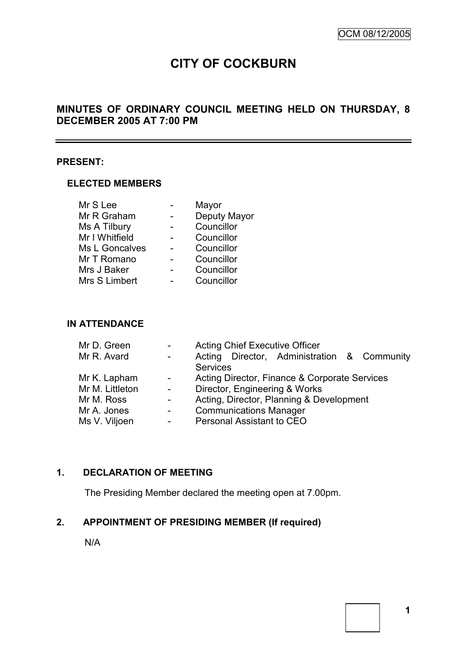$\overline{\phantom{0}}$ 

# **CITY OF COCKBURN**

# **MINUTES OF ORDINARY COUNCIL MEETING HELD ON THURSDAY, 8 DECEMBER 2005 AT 7:00 PM**

#### **PRESENT:**

#### **ELECTED MEMBERS**

| Mr S Lee       | Mayor        |
|----------------|--------------|
| Mr R Graham    | Deputy Mayor |
| Ms A Tilbury   | Councillor   |
| Mr I Whitfield | Councillor   |
| Ms L Goncalves | Councillor   |
| Mr T Romano    | Councillor   |
| Mrs J Baker    | Councillor   |
| Mrs S Limbert  | Councillor   |

## **IN ATTENDANCE**

| Mr D. Green     | $\blacksquare$                           | <b>Acting Chief Executive Officer</b>         |  |  |
|-----------------|------------------------------------------|-----------------------------------------------|--|--|
| Mr R. Avard     | $\sim 100$                               | Acting Director, Administration & Community   |  |  |
|                 |                                          | <b>Services</b>                               |  |  |
| Mr K. Lapham    | $\frac{1}{2} \left( \frac{1}{2} \right)$ | Acting Director, Finance & Corporate Services |  |  |
| Mr M. Littleton | $\omega_{\rm{max}}$                      | Director, Engineering & Works                 |  |  |
| Mr M. Ross      | $\frac{1}{2}$ .                          | Acting, Director, Planning & Development      |  |  |
| Mr A. Jones     | $\blacksquare$                           | <b>Communications Manager</b>                 |  |  |
| Ms V. Viljoen   | $\blacksquare$                           | Personal Assistant to CEO                     |  |  |

# **1. DECLARATION OF MEETING**

The Presiding Member declared the meeting open at 7.00pm.

# **2. APPOINTMENT OF PRESIDING MEMBER (If required)**

N/A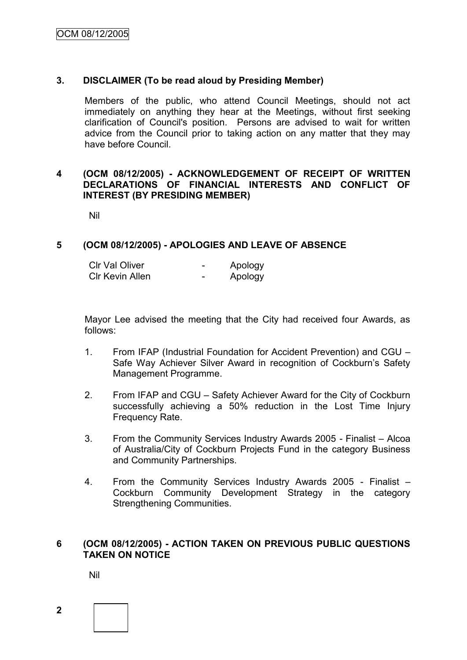## **3. DISCLAIMER (To be read aloud by Presiding Member)**

Members of the public, who attend Council Meetings, should not act immediately on anything they hear at the Meetings, without first seeking clarification of Council's position. Persons are advised to wait for written advice from the Council prior to taking action on any matter that they may have before Council.

#### **4 (OCM 08/12/2005) - ACKNOWLEDGEMENT OF RECEIPT OF WRITTEN DECLARATIONS OF FINANCIAL INTERESTS AND CONFLICT OF INTEREST (BY PRESIDING MEMBER)**

Nil

#### **5 (OCM 08/12/2005) - APOLOGIES AND LEAVE OF ABSENCE**

| <b>CIr Val Oliver</b>  | Apology |
|------------------------|---------|
| <b>CIr Kevin Allen</b> | Apology |

Mayor Lee advised the meeting that the City had received four Awards, as follows:

- 1. From IFAP (Industrial Foundation for Accident Prevention) and CGU Safe Way Achiever Silver Award in recognition of Cockburn's Safety Management Programme.
- 2. From IFAP and CGU Safety Achiever Award for the City of Cockburn successfully achieving a 50% reduction in the Lost Time Injury Frequency Rate.
- 3. From the Community Services Industry Awards 2005 Finalist Alcoa of Australia/City of Cockburn Projects Fund in the category Business and Community Partnerships.
- 4. From the Community Services Industry Awards 2005 Finalist Cockburn Community Development Strategy in the category Strengthening Communities.

## **6 (OCM 08/12/2005) - ACTION TAKEN ON PREVIOUS PUBLIC QUESTIONS TAKEN ON NOTICE**

Nil

**2**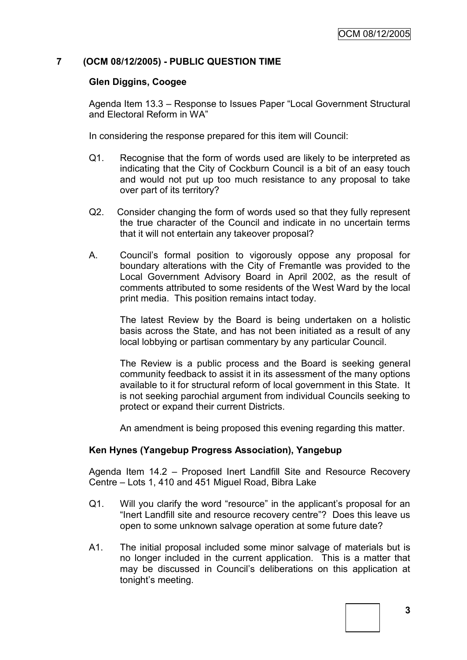## **7 (OCM 08/12/2005) - PUBLIC QUESTION TIME**

#### **Glen Diggins, Coogee**

Agenda Item 13.3 – Response to Issues Paper "Local Government Structural and Electoral Reform in WA"

In considering the response prepared for this item will Council:

- Q1. Recognise that the form of words used are likely to be interpreted as indicating that the City of Cockburn Council is a bit of an easy touch and would not put up too much resistance to any proposal to take over part of its territory?
- Q2. Consider changing the form of words used so that they fully represent the true character of the Council and indicate in no uncertain terms that it will not entertain any takeover proposal?
- A. Council's formal position to vigorously oppose any proposal for boundary alterations with the City of Fremantle was provided to the Local Government Advisory Board in April 2002, as the result of comments attributed to some residents of the West Ward by the local print media. This position remains intact today.

The latest Review by the Board is being undertaken on a holistic basis across the State, and has not been initiated as a result of any local lobbying or partisan commentary by any particular Council.

The Review is a public process and the Board is seeking general community feedback to assist it in its assessment of the many options available to it for structural reform of local government in this State. It is not seeking parochial argument from individual Councils seeking to protect or expand their current Districts.

An amendment is being proposed this evening regarding this matter.

#### **Ken Hynes (Yangebup Progress Association), Yangebup**

Agenda Item 14.2 – Proposed Inert Landfill Site and Resource Recovery Centre – Lots 1, 410 and 451 Miguel Road, Bibra Lake

- Q1. Will you clarify the word "resource" in the applicant's proposal for an "Inert Landfill site and resource recovery centre"? Does this leave us open to some unknown salvage operation at some future date?
- A1. The initial proposal included some minor salvage of materials but is no longer included in the current application. This is a matter that may be discussed in Council's deliberations on this application at tonight's meeting.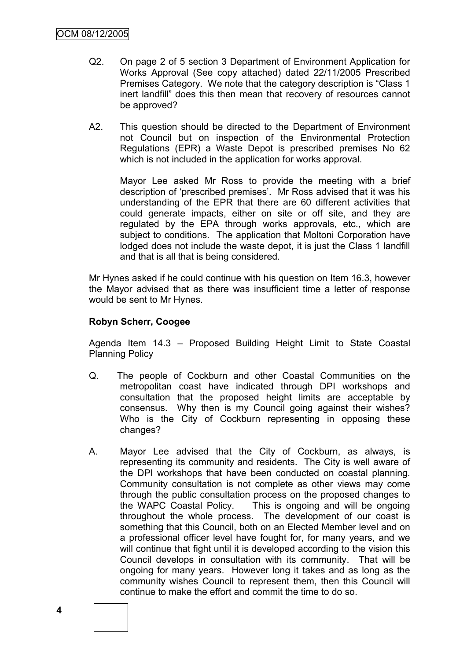- Q2. On page 2 of 5 section 3 Department of Environment Application for Works Approval (See copy attached) dated 22/11/2005 Prescribed Premises Category. We note that the category description is "Class 1 inert landfill" does this then mean that recovery of resources cannot be approved?
- A2. This question should be directed to the Department of Environment not Council but on inspection of the Environmental Protection Regulations (EPR) a Waste Depot is prescribed premises No 62 which is not included in the application for works approval.

Mayor Lee asked Mr Ross to provide the meeting with a brief description of 'prescribed premises'. Mr Ross advised that it was his understanding of the EPR that there are 60 different activities that could generate impacts, either on site or off site, and they are regulated by the EPA through works approvals, etc., which are subject to conditions. The application that Moltoni Corporation have lodged does not include the waste depot, it is just the Class 1 landfill and that is all that is being considered.

Mr Hynes asked if he could continue with his question on Item 16.3, however the Mayor advised that as there was insufficient time a letter of response would be sent to Mr Hynes.

## **Robyn Scherr, Coogee**

Agenda Item 14.3 – Proposed Building Height Limit to State Coastal Planning Policy

- Q. The people of Cockburn and other Coastal Communities on the metropolitan coast have indicated through DPI workshops and consultation that the proposed height limits are acceptable by consensus. Why then is my Council going against their wishes? Who is the City of Cockburn representing in opposing these changes?
- A. Mayor Lee advised that the City of Cockburn, as always, is representing its community and residents. The City is well aware of the DPI workshops that have been conducted on coastal planning. Community consultation is not complete as other views may come through the public consultation process on the proposed changes to the WAPC Coastal Policy. This is ongoing and will be ongoing throughout the whole process. The development of our coast is something that this Council, both on an Elected Member level and on a professional officer level have fought for, for many years, and we will continue that fight until it is developed according to the vision this Council develops in consultation with its community. That will be ongoing for many years. However long it takes and as long as the community wishes Council to represent them, then this Council will continue to make the effort and commit the time to do so.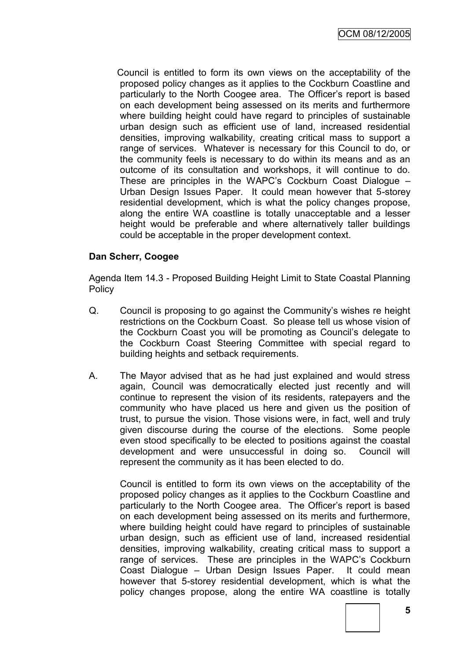Council is entitled to form its own views on the acceptability of the proposed policy changes as it applies to the Cockburn Coastline and particularly to the North Coogee area. The Officer's report is based on each development being assessed on its merits and furthermore where building height could have regard to principles of sustainable urban design such as efficient use of land, increased residential densities, improving walkability, creating critical mass to support a range of services. Whatever is necessary for this Council to do, or the community feels is necessary to do within its means and as an outcome of its consultation and workshops, it will continue to do. These are principles in the WAPC's Cockburn Coast Dialogue – Urban Design Issues Paper. It could mean however that 5-storey residential development, which is what the policy changes propose, along the entire WA coastline is totally unacceptable and a lesser height would be preferable and where alternatively taller buildings could be acceptable in the proper development context.

## **Dan Scherr, Coogee**

Agenda Item 14.3 - Proposed Building Height Limit to State Coastal Planning **Policy** 

- Q. Council is proposing to go against the Community's wishes re height restrictions on the Cockburn Coast. So please tell us whose vision of the Cockburn Coast you will be promoting as Council's delegate to the Cockburn Coast Steering Committee with special regard to building heights and setback requirements.
- A. The Mayor advised that as he had just explained and would stress again, Council was democratically elected just recently and will continue to represent the vision of its residents, ratepayers and the community who have placed us here and given us the position of trust, to pursue the vision. Those visions were, in fact, well and truly given discourse during the course of the elections. Some people even stood specifically to be elected to positions against the coastal development and were unsuccessful in doing so. Council will represent the community as it has been elected to do.

Council is entitled to form its own views on the acceptability of the proposed policy changes as it applies to the Cockburn Coastline and particularly to the North Coogee area. The Officer's report is based on each development being assessed on its merits and furthermore, where building height could have regard to principles of sustainable urban design, such as efficient use of land, increased residential densities, improving walkability, creating critical mass to support a range of services. These are principles in the WAPC's Cockburn Coast Dialogue – Urban Design Issues Paper. It could mean however that 5-storey residential development, which is what the policy changes propose, along the entire WA coastline is totally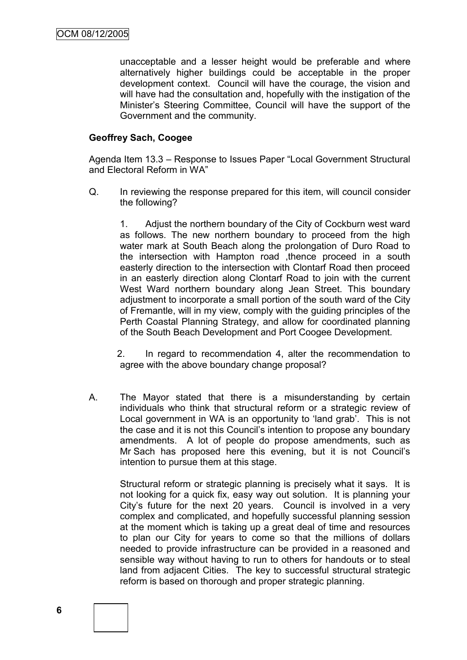unacceptable and a lesser height would be preferable and where alternatively higher buildings could be acceptable in the proper development context. Council will have the courage, the vision and will have had the consultation and, hopefully with the instigation of the Minister's Steering Committee, Council will have the support of the Government and the community.

## **Geoffrey Sach, Coogee**

Agenda Item 13.3 – Response to Issues Paper "Local Government Structural and Electoral Reform in WA"

Q. In reviewing the response prepared for this item, will council consider the following?

1. Adjust the northern boundary of the City of Cockburn west ward as follows. The new northern boundary to proceed from the high water mark at South Beach along the prolongation of Duro Road to the intersection with Hampton road ,thence proceed in a south easterly direction to the intersection with Clontarf Road then proceed in an easterly direction along Clontarf Road to join with the current West Ward northern boundary along Jean Street. This boundary adjustment to incorporate a small portion of the south ward of the City of Fremantle, will in my view, comply with the guiding principles of the Perth Coastal Planning Strategy, and allow for coordinated planning of the South Beach Development and Port Coogee Development.

2. In regard to recommendation 4, alter the recommendation to agree with the above boundary change proposal?

A. The Mayor stated that there is a misunderstanding by certain individuals who think that structural reform or a strategic review of Local government in WA is an opportunity to 'land grab'. This is not the case and it is not this Council's intention to propose any boundary amendments. A lot of people do propose amendments, such as Mr Sach has proposed here this evening, but it is not Council's intention to pursue them at this stage.

Structural reform or strategic planning is precisely what it says. It is not looking for a quick fix, easy way out solution. It is planning your City's future for the next 20 years. Council is involved in a very complex and complicated, and hopefully successful planning session at the moment which is taking up a great deal of time and resources to plan our City for years to come so that the millions of dollars needed to provide infrastructure can be provided in a reasoned and sensible way without having to run to others for handouts or to steal land from adjacent Cities. The key to successful structural strategic reform is based on thorough and proper strategic planning.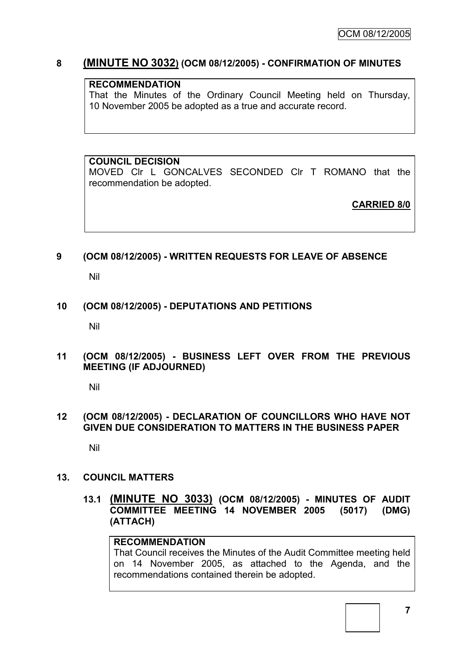# **8 (MINUTE NO 3032) (OCM 08/12/2005) - CONFIRMATION OF MINUTES**

#### **RECOMMENDATION**

That the Minutes of the Ordinary Council Meeting held on Thursday, 10 November 2005 be adopted as a true and accurate record.

# **COUNCIL DECISION**

MOVED Clr L GONCALVES SECONDED Clr T ROMANO that the recommendation be adopted.

**CARRIED 8/0**

#### **9 (OCM 08/12/2005) - WRITTEN REQUESTS FOR LEAVE OF ABSENCE**

Nil

#### **10 (OCM 08/12/2005) - DEPUTATIONS AND PETITIONS**

Nil

**11 (OCM 08/12/2005) - BUSINESS LEFT OVER FROM THE PREVIOUS MEETING (IF ADJOURNED)**

Nil

#### **12 (OCM 08/12/2005) - DECLARATION OF COUNCILLORS WHO HAVE NOT GIVEN DUE CONSIDERATION TO MATTERS IN THE BUSINESS PAPER**

Nil

#### **13. COUNCIL MATTERS**

**13.1 (MINUTE NO 3033) (OCM 08/12/2005) - MINUTES OF AUDIT COMMITTEE MEETING 14 NOVEMBER 2005 (5017) (DMG) (ATTACH)**

#### **RECOMMENDATION**

That Council receives the Minutes of the Audit Committee meeting held on 14 November 2005, as attached to the Agenda, and the recommendations contained therein be adopted.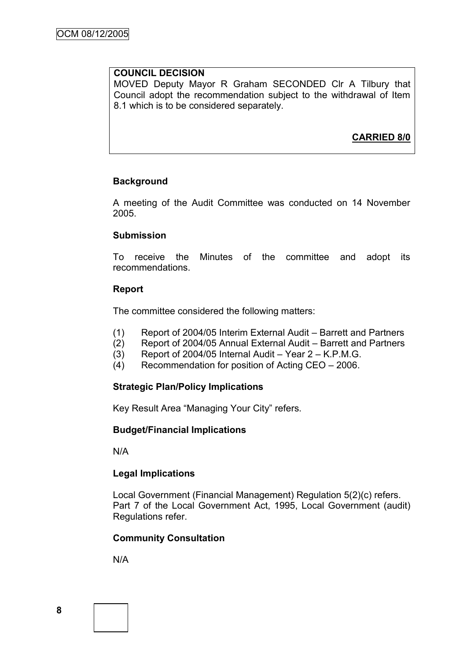#### **COUNCIL DECISION**

MOVED Deputy Mayor R Graham SECONDED Clr A Tilbury that Council adopt the recommendation subject to the withdrawal of Item 8.1 which is to be considered separately.

**CARRIED 8/0**

## **Background**

A meeting of the Audit Committee was conducted on 14 November 2005.

#### **Submission**

To receive the Minutes of the committee and adopt its recommendations.

#### **Report**

The committee considered the following matters:

- (1) Report of 2004/05 Interim External Audit Barrett and Partners
- (2) Report of 2004/05 Annual External Audit Barrett and Partners
- (3) Report of 2004/05 Internal Audit Year 2 K.P.M.G.
- (4) Recommendation for position of Acting CEO 2006.

#### **Strategic Plan/Policy Implications**

Key Result Area "Managing Your City" refers.

#### **Budget/Financial Implications**

N/A

#### **Legal Implications**

Local Government (Financial Management) Regulation 5(2)(c) refers. Part 7 of the Local Government Act, 1995, Local Government (audit) Regulations refer.

#### **Community Consultation**

N/A

**8**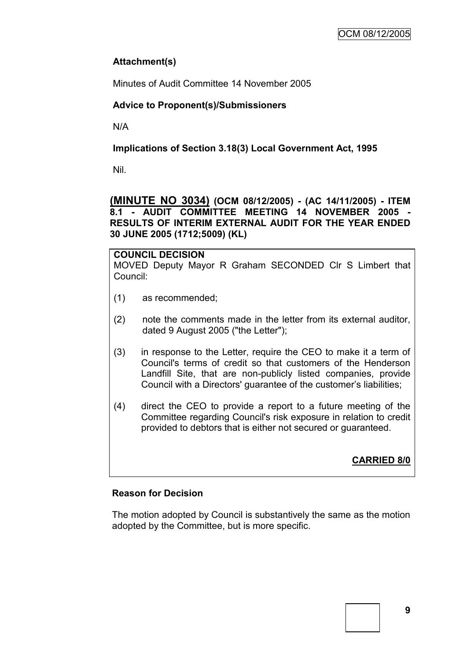# **Attachment(s)**

Minutes of Audit Committee 14 November 2005

# **Advice to Proponent(s)/Submissioners**

N/A

## **Implications of Section 3.18(3) Local Government Act, 1995**

Nil.

**(MINUTE NO 3034) (OCM 08/12/2005) - (AC 14/11/2005) - ITEM 8.1 - AUDIT COMMITTEE MEETING 14 NOVEMBER 2005 - RESULTS OF INTERIM EXTERNAL AUDIT FOR THE YEAR ENDED 30 JUNE 2005 (1712;5009) (KL)**

**COUNCIL DECISION** MOVED Deputy Mayor R Graham SECONDED Clr S Limbert that Council:

- (1) as recommended;
- (2) note the comments made in the letter from its external auditor, dated 9 August 2005 ("the Letter");
- (3) in response to the Letter, require the CEO to make it a term of Council's terms of credit so that customers of the Henderson Landfill Site, that are non-publicly listed companies, provide Council with a Directors' guarantee of the customer's liabilities;
- (4) direct the CEO to provide a report to a future meeting of the Committee regarding Council's risk exposure in relation to credit provided to debtors that is either not secured or guaranteed.

**CARRIED 8/0**

# **Reason for Decision**

The motion adopted by Council is substantively the same as the motion adopted by the Committee, but is more specific.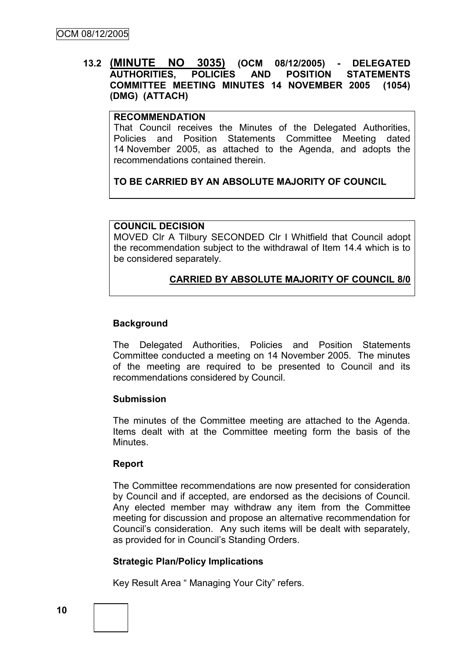## **13.2 (MINUTE NO 3035) (OCM 08/12/2005) - DELEGATED AUTHORITIES, POLICIES AND POSITION STATEMENTS COMMITTEE MEETING MINUTES 14 NOVEMBER 2005 (1054) (DMG) (ATTACH)**

#### **RECOMMENDATION**

That Council receives the Minutes of the Delegated Authorities, Policies and Position Statements Committee Meeting dated 14 November 2005, as attached to the Agenda, and adopts the recommendations contained therein.

# **TO BE CARRIED BY AN ABSOLUTE MAJORITY OF COUNCIL**

#### **COUNCIL DECISION**

MOVED Clr A Tilbury SECONDED Clr I Whitfield that Council adopt the recommendation subject to the withdrawal of Item 14.4 which is to be considered separately.

# **CARRIED BY ABSOLUTE MAJORITY OF COUNCIL 8/0**

#### **Background**

The Delegated Authorities, Policies and Position Statements Committee conducted a meeting on 14 November 2005. The minutes of the meeting are required to be presented to Council and its recommendations considered by Council.

#### **Submission**

The minutes of the Committee meeting are attached to the Agenda. Items dealt with at the Committee meeting form the basis of the Minutes.

#### **Report**

The Committee recommendations are now presented for consideration by Council and if accepted, are endorsed as the decisions of Council. Any elected member may withdraw any item from the Committee meeting for discussion and propose an alternative recommendation for Council's consideration. Any such items will be dealt with separately, as provided for in Council's Standing Orders.

#### **Strategic Plan/Policy Implications**

Key Result Area " Managing Your City" refers.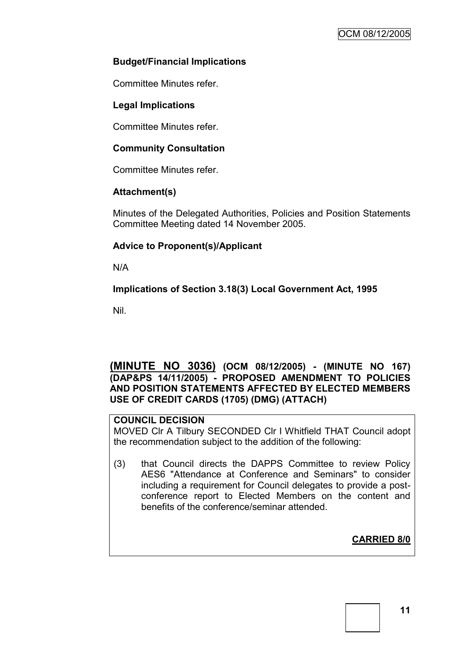## **Budget/Financial Implications**

Committee Minutes refer.

## **Legal Implications**

Committee Minutes refer.

#### **Community Consultation**

Committee Minutes refer.

#### **Attachment(s)**

Minutes of the Delegated Authorities, Policies and Position Statements Committee Meeting dated 14 November 2005.

## **Advice to Proponent(s)/Applicant**

N/A

#### **Implications of Section 3.18(3) Local Government Act, 1995**

Nil.

### **(MINUTE NO 3036) (OCM 08/12/2005) - (MINUTE NO 167) (DAP&PS 14/11/2005) - PROPOSED AMENDMENT TO POLICIES AND POSITION STATEMENTS AFFECTED BY ELECTED MEMBERS USE OF CREDIT CARDS (1705) (DMG) (ATTACH)**

#### **COUNCIL DECISION**

MOVED Clr A Tilbury SECONDED Clr I Whitfield THAT Council adopt the recommendation subject to the addition of the following:

(3) that Council directs the DAPPS Committee to review Policy AES6 "Attendance at Conference and Seminars" to consider including a requirement for Council delegates to provide a postconference report to Elected Members on the content and benefits of the conference/seminar attended.

# **CARRIED 8/0**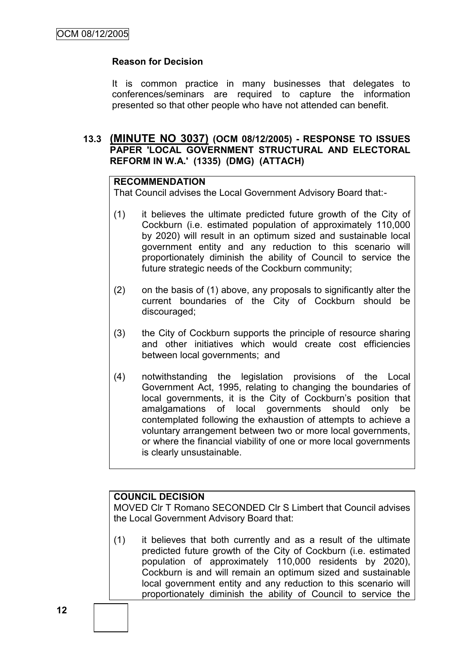## **Reason for Decision**

It is common practice in many businesses that delegates to conferences/seminars are required to capture the information presented so that other people who have not attended can benefit.

## **13.3 (MINUTE NO 3037) (OCM 08/12/2005) - RESPONSE TO ISSUES PAPER 'LOCAL GOVERNMENT STRUCTURAL AND ELECTORAL REFORM IN W.A.' (1335) (DMG) (ATTACH)**

#### **RECOMMENDATION**

That Council advises the Local Government Advisory Board that:-

- (1) it believes the ultimate predicted future growth of the City of Cockburn (i.e. estimated population of approximately 110,000 by 2020) will result in an optimum sized and sustainable local government entity and any reduction to this scenario will proportionately diminish the ability of Council to service the future strategic needs of the Cockburn community;
- (2) on the basis of (1) above, any proposals to significantly alter the current boundaries of the City of Cockburn should be discouraged;
- (3) the City of Cockburn supports the principle of resource sharing and other initiatives which would create cost efficiencies between local governments; and
- (4) notwithstanding the legislation provisions of the Local Government Act, 1995, relating to changing the boundaries of local governments, it is the City of Cockburn's position that amalgamations of local governments should only be contemplated following the exhaustion of attempts to achieve a voluntary arrangement between two or more local governments, or where the financial viability of one or more local governments is clearly unsustainable.

#### **COUNCIL DECISION**

MOVED Clr T Romano SECONDED Clr S Limbert that Council advises the Local Government Advisory Board that:

(1) it believes that both currently and as a result of the ultimate predicted future growth of the City of Cockburn (i.e. estimated population of approximately 110,000 residents by 2020), Cockburn is and will remain an optimum sized and sustainable local government entity and any reduction to this scenario will proportionately diminish the ability of Council to service the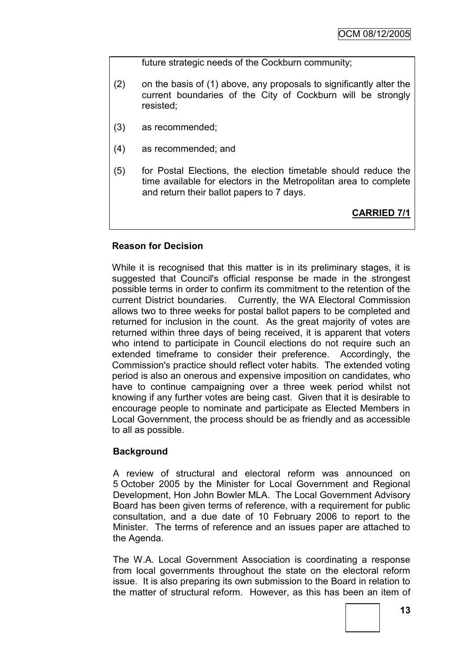future strategic needs of the Cockburn community;

- (2) on the basis of (1) above, any proposals to significantly alter the current boundaries of the City of Cockburn will be strongly resisted;
- (3) as recommended;
- (4) as recommended; and
- (5) for Postal Elections, the election timetable should reduce the time available for electors in the Metropolitan area to complete and return their ballot papers to 7 days.

**CARRIED 7/1**

## **Reason for Decision**

While it is recognised that this matter is in its preliminary stages, it is suggested that Council's official response be made in the strongest possible terms in order to confirm its commitment to the retention of the current District boundaries. Currently, the WA Electoral Commission allows two to three weeks for postal ballot papers to be completed and returned for inclusion in the count. As the great majority of votes are returned within three days of being received, it is apparent that voters who intend to participate in Council elections do not require such an extended timeframe to consider their preference. Accordingly, the Commission's practice should reflect voter habits. The extended voting period is also an onerous and expensive imposition on candidates, who have to continue campaigning over a three week period whilst not knowing if any further votes are being cast. Given that it is desirable to encourage people to nominate and participate as Elected Members in Local Government, the process should be as friendly and as accessible to all as possible.

#### **Background**

A review of structural and electoral reform was announced on 5 October 2005 by the Minister for Local Government and Regional Development, Hon John Bowler MLA. The Local Government Advisory Board has been given terms of reference, with a requirement for public consultation, and a due date of 10 February 2006 to report to the Minister. The terms of reference and an issues paper are attached to the Agenda.

The W.A. Local Government Association is coordinating a response from local governments throughout the state on the electoral reform issue. It is also preparing its own submission to the Board in relation to the matter of structural reform. However, as this has been an item of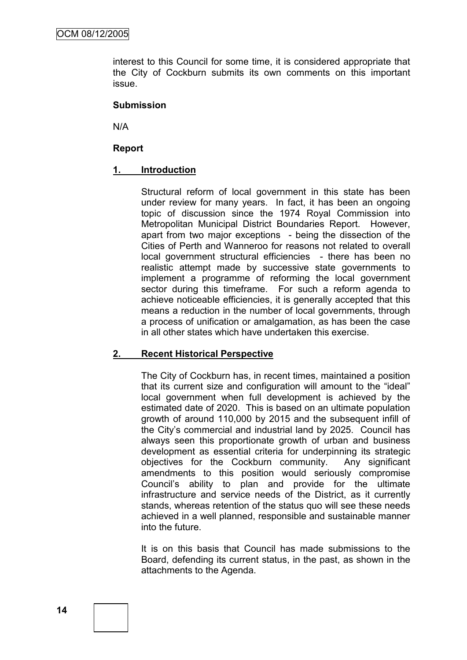interest to this Council for some time, it is considered appropriate that the City of Cockburn submits its own comments on this important issue.

#### **Submission**

N/A

#### **Report**

#### **1. Introduction**

Structural reform of local government in this state has been under review for many years. In fact, it has been an ongoing topic of discussion since the 1974 Royal Commission into Metropolitan Municipal District Boundaries Report. However, apart from two major exceptions - being the dissection of the Cities of Perth and Wanneroo for reasons not related to overall local government structural efficiencies - there has been no realistic attempt made by successive state governments to implement a programme of reforming the local government sector during this timeframe. For such a reform agenda to achieve noticeable efficiencies, it is generally accepted that this means a reduction in the number of local governments, through a process of unification or amalgamation, as has been the case in all other states which have undertaken this exercise.

#### **2. Recent Historical Perspective**

The City of Cockburn has, in recent times, maintained a position that its current size and configuration will amount to the "ideal" local government when full development is achieved by the estimated date of 2020. This is based on an ultimate population growth of around 110,000 by 2015 and the subsequent infill of the City's commercial and industrial land by 2025. Council has always seen this proportionate growth of urban and business development as essential criteria for underpinning its strategic objectives for the Cockburn community. Any significant amendments to this position would seriously compromise Council's ability to plan and provide for the ultimate infrastructure and service needs of the District, as it currently stands, whereas retention of the status quo will see these needs achieved in a well planned, responsible and sustainable manner into the future.

It is on this basis that Council has made submissions to the Board, defending its current status, in the past, as shown in the attachments to the Agenda.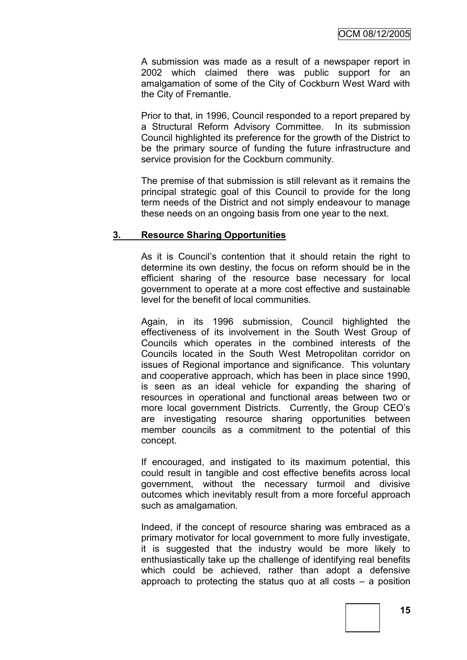A submission was made as a result of a newspaper report in 2002 which claimed there was public support for an amalgamation of some of the City of Cockburn West Ward with the City of Fremantle.

Prior to that, in 1996, Council responded to a report prepared by a Structural Reform Advisory Committee. In its submission Council highlighted its preference for the growth of the District to be the primary source of funding the future infrastructure and service provision for the Cockburn community.

The premise of that submission is still relevant as it remains the principal strategic goal of this Council to provide for the long term needs of the District and not simply endeavour to manage these needs on an ongoing basis from one year to the next.

#### **3. Resource Sharing Opportunities**

As it is Council's contention that it should retain the right to determine its own destiny, the focus on reform should be in the efficient sharing of the resource base necessary for local government to operate at a more cost effective and sustainable level for the benefit of local communities.

Again, in its 1996 submission, Council highlighted the effectiveness of its involvement in the South West Group of Councils which operates in the combined interests of the Councils located in the South West Metropolitan corridor on issues of Regional importance and significance. This voluntary and cooperative approach, which has been in place since 1990, is seen as an ideal vehicle for expanding the sharing of resources in operational and functional areas between two or more local government Districts. Currently, the Group CEO's are investigating resource sharing opportunities between member councils as a commitment to the potential of this concept.

If encouraged, and instigated to its maximum potential, this could result in tangible and cost effective benefits across local government, without the necessary turmoil and divisive outcomes which inevitably result from a more forceful approach such as amalgamation.

Indeed, if the concept of resource sharing was embraced as a primary motivator for local government to more fully investigate, it is suggested that the industry would be more likely to enthusiastically take up the challenge of identifying real benefits which could be achieved, rather than adopt a defensive approach to protecting the status quo at all costs – a position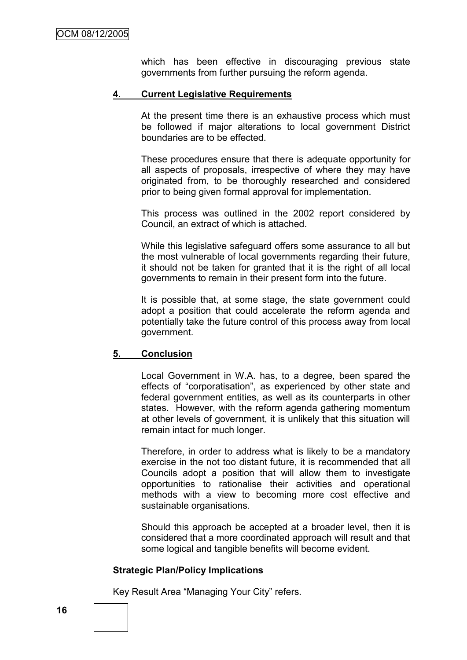which has been effective in discouraging previous state governments from further pursuing the reform agenda.

#### **4. Current Legislative Requirements**

At the present time there is an exhaustive process which must be followed if major alterations to local government District boundaries are to be effected.

These procedures ensure that there is adequate opportunity for all aspects of proposals, irrespective of where they may have originated from, to be thoroughly researched and considered prior to being given formal approval for implementation.

This process was outlined in the 2002 report considered by Council, an extract of which is attached.

While this legislative safeguard offers some assurance to all but the most vulnerable of local governments regarding their future, it should not be taken for granted that it is the right of all local governments to remain in their present form into the future.

It is possible that, at some stage, the state government could adopt a position that could accelerate the reform agenda and potentially take the future control of this process away from local government.

#### **5. Conclusion**

Local Government in W.A. has, to a degree, been spared the effects of "corporatisation", as experienced by other state and federal government entities, as well as its counterparts in other states. However, with the reform agenda gathering momentum at other levels of government, it is unlikely that this situation will remain intact for much longer.

Therefore, in order to address what is likely to be a mandatory exercise in the not too distant future, it is recommended that all Councils adopt a position that will allow them to investigate opportunities to rationalise their activities and operational methods with a view to becoming more cost effective and sustainable organisations.

Should this approach be accepted at a broader level, then it is considered that a more coordinated approach will result and that some logical and tangible benefits will become evident.

#### **Strategic Plan/Policy Implications**

Key Result Area "Managing Your City" refers.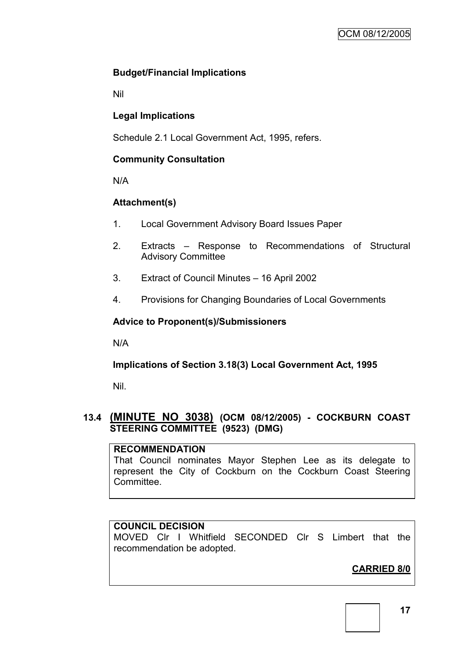## **Budget/Financial Implications**

Nil

# **Legal Implications**

Schedule 2.1 Local Government Act, 1995, refers.

## **Community Consultation**

N/A

# **Attachment(s)**

- 1. Local Government Advisory Board Issues Paper
- 2. Extracts Response to Recommendations of Structural Advisory Committee
- 3. Extract of Council Minutes 16 April 2002
- 4. Provisions for Changing Boundaries of Local Governments

## **Advice to Proponent(s)/Submissioners**

N/A

# **Implications of Section 3.18(3) Local Government Act, 1995**

Nil.

# **13.4 (MINUTE NO 3038) (OCM 08/12/2005) - COCKBURN COAST STEERING COMMITTEE (9523) (DMG)**

#### **RECOMMENDATION**

That Council nominates Mayor Stephen Lee as its delegate to represent the City of Cockburn on the Cockburn Coast Steering Committee.

#### **COUNCIL DECISION**

MOVED Clr I Whitfield SECONDED Clr S Limbert that the recommendation be adopted.

# **CARRIED 8/0**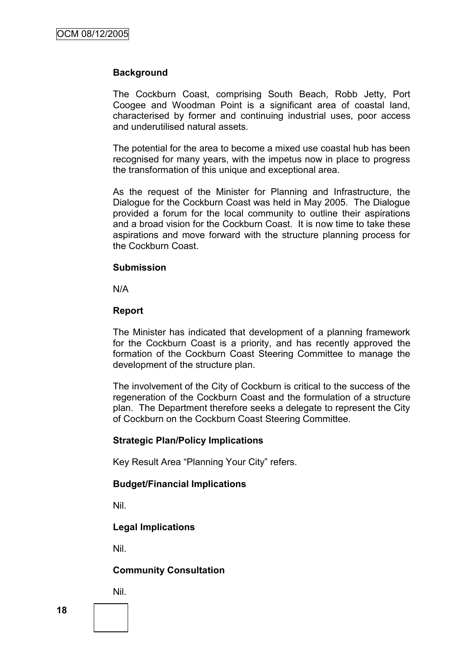#### **Background**

The Cockburn Coast, comprising South Beach, Robb Jetty, Port Coogee and Woodman Point is a significant area of coastal land, characterised by former and continuing industrial uses, poor access and underutilised natural assets.

The potential for the area to become a mixed use coastal hub has been recognised for many years, with the impetus now in place to progress the transformation of this unique and exceptional area.

As the request of the Minister for Planning and Infrastructure, the Dialogue for the Cockburn Coast was held in May 2005. The Dialogue provided a forum for the local community to outline their aspirations and a broad vision for the Cockburn Coast. It is now time to take these aspirations and move forward with the structure planning process for the Cockburn Coast.

#### **Submission**

N/A

#### **Report**

The Minister has indicated that development of a planning framework for the Cockburn Coast is a priority, and has recently approved the formation of the Cockburn Coast Steering Committee to manage the development of the structure plan.

The involvement of the City of Cockburn is critical to the success of the regeneration of the Cockburn Coast and the formulation of a structure plan. The Department therefore seeks a delegate to represent the City of Cockburn on the Cockburn Coast Steering Committee.

#### **Strategic Plan/Policy Implications**

Key Result Area "Planning Your City" refers.

#### **Budget/Financial Implications**

Nil.

#### **Legal Implications**

Nil.

#### **Community Consultation**

Nil.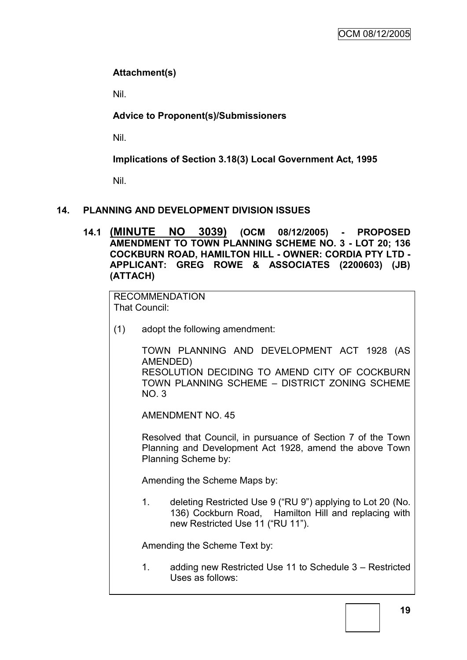# **Attachment(s)**

Nil.

# **Advice to Proponent(s)/Submissioners**

Nil.

# **Implications of Section 3.18(3) Local Government Act, 1995**

Nil.

# **14. PLANNING AND DEVELOPMENT DIVISION ISSUES**

**14.1 (MINUTE NO 3039) (OCM 08/12/2005) - PROPOSED AMENDMENT TO TOWN PLANNING SCHEME NO. 3 - LOT 20; 136 COCKBURN ROAD, HAMILTON HILL - OWNER: CORDIA PTY LTD - APPLICANT: GREG ROWE & ASSOCIATES (2200603) (JB) (ATTACH)**

RECOMMENDATION That Council:

(1) adopt the following amendment:

TOWN PLANNING AND DEVELOPMENT ACT 1928 (AS AMENDED) RESOLUTION DECIDING TO AMEND CITY OF COCKBURN TOWN PLANNING SCHEME – DISTRICT ZONING SCHEME  $NO<sub>3</sub>$ 

AMENDMENT NO. 45

Resolved that Council, in pursuance of Section 7 of the Town Planning and Development Act 1928, amend the above Town Planning Scheme by:

Amending the Scheme Maps by:

1. deleting Restricted Use 9 ("RU 9") applying to Lot 20 (No. 136) Cockburn Road, Hamilton Hill and replacing with new Restricted Use 11 ("RU 11").

Amending the Scheme Text by:

1. adding new Restricted Use 11 to Schedule 3 – Restricted Uses as follows: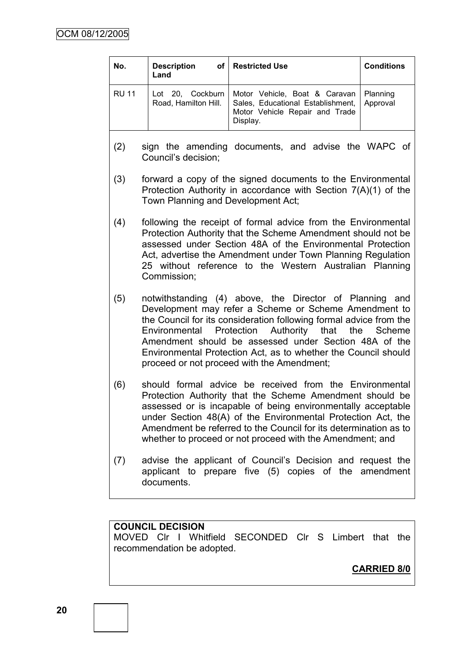| No.          | <b>Description</b><br>of <sub>1</sub><br>Land                                                                                                                                                                                                                                                                                                                                                                         | <b>Restricted Use</b>                                                                                                                                                                                                                                                                                                                                                                | <b>Conditions</b>    |  |
|--------------|-----------------------------------------------------------------------------------------------------------------------------------------------------------------------------------------------------------------------------------------------------------------------------------------------------------------------------------------------------------------------------------------------------------------------|--------------------------------------------------------------------------------------------------------------------------------------------------------------------------------------------------------------------------------------------------------------------------------------------------------------------------------------------------------------------------------------|----------------------|--|
| <b>RU 11</b> | Lot 20, Cockburn<br>Road, Hamilton Hill.                                                                                                                                                                                                                                                                                                                                                                              | Motor Vehicle, Boat & Caravan<br>Sales, Educational Establishment,<br>Motor Vehicle Repair and Trade<br>Display.                                                                                                                                                                                                                                                                     | Planning<br>Approval |  |
| (2)          | Council's decision;                                                                                                                                                                                                                                                                                                                                                                                                   | sign the amending documents, and advise the WAPC of                                                                                                                                                                                                                                                                                                                                  |                      |  |
| (3)          | forward a copy of the signed documents to the Environmental<br>Protection Authority in accordance with Section $7(A)(1)$ of the<br>Town Planning and Development Act;                                                                                                                                                                                                                                                 |                                                                                                                                                                                                                                                                                                                                                                                      |                      |  |
| (4)          | following the receipt of formal advice from the Environmental<br>Protection Authority that the Scheme Amendment should not be<br>assessed under Section 48A of the Environmental Protection<br>Act, advertise the Amendment under Town Planning Regulation<br>25 without reference to the Western Australian Planning<br>Commission;                                                                                  |                                                                                                                                                                                                                                                                                                                                                                                      |                      |  |
| (5)          | notwithstanding (4) above, the Director of Planning and<br>Development may refer a Scheme or Scheme Amendment to<br>the Council for its consideration following formal advice from the<br>Environmental Protection Authority that the Scheme<br>Amendment should be assessed under Section 48A of the<br>Environmental Protection Act, as to whether the Council should<br>proceed or not proceed with the Amendment; |                                                                                                                                                                                                                                                                                                                                                                                      |                      |  |
| (6)          |                                                                                                                                                                                                                                                                                                                                                                                                                       | should formal advice be received from the Environmental<br>Protection Authority that the Scheme Amendment should be<br>assessed or is incapable of being environmentally acceptable<br>under Section 48(A) of the Environmental Protection Act, the<br>Amendment be referred to the Council for its determination as to<br>whether to proceed or not proceed with the Amendment; and |                      |  |
| (7)          | documents.                                                                                                                                                                                                                                                                                                                                                                                                            | advise the applicant of Council's Decision and request the<br>applicant to prepare five (5) copies of the                                                                                                                                                                                                                                                                            | amendment            |  |

# **COUNCIL DECISION**

MOVED Clr I Whitfield SECONDED Clr S Limbert that the recommendation be adopted.

**CARRIED 8/0**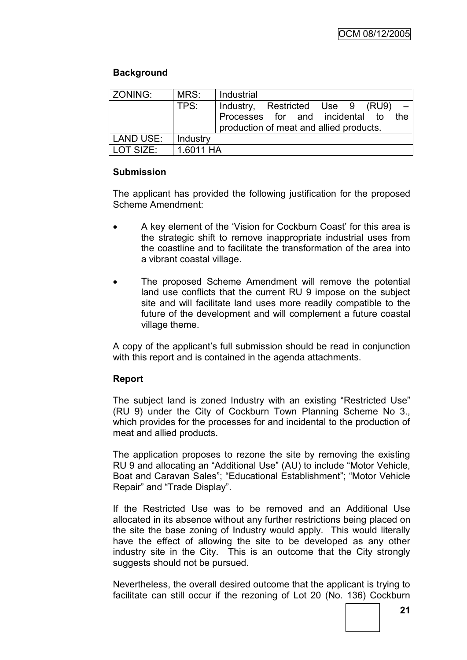## **Background**

| ZONING:   | MRS:      | Industrial |                                                                            |  |      |
|-----------|-----------|------------|----------------------------------------------------------------------------|--|------|
|           | TPS:      |            | Industry, Restricted Use 9 (RU9)                                           |  |      |
|           |           |            | Processes for and incidental to<br>production of meat and allied products. |  | the. |
| LAND USE: | Industry  |            |                                                                            |  |      |
| LOT SIZE: | 1.6011 HA |            |                                                                            |  |      |

## **Submission**

The applicant has provided the following justification for the proposed Scheme Amendment:

- A key element of the 'Vision for Cockburn Coast' for this area is the strategic shift to remove inappropriate industrial uses from the coastline and to facilitate the transformation of the area into a vibrant coastal village.
- The proposed Scheme Amendment will remove the potential land use conflicts that the current RU 9 impose on the subject site and will facilitate land uses more readily compatible to the future of the development and will complement a future coastal village theme.

A copy of the applicant's full submission should be read in conjunction with this report and is contained in the agenda attachments.

#### **Report**

The subject land is zoned Industry with an existing "Restricted Use" (RU 9) under the City of Cockburn Town Planning Scheme No 3., which provides for the processes for and incidental to the production of meat and allied products.

The application proposes to rezone the site by removing the existing RU 9 and allocating an "Additional Use" (AU) to include "Motor Vehicle, Boat and Caravan Sales"; "Educational Establishment"; "Motor Vehicle Repair" and "Trade Display".

If the Restricted Use was to be removed and an Additional Use allocated in its absence without any further restrictions being placed on the site the base zoning of Industry would apply. This would literally have the effect of allowing the site to be developed as any other industry site in the City. This is an outcome that the City strongly suggests should not be pursued.

Nevertheless, the overall desired outcome that the applicant is trying to facilitate can still occur if the rezoning of Lot 20 (No. 136) Cockburn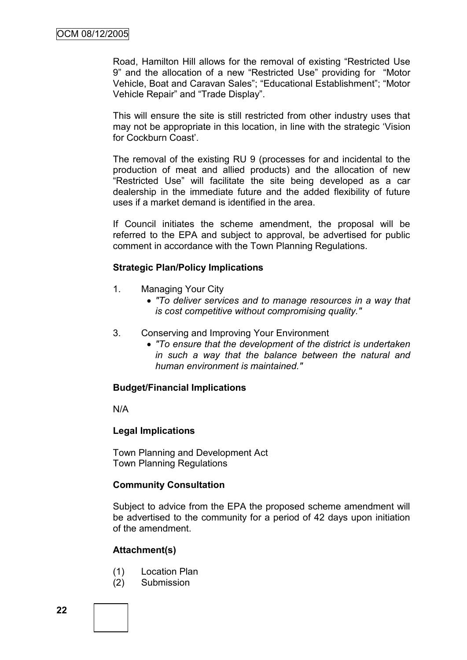Road, Hamilton Hill allows for the removal of existing "Restricted Use 9" and the allocation of a new "Restricted Use" providing for "Motor Vehicle, Boat and Caravan Sales"; "Educational Establishment"; "Motor Vehicle Repair" and "Trade Display".

This will ensure the site is still restricted from other industry uses that may not be appropriate in this location, in line with the strategic 'Vision for Cockburn Coast'.

The removal of the existing RU 9 (processes for and incidental to the production of meat and allied products) and the allocation of new "Restricted Use" will facilitate the site being developed as a car dealership in the immediate future and the added flexibility of future uses if a market demand is identified in the area.

If Council initiates the scheme amendment, the proposal will be referred to the EPA and subject to approval, be advertised for public comment in accordance with the Town Planning Regulations.

#### **Strategic Plan/Policy Implications**

- 1. Managing Your City
	- *"To deliver services and to manage resources in a way that is cost competitive without compromising quality."*
- 3. Conserving and Improving Your Environment
	- *"To ensure that the development of the district is undertaken in such a way that the balance between the natural and human environment is maintained."*

#### **Budget/Financial Implications**

N/A

#### **Legal Implications**

Town Planning and Development Act Town Planning Regulations

#### **Community Consultation**

Subject to advice from the EPA the proposed scheme amendment will be advertised to the community for a period of 42 days upon initiation of the amendment.

#### **Attachment(s)**

- (1) Location Plan
- (2) Submission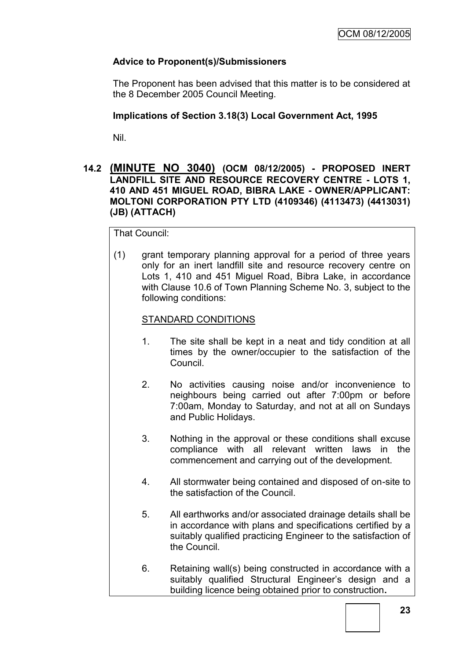# **Advice to Proponent(s)/Submissioners**

The Proponent has been advised that this matter is to be considered at the 8 December 2005 Council Meeting.

## **Implications of Section 3.18(3) Local Government Act, 1995**

Nil.

### **14.2 (MINUTE NO 3040) (OCM 08/12/2005) - PROPOSED INERT LANDFILL SITE AND RESOURCE RECOVERY CENTRE - LOTS 1, 410 AND 451 MIGUEL ROAD, BIBRA LAKE - OWNER/APPLICANT: MOLTONI CORPORATION PTY LTD (4109346) (4113473) (4413031) (JB) (ATTACH)**

That Council:

(1) grant temporary planning approval for a period of three years only for an inert landfill site and resource recovery centre on Lots 1, 410 and 451 Miguel Road, Bibra Lake, in accordance with Clause 10.6 of Town Planning Scheme No. 3, subject to the following conditions:

## STANDARD CONDITIONS

- 1. The site shall be kept in a neat and tidy condition at all times by the owner/occupier to the satisfaction of the Council.
- 2. No activities causing noise and/or inconvenience to neighbours being carried out after 7:00pm or before 7:00am, Monday to Saturday, and not at all on Sundays and Public Holidays.
- 3. Nothing in the approval or these conditions shall excuse compliance with all relevant written laws in the commencement and carrying out of the development.
- 4. All stormwater being contained and disposed of on-site to the satisfaction of the Council.
- 5. All earthworks and/or associated drainage details shall be in accordance with plans and specifications certified by a suitably qualified practicing Engineer to the satisfaction of the Council.
- 6. Retaining wall(s) being constructed in accordance with a suitably qualified Structural Engineer's design and a building licence being obtained prior to construction**.**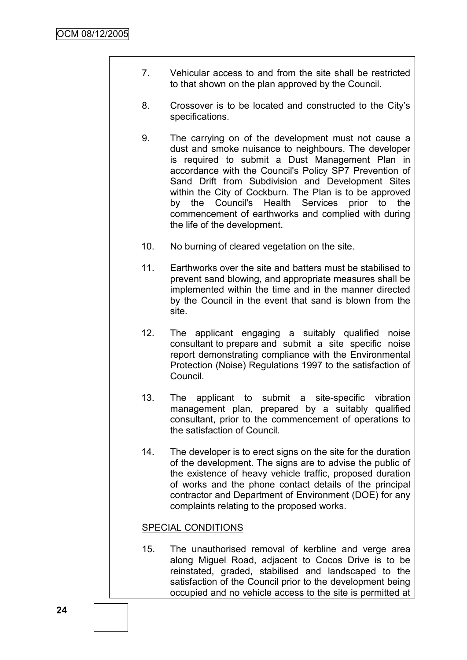- 7. Vehicular access to and from the site shall be restricted to that shown on the plan approved by the Council.
- 8. Crossover is to be located and constructed to the City's specifications.
- 9. The carrying on of the development must not cause a dust and smoke nuisance to neighbours. The developer is required to submit a Dust Management Plan in accordance with the Council's Policy SP7 Prevention of Sand Drift from Subdivision and Development Sites within the City of Cockburn. The Plan is to be approved by the Council's Health Services prior to the commencement of earthworks and complied with during the life of the development.
- 10. No burning of cleared vegetation on the site.
- 11. Earthworks over the site and batters must be stabilised to prevent sand blowing, and appropriate measures shall be implemented within the time and in the manner directed by the Council in the event that sand is blown from the site.
- 12. The applicant engaging a suitably qualified noise consultant to prepare and submit a site specific noise report demonstrating compliance with the Environmental Protection (Noise) Regulations 1997 to the satisfaction of Council.
- 13. The applicant to submit a site-specific vibration management plan, prepared by a suitably qualified consultant, prior to the commencement of operations to the satisfaction of Council.
- 14. The developer is to erect signs on the site for the duration of the development. The signs are to advise the public of the existence of heavy vehicle traffic, proposed duration of works and the phone contact details of the principal contractor and Department of Environment (DOE) for any complaints relating to the proposed works.

#### SPECIAL CONDITIONS

15. The unauthorised removal of kerbline and verge area along Miguel Road, adjacent to Cocos Drive is to be reinstated, graded, stabilised and landscaped to the satisfaction of the Council prior to the development being occupied and no vehicle access to the site is permitted at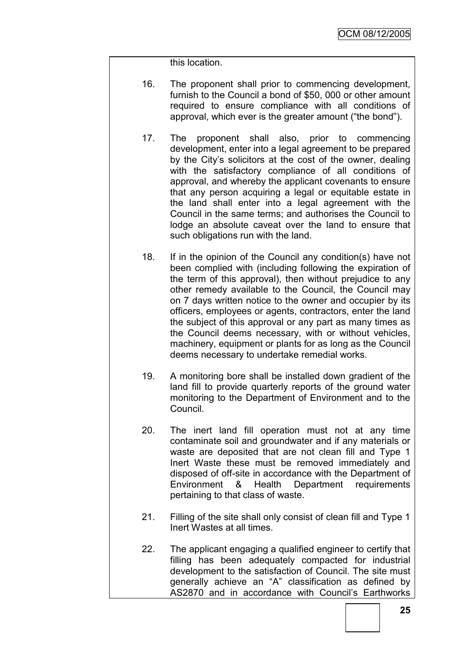this location.

- 16. The proponent shall prior to commencing development, furnish to the Council a bond of \$50, 000 or other amount required to ensure compliance with all conditions of approval, which ever is the greater amount ("the bond").
- 17. The proponent shall also, prior to commencing development, enter into a legal agreement to be prepared by the City's solicitors at the cost of the owner, dealing with the satisfactory compliance of all conditions of approval, and whereby the applicant covenants to ensure that any person acquiring a legal or equitable estate in the land shall enter into a legal agreement with the Council in the same terms; and authorises the Council to lodge an absolute caveat over the land to ensure that such obligations run with the land.
- 18. If in the opinion of the Council any condition(s) have not been complied with (including following the expiration of the term of this approval), then without prejudice to any other remedy available to the Council, the Council may on 7 days written notice to the owner and occupier by its officers, employees or agents, contractors, enter the land the subject of this approval or any part as many times as the Council deems necessary, with or without vehicles, machinery, equipment or plants for as long as the Council deems necessary to undertake remedial works.
- 19. A monitoring bore shall be installed down gradient of the land fill to provide quarterly reports of the ground water monitoring to the Department of Environment and to the Council.
- 20. The inert land fill operation must not at any time contaminate soil and groundwater and if any materials or waste are deposited that are not clean fill and Type 1 Inert Waste these must be removed immediately and disposed of off-site in accordance with the Department of Environment & Health Department requirements pertaining to that class of waste.
- 21. Filling of the site shall only consist of clean fill and Type 1 Inert Wastes at all times.
- 22. The applicant engaging a qualified engineer to certify that filling has been adequately compacted for industrial development to the satisfaction of Council. The site must generally achieve an "A" classification as defined by AS2870 and in accordance with Council's Earthworks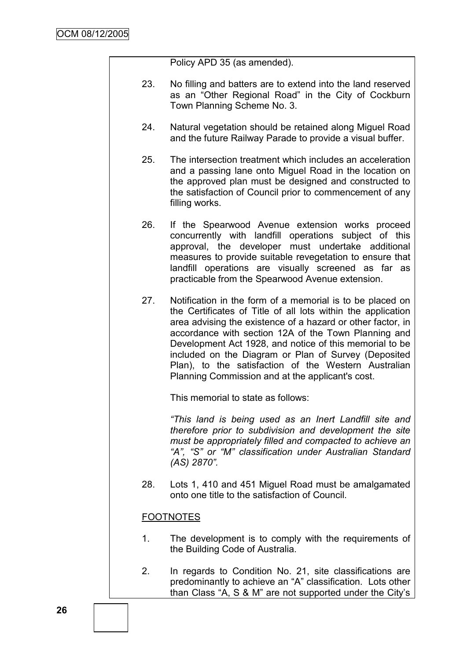Policy APD 35 (as amended).

- 23. No filling and batters are to extend into the land reserved as an "Other Regional Road" in the City of Cockburn Town Planning Scheme No. 3.
- 24. Natural vegetation should be retained along Miguel Road and the future Railway Parade to provide a visual buffer.
- 25. The intersection treatment which includes an acceleration and a passing lane onto Miguel Road in the location on the approved plan must be designed and constructed to the satisfaction of Council prior to commencement of any filling works.
- 26. If the Spearwood Avenue extension works proceed concurrently with landfill operations subject of this approval, the developer must undertake additional measures to provide suitable revegetation to ensure that landfill operations are visually screened as far as practicable from the Spearwood Avenue extension.
- 27. Notification in the form of a memorial is to be placed on the Certificates of Title of all lots within the application area advising the existence of a hazard or other factor, in accordance with section 12A of the Town Planning and Development Act 1928, and notice of this memorial to be included on the Diagram or Plan of Survey (Deposited Plan), to the satisfaction of the Western Australian Planning Commission and at the applicant's cost.

This memorial to state as follows:

*"This land is being used as an Inert Landfill site and therefore prior to subdivision and development the site must be appropriately filled and compacted to achieve an "A", "S" or "M" classification under Australian Standard (AS) 2870".*

28. Lots 1, 410 and 451 Miguel Road must be amalgamated onto one title to the satisfaction of Council.

# FOOTNOTES

- 1. The development is to comply with the requirements of the Building Code of Australia.
- 2. In regards to Condition No. 21, site classifications are predominantly to achieve an "A" classification. Lots other than Class "A, S & M" are not supported under the City's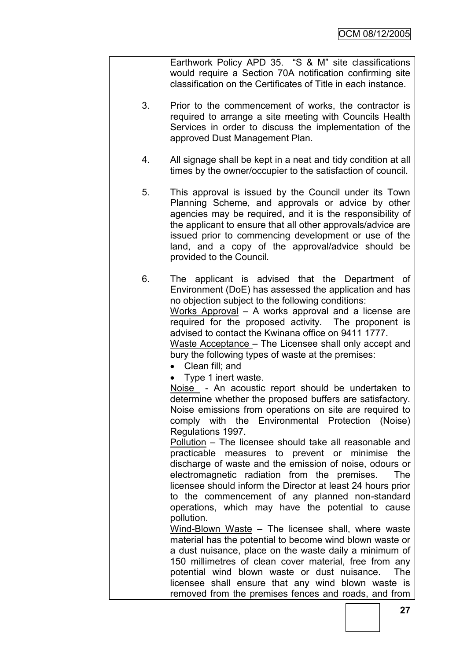Earthwork Policy APD 35. "S & M" site classifications would require a Section 70A notification confirming site classification on the Certificates of Title in each instance.

- 3. Prior to the commencement of works, the contractor is required to arrange a site meeting with Councils Health Services in order to discuss the implementation of the approved Dust Management Plan.
- 4. All signage shall be kept in a neat and tidy condition at all times by the owner/occupier to the satisfaction of council.
- 5. This approval is issued by the Council under its Town Planning Scheme, and approvals or advice by other agencies may be required, and it is the responsibility of the applicant to ensure that all other approvals/advice are issued prior to commencing development or use of the land, and a copy of the approval/advice should be provided to the Council.

6. The applicant is advised that the Department of Environment (DoE) has assessed the application and has no objection subject to the following conditions: Works Approval – A works approval and a license are required for the proposed activity. The proponent is advised to contact the Kwinana office on 9411 1777. Waste Acceptance – The Licensee shall only accept and bury the following types of waste at the premises:

- Clean fill: and
- Type 1 inert waste.

Noise - An acoustic report should be undertaken to determine whether the proposed buffers are satisfactory. Noise emissions from operations on site are required to comply with the Environmental Protection (Noise) Regulations 1997.

Pollution – The licensee should take all reasonable and practicable measures to prevent or minimise the discharge of waste and the emission of noise, odours or electromagnetic radiation from the premises. The licensee should inform the Director at least 24 hours prior to the commencement of any planned non-standard operations, which may have the potential to cause pollution.

Wind-Blown Waste – The licensee shall, where waste material has the potential to become wind blown waste or a dust nuisance, place on the waste daily a minimum of 150 millimetres of clean cover material, free from any potential wind blown waste or dust nuisance. The licensee shall ensure that any wind blown waste is removed from the premises fences and roads, and from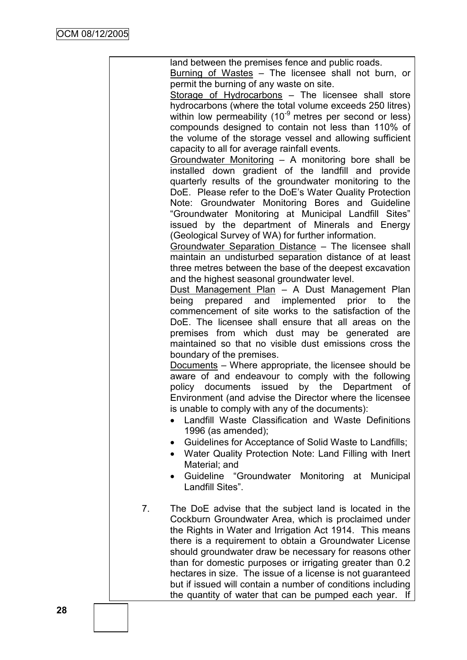|    | land between the premises fence and public roads.<br>Burning of Wastes - The licensee shall not burn, or                |
|----|-------------------------------------------------------------------------------------------------------------------------|
|    | permit the burning of any waste on site.<br>Storage of Hydrocarbons - The licensee shall store                          |
|    | hydrocarbons (where the total volume exceeds 250 litres)                                                                |
|    | within low permeability (10 <sup>-9</sup> metres per second or less)                                                    |
|    | compounds designed to contain not less than 110% of<br>the volume of the storage vessel and allowing sufficient         |
|    | capacity to all for average rainfall events.                                                                            |
|    | Groundwater Monitoring - A monitoring bore shall be                                                                     |
|    | installed down gradient of the landfill and provide                                                                     |
|    | quarterly results of the groundwater monitoring to the<br>DoE. Please refer to the DoE's Water Quality Protection       |
|    | Note: Groundwater Monitoring Bores and Guideline                                                                        |
|    | "Groundwater Monitoring at Municipal Landfill Sites"                                                                    |
|    | issued by the department of Minerals and Energy                                                                         |
|    | (Geological Survey of WA) for further information.<br>Groundwater Separation Distance - The licensee shall              |
|    | maintain an undisturbed separation distance of at least                                                                 |
|    | three metres between the base of the deepest excavation                                                                 |
|    | and the highest seasonal groundwater level.<br>Dust Management Plan - A Dust Management Plan                            |
|    | prepared and implemented prior to<br>being<br>the                                                                       |
|    | commencement of site works to the satisfaction of the                                                                   |
|    | DoE. The licensee shall ensure that all areas on the<br>premises from which dust may be generated are                   |
|    | maintained so that no visible dust emissions cross the                                                                  |
|    | boundary of the premises.                                                                                               |
|    | Documents – Where appropriate, the licensee should be                                                                   |
|    | aware of and endeavour to comply with the following<br>policy documents issued by the Department<br>of                  |
|    | Environment (and advise the Director where the licensee                                                                 |
|    | is unable to comply with any of the documents):                                                                         |
|    | Landfill Waste Classification and Waste Definitions<br>1996 (as amended);                                               |
|    | Guidelines for Acceptance of Solid Waste to Landfills;                                                                  |
|    | Water Quality Protection Note: Land Filling with Inert<br>$\bullet$                                                     |
|    | Material; and                                                                                                           |
|    | Guideline "Groundwater Monitoring at<br><b>Municipal</b><br>$\bullet$<br>Landfill Sites".                               |
|    |                                                                                                                         |
| 7. | The DoE advise that the subject land is located in the<br>Cockburn Groundwater Area, which is proclaimed under          |
|    | the Rights in Water and Irrigation Act 1914. This means                                                                 |
|    | there is a requirement to obtain a Groundwater License                                                                  |
|    | should groundwater draw be necessary for reasons other                                                                  |
|    | than for domestic purposes or irrigating greater than 0.2<br>hectares in size. The issue of a license is not guaranteed |
|    | but if issued will contain a number of conditions including                                                             |
|    | the quantity of water that can be pumped each year.<br>lf                                                               |
|    |                                                                                                                         |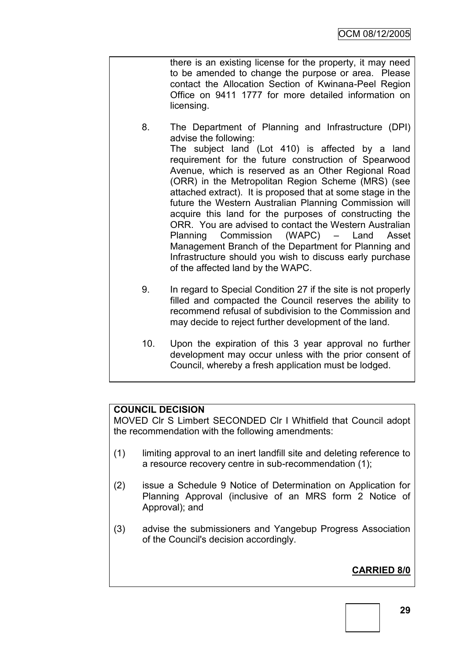there is an existing license for the property, it may need to be amended to change the purpose or area. Please contact the Allocation Section of Kwinana-Peel Region Office on 9411 1777 for more detailed information on licensing.

- 8. The Department of Planning and Infrastructure (DPI) advise the following: The subject land (Lot 410) is affected by a land requirement for the future construction of Spearwood Avenue, which is reserved as an Other Regional Road (ORR) in the Metropolitan Region Scheme (MRS) (see attached extract). It is proposed that at some stage in the future the Western Australian Planning Commission will acquire this land for the purposes of constructing the ORR. You are advised to contact the Western Australian Planning Commission (WAPC) – Land Asset Management Branch of the Department for Planning and Infrastructure should you wish to discuss early purchase of the affected land by the WAPC.
- 9. In regard to Special Condition 27 if the site is not properly filled and compacted the Council reserves the ability to recommend refusal of subdivision to the Commission and may decide to reject further development of the land.
- 10. Upon the expiration of this 3 year approval no further development may occur unless with the prior consent of Council, whereby a fresh application must be lodged.

# **COUNCIL DECISION**

MOVED Clr S Limbert SECONDED Clr I Whitfield that Council adopt the recommendation with the following amendments:

- (1) limiting approval to an inert landfill site and deleting reference to a resource recovery centre in sub-recommendation (1);
- (2) issue a Schedule 9 Notice of Determination on Application for Planning Approval (inclusive of an MRS form 2 Notice of Approval); and
- (3) advise the submissioners and Yangebup Progress Association of the Council's decision accordingly.

# **CARRIED 8/0**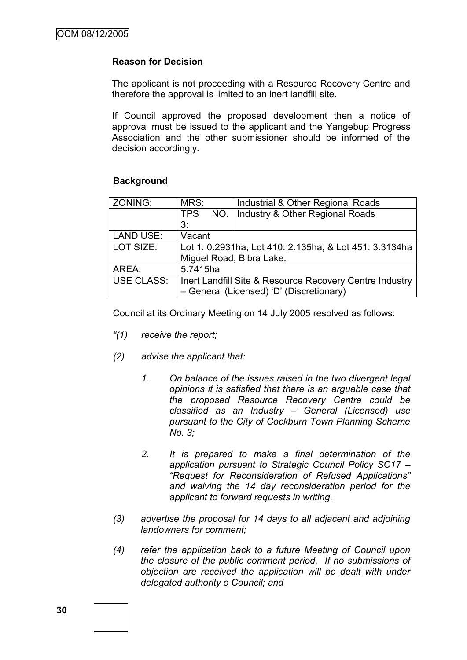## **Reason for Decision**

The applicant is not proceeding with a Resource Recovery Centre and therefore the approval is limited to an inert landfill site.

If Council approved the proposed development then a notice of approval must be issued to the applicant and the Yangebup Progress Association and the other submissioner should be informed of the decision accordingly.

#### **Background**

| ZONING:           | MRS:                                                    | Industrial & Other Regional Roads        |  |
|-------------------|---------------------------------------------------------|------------------------------------------|--|
|                   | <b>TPS</b><br>NO.                                       | Industry & Other Regional Roads          |  |
|                   | 3:                                                      |                                          |  |
| <b>LAND USE:</b>  | Vacant                                                  |                                          |  |
| LOT SIZE:         | Lot 1: 0.2931ha, Lot 410: 2.135ha, & Lot 451: 3.3134ha  |                                          |  |
|                   |                                                         | Miguel Road, Bibra Lake.                 |  |
| AREA:             | 5.7415ha                                                |                                          |  |
| <b>USE CLASS:</b> | Inert Landfill Site & Resource Recovery Centre Industry |                                          |  |
|                   |                                                         | - General (Licensed) 'D' (Discretionary) |  |

Council at its Ordinary Meeting on 14 July 2005 resolved as follows:

- *"(1) receive the report;*
- *(2) advise the applicant that:* 
	- *1. On balance of the issues raised in the two divergent legal opinions it is satisfied that there is an arguable case that the proposed Resource Recovery Centre could be classified as an Industry – General (Licensed) use pursuant to the City of Cockburn Town Planning Scheme No. 3;*
	- *2. It is prepared to make a final determination of the application pursuant to Strategic Council Policy SC17 – "Request for Reconsideration of Refused Applications" and waiving the 14 day reconsideration period for the applicant to forward requests in writing.*
- *(3) advertise the proposal for 14 days to all adjacent and adjoining landowners for comment;*
- *(4) refer the application back to a future Meeting of Council upon the closure of the public comment period. If no submissions of objection are received the application will be dealt with under delegated authority o Council; and*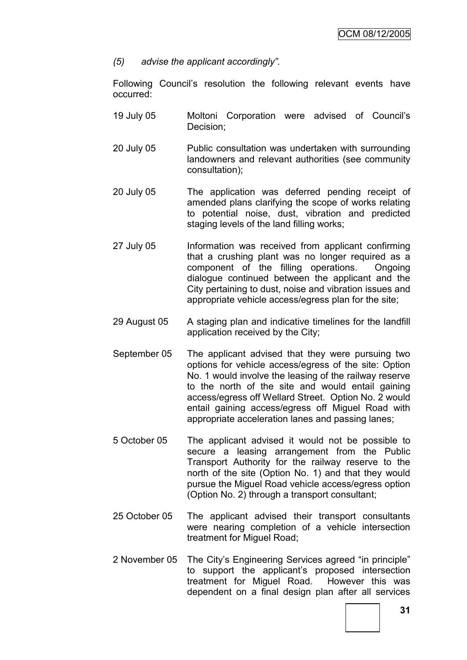*(5) advise the applicant accordingly".*

Following Council's resolution the following relevant events have occurred:

- 19 July 05 Moltoni Corporation were advised of Council's Decision;
- 20 July 05 Public consultation was undertaken with surrounding landowners and relevant authorities (see community consultation);
- 20 July 05 The application was deferred pending receipt of amended plans clarifying the scope of works relating to potential noise, dust, vibration and predicted staging levels of the land filling works;
- 27 July 05 Information was received from applicant confirming that a crushing plant was no longer required as a component of the filling operations. Ongoing dialogue continued between the applicant and the City pertaining to dust, noise and vibration issues and appropriate vehicle access/egress plan for the site;
- 29 August 05 A staging plan and indicative timelines for the landfill application received by the City;
- September 05 The applicant advised that they were pursuing two options for vehicle access/egress of the site: Option No. 1 would involve the leasing of the railway reserve to the north of the site and would entail gaining access/egress off Wellard Street. Option No. 2 would entail gaining access/egress off Miguel Road with appropriate acceleration lanes and passing lanes;
- 5 October 05 The applicant advised it would not be possible to secure a leasing arrangement from the Public Transport Authority for the railway reserve to the north of the site (Option No. 1) and that they would pursue the Miguel Road vehicle access/egress option (Option No. 2) through a transport consultant;
- 25 October 05 The applicant advised their transport consultants were nearing completion of a vehicle intersection treatment for Miguel Road;
- 2 November 05 The City's Engineering Services agreed "in principle" to support the applicant's proposed intersection treatment for Miguel Road. However this was dependent on a final design plan after all services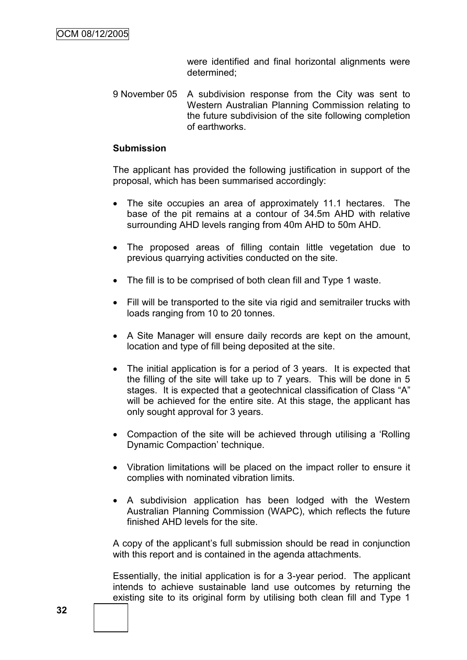were identified and final horizontal alignments were determined;

9 November 05 A subdivision response from the City was sent to Western Australian Planning Commission relating to the future subdivision of the site following completion of earthworks.

#### **Submission**

The applicant has provided the following justification in support of the proposal, which has been summarised accordingly:

- The site occupies an area of approximately 11.1 hectares. The base of the pit remains at a contour of 34.5m AHD with relative surrounding AHD levels ranging from 40m AHD to 50m AHD.
- The proposed areas of filling contain little vegetation due to previous quarrying activities conducted on the site.
- The fill is to be comprised of both clean fill and Type 1 waste.
- Fill will be transported to the site via rigid and semitrailer trucks with loads ranging from 10 to 20 tonnes.
- A Site Manager will ensure daily records are kept on the amount, location and type of fill being deposited at the site.
- The initial application is for a period of 3 years. It is expected that the filling of the site will take up to 7 years. This will be done in 5 stages. It is expected that a geotechnical classification of Class "A" will be achieved for the entire site. At this stage, the applicant has only sought approval for 3 years.
- Compaction of the site will be achieved through utilising a 'Rolling Dynamic Compaction' technique.
- Vibration limitations will be placed on the impact roller to ensure it complies with nominated vibration limits.
- A subdivision application has been lodged with the Western Australian Planning Commission (WAPC), which reflects the future finished AHD levels for the site.

A copy of the applicant's full submission should be read in conjunction with this report and is contained in the agenda attachments.

Essentially, the initial application is for a 3-year period. The applicant intends to achieve sustainable land use outcomes by returning the existing site to its original form by utilising both clean fill and Type 1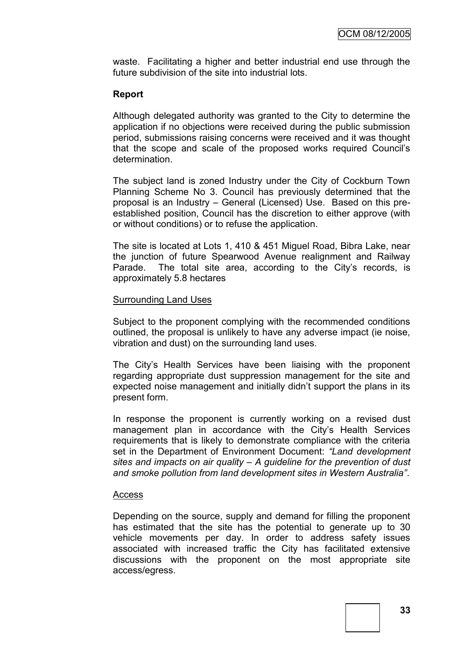waste. Facilitating a higher and better industrial end use through the future subdivision of the site into industrial lots.

## **Report**

Although delegated authority was granted to the City to determine the application if no objections were received during the public submission period, submissions raising concerns were received and it was thought that the scope and scale of the proposed works required Council's determination.

The subject land is zoned Industry under the City of Cockburn Town Planning Scheme No 3. Council has previously determined that the proposal is an Industry – General (Licensed) Use. Based on this preestablished position, Council has the discretion to either approve (with or without conditions) or to refuse the application.

The site is located at Lots 1, 410 & 451 Miguel Road, Bibra Lake, near the junction of future Spearwood Avenue realignment and Railway Parade. The total site area, according to the City's records, is approximately 5.8 hectares

#### Surrounding Land Uses

Subject to the proponent complying with the recommended conditions outlined, the proposal is unlikely to have any adverse impact (ie noise, vibration and dust) on the surrounding land uses.

The City's Health Services have been liaising with the proponent regarding appropriate dust suppression management for the site and expected noise management and initially didn't support the plans in its present form.

In response the proponent is currently working on a revised dust management plan in accordance with the City's Health Services requirements that is likely to demonstrate compliance with the criteria set in the Department of Environment Document: *"Land development sites and impacts on air quality – A guideline for the prevention of dust and smoke pollution from land development sites in Western Australia"*.

#### Access

Depending on the source, supply and demand for filling the proponent has estimated that the site has the potential to generate up to 30 vehicle movements per day. In order to address safety issues associated with increased traffic the City has facilitated extensive discussions with the proponent on the most appropriate site access/egress.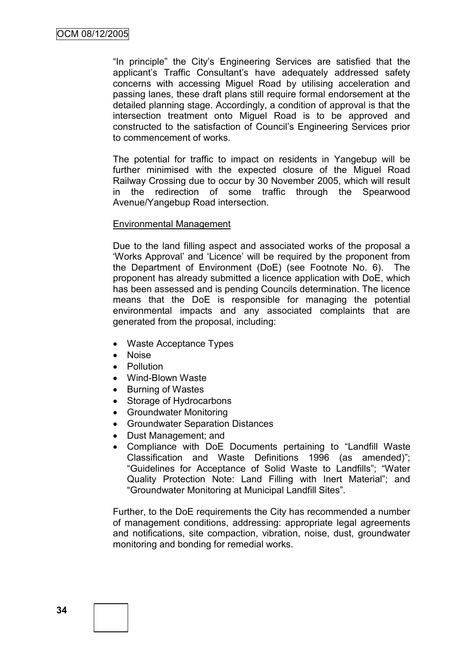"In principle" the City's Engineering Services are satisfied that the applicant's Traffic Consultant's have adequately addressed safety concerns with accessing Miguel Road by utilising acceleration and passing lanes, these draft plans still require formal endorsement at the detailed planning stage. Accordingly, a condition of approval is that the intersection treatment onto Miguel Road is to be approved and constructed to the satisfaction of Council's Engineering Services prior to commencement of works.

The potential for traffic to impact on residents in Yangebup will be further minimised with the expected closure of the Miguel Road Railway Crossing due to occur by 30 November 2005, which will result in the redirection of some traffic through the Spearwood Avenue/Yangebup Road intersection.

#### Environmental Management

Due to the land filling aspect and associated works of the proposal a 'Works Approval' and 'Licence' will be required by the proponent from the Department of Environment (DoE) (see Footnote No. 6). The proponent has already submitted a licence application with DoE, which has been assessed and is pending Councils determination. The licence means that the DoE is responsible for managing the potential environmental impacts and any associated complaints that are generated from the proposal, including:

- Waste Acceptance Types
- Noise
- **•** Pollution
- Wind-Blown Waste
- Burning of Wastes
- Storage of Hydrocarbons
- Groundwater Monitoring
- Groundwater Separation Distances
- Dust Management; and
- Compliance with DoE Documents pertaining to "Landfill Waste Classification and Waste Definitions 1996 (as amended)"; "Guidelines for Acceptance of Solid Waste to Landfills"; "Water Quality Protection Note: Land Filling with Inert Material"; and "Groundwater Monitoring at Municipal Landfill Sites".

Further, to the DoE requirements the City has recommended a number of management conditions, addressing: appropriate legal agreements and notifications, site compaction, vibration, noise, dust, groundwater monitoring and bonding for remedial works.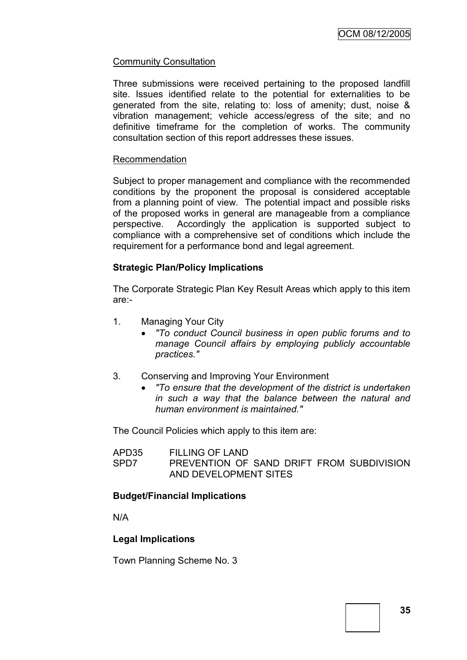## Community Consultation

Three submissions were received pertaining to the proposed landfill site. Issues identified relate to the potential for externalities to be generated from the site, relating to: loss of amenity; dust, noise & vibration management; vehicle access/egress of the site; and no definitive timeframe for the completion of works. The community consultation section of this report addresses these issues.

#### Recommendation

Subject to proper management and compliance with the recommended conditions by the proponent the proposal is considered acceptable from a planning point of view. The potential impact and possible risks of the proposed works in general are manageable from a compliance perspective. Accordingly the application is supported subject to compliance with a comprehensive set of conditions which include the requirement for a performance bond and legal agreement.

#### **Strategic Plan/Policy Implications**

The Corporate Strategic Plan Key Result Areas which apply to this item are:-

- 1. Managing Your City
	- *"To conduct Council business in open public forums and to manage Council affairs by employing publicly accountable practices."*
- 3. Conserving and Improving Your Environment
	- *"To ensure that the development of the district is undertaken in such a way that the balance between the natural and human environment is maintained."*

The Council Policies which apply to this item are:

APD35 FILLING OF LAND SPD7 PREVENTION OF SAND DRIFT FROM SUBDIVISION AND DEVELOPMENT SITES

### **Budget/Financial Implications**

N/A

### **Legal Implications**

Town Planning Scheme No. 3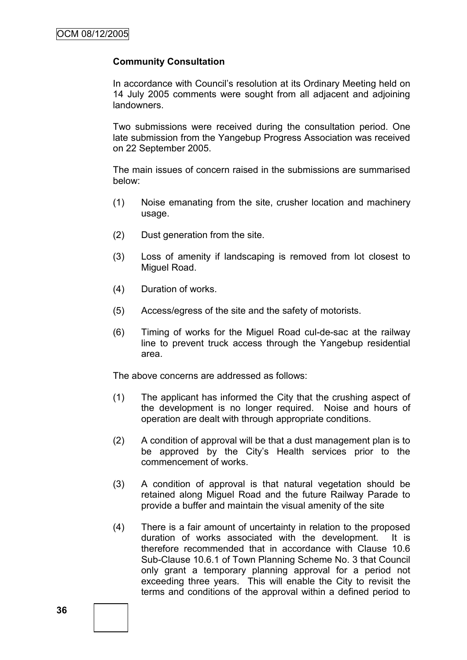### **Community Consultation**

In accordance with Council's resolution at its Ordinary Meeting held on 14 July 2005 comments were sought from all adjacent and adjoining landowners.

Two submissions were received during the consultation period. One late submission from the Yangebup Progress Association was received on 22 September 2005.

The main issues of concern raised in the submissions are summarised below:

- (1) Noise emanating from the site, crusher location and machinery usage.
- (2) Dust generation from the site.
- (3) Loss of amenity if landscaping is removed from lot closest to Miguel Road.
- (4) Duration of works.
- (5) Access/egress of the site and the safety of motorists.
- (6) Timing of works for the Miguel Road cul-de-sac at the railway line to prevent truck access through the Yangebup residential area.

The above concerns are addressed as follows:

- (1) The applicant has informed the City that the crushing aspect of the development is no longer required. Noise and hours of operation are dealt with through appropriate conditions.
- (2) A condition of approval will be that a dust management plan is to be approved by the City's Health services prior to the commencement of works.
- (3) A condition of approval is that natural vegetation should be retained along Miguel Road and the future Railway Parade to provide a buffer and maintain the visual amenity of the site
- (4) There is a fair amount of uncertainty in relation to the proposed duration of works associated with the development. It is therefore recommended that in accordance with Clause 10.6 Sub-Clause 10.6.1 of Town Planning Scheme No. 3 that Council only grant a temporary planning approval for a period not exceeding three years. This will enable the City to revisit the terms and conditions of the approval within a defined period to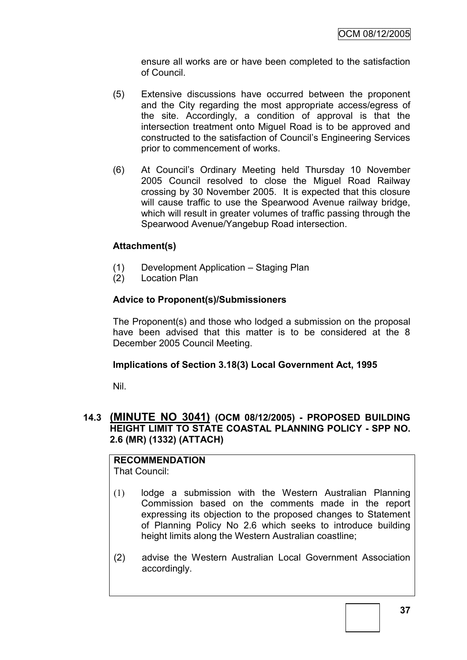ensure all works are or have been completed to the satisfaction of Council.

- (5) Extensive discussions have occurred between the proponent and the City regarding the most appropriate access/egress of the site. Accordingly, a condition of approval is that the intersection treatment onto Miguel Road is to be approved and constructed to the satisfaction of Council's Engineering Services prior to commencement of works.
- (6) At Council's Ordinary Meeting held Thursday 10 November 2005 Council resolved to close the Miguel Road Railway crossing by 30 November 2005. It is expected that this closure will cause traffic to use the Spearwood Avenue railway bridge, which will result in greater volumes of traffic passing through the Spearwood Avenue/Yangebup Road intersection.

# **Attachment(s)**

- (1) Development Application Staging Plan
- (2) Location Plan

# **Advice to Proponent(s)/Submissioners**

The Proponent(s) and those who lodged a submission on the proposal have been advised that this matter is to be considered at the 8 December 2005 Council Meeting.

### **Implications of Section 3.18(3) Local Government Act, 1995**

Nil.

# **14.3 (MINUTE NO 3041) (OCM 08/12/2005) - PROPOSED BUILDING HEIGHT LIMIT TO STATE COASTAL PLANNING POLICY - SPP NO. 2.6 (MR) (1332) (ATTACH)**

#### **RECOMMENDATION** That Council:

- (1) lodge a submission with the Western Australian Planning Commission based on the comments made in the report expressing its objection to the proposed changes to Statement of Planning Policy No 2.6 which seeks to introduce building height limits along the Western Australian coastline;
- (2) advise the Western Australian Local Government Association accordingly.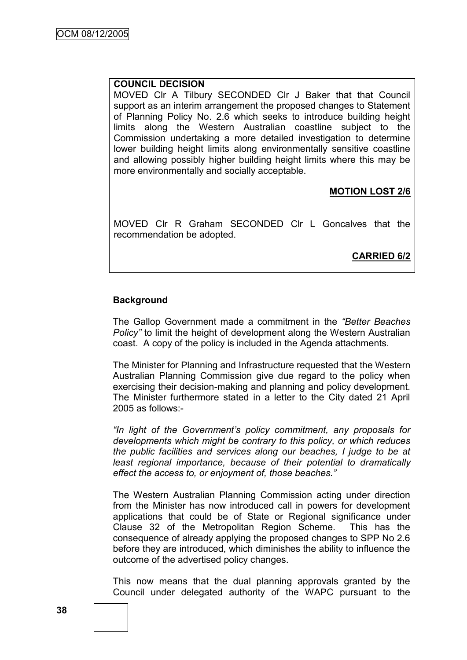#### **COUNCIL DECISION**

MOVED Clr A Tilbury SECONDED Clr J Baker that that Council support as an interim arrangement the proposed changes to Statement of Planning Policy No. 2.6 which seeks to introduce building height limits along the Western Australian coastline subject to the Commission undertaking a more detailed investigation to determine lower building height limits along environmentally sensitive coastline and allowing possibly higher building height limits where this may be more environmentally and socially acceptable.

# **MOTION LOST 2/6**

MOVED Clr R Graham SECONDED Clr L Goncalves that the recommendation be adopted.

**CARRIED 6/2**

### **Background**

The Gallop Government made a commitment in the *"Better Beaches Policy"* to limit the height of development along the Western Australian coast. A copy of the policy is included in the Agenda attachments.

The Minister for Planning and Infrastructure requested that the Western Australian Planning Commission give due regard to the policy when exercising their decision-making and planning and policy development. The Minister furthermore stated in a letter to the City dated 21 April 2005 as follows:-

*"In light of the Government's policy commitment, any proposals for developments which might be contrary to this policy, or which reduces the public facilities and services along our beaches, I judge to be at least regional importance, because of their potential to dramatically effect the access to, or enjoyment of, those beaches."*

The Western Australian Planning Commission acting under direction from the Minister has now introduced call in powers for development applications that could be of State or Regional significance under Clause 32 of the Metropolitan Region Scheme. This has the consequence of already applying the proposed changes to SPP No 2.6 before they are introduced, which diminishes the ability to influence the outcome of the advertised policy changes.

This now means that the dual planning approvals granted by the Council under delegated authority of the WAPC pursuant to the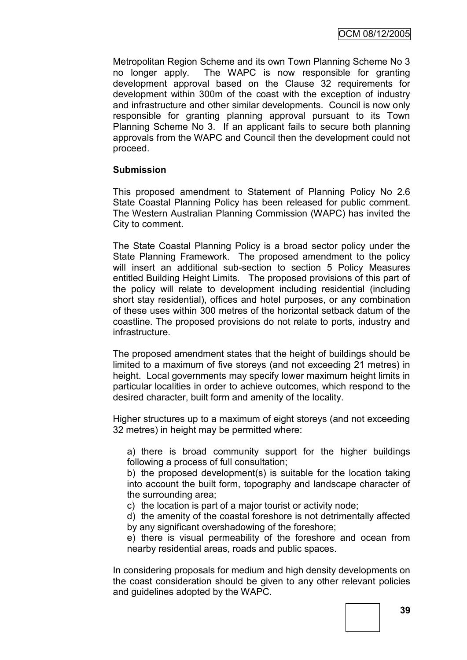Metropolitan Region Scheme and its own Town Planning Scheme No 3 no longer apply. The WAPC is now responsible for granting development approval based on the Clause 32 requirements for development within 300m of the coast with the exception of industry and infrastructure and other similar developments. Council is now only responsible for granting planning approval pursuant to its Town Planning Scheme No 3. If an applicant fails to secure both planning approvals from the WAPC and Council then the development could not proceed.

### **Submission**

This proposed amendment to Statement of Planning Policy No 2.6 State Coastal Planning Policy has been released for public comment. The Western Australian Planning Commission (WAPC) has invited the City to comment.

The State Coastal Planning Policy is a broad sector policy under the State Planning Framework. The proposed amendment to the policy will insert an additional sub-section to section 5 Policy Measures entitled Building Height Limits. The proposed provisions of this part of the policy will relate to development including residential (including short stay residential), offices and hotel purposes, or any combination of these uses within 300 metres of the horizontal setback datum of the coastline. The proposed provisions do not relate to ports, industry and infrastructure.

The proposed amendment states that the height of buildings should be limited to a maximum of five storeys (and not exceeding 21 metres) in height. Local governments may specify lower maximum height limits in particular localities in order to achieve outcomes, which respond to the desired character, built form and amenity of the locality.

Higher structures up to a maximum of eight storeys (and not exceeding 32 metres) in height may be permitted where:

a) there is broad community support for the higher buildings following a process of full consultation;

b) the proposed development(s) is suitable for the location taking into account the built form, topography and landscape character of the surrounding area;

- c) the location is part of a major tourist or activity node;
- d) the amenity of the coastal foreshore is not detrimentally affected by any significant overshadowing of the foreshore;

e) there is visual permeability of the foreshore and ocean from nearby residential areas, roads and public spaces.

In considering proposals for medium and high density developments on the coast consideration should be given to any other relevant policies and guidelines adopted by the WAPC.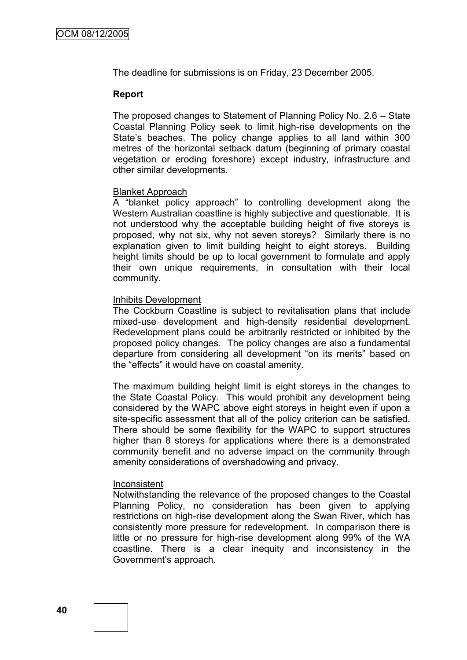The deadline for submissions is on Friday, 23 December 2005.

#### **Report**

The proposed changes to Statement of Planning Policy No. 2.6 – State Coastal Planning Policy seek to limit high-rise developments on the State's beaches. The policy change applies to all land within 300 metres of the horizontal setback datum (beginning of primary coastal vegetation or eroding foreshore) except industry, infrastructure and other similar developments.

#### Blanket Approach

A "blanket policy approach" to controlling development along the Western Australian coastline is highly subjective and questionable. It is not understood why the acceptable building height of five storeys is proposed, why not six, why not seven storeys? Similarly there is no explanation given to limit building height to eight storeys. Building height limits should be up to local government to formulate and apply their own unique requirements, in consultation with their local community.

#### Inhibits Development

The Cockburn Coastline is subject to revitalisation plans that include mixed-use development and high-density residential development. Redevelopment plans could be arbitrarily restricted or inhibited by the proposed policy changes. The policy changes are also a fundamental departure from considering all development "on its merits" based on the "effects" it would have on coastal amenity.

The maximum building height limit is eight storeys in the changes to the State Coastal Policy. This would prohibit any development being considered by the WAPC above eight storeys in height even if upon a site-specific assessment that all of the policy criterion can be satisfied. There should be some flexibility for the WAPC to support structures higher than 8 storeys for applications where there is a demonstrated community benefit and no adverse impact on the community through amenity considerations of overshadowing and privacy.

#### Inconsistent

Notwithstanding the relevance of the proposed changes to the Coastal Planning Policy, no consideration has been given to applying restrictions on high-rise development along the Swan River, which has consistently more pressure for redevelopment. In comparison there is little or no pressure for high-rise development along 99% of the WA coastline. There is a clear inequity and inconsistency in the Government's approach.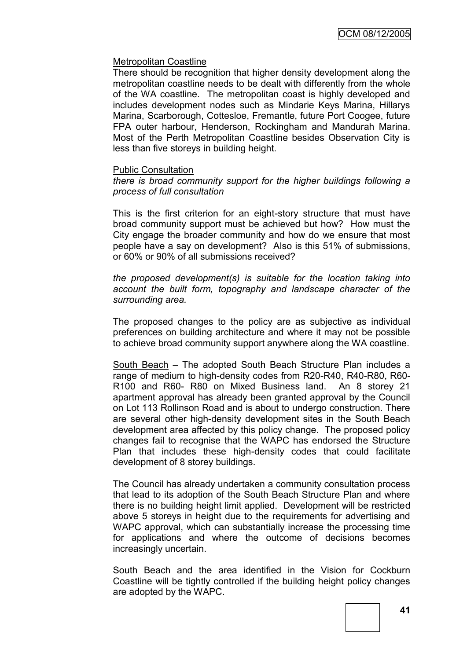### Metropolitan Coastline

There should be recognition that higher density development along the metropolitan coastline needs to be dealt with differently from the whole of the WA coastline. The metropolitan coast is highly developed and includes development nodes such as Mindarie Keys Marina, Hillarys Marina, Scarborough, Cottesloe, Fremantle, future Port Coogee, future FPA outer harbour, Henderson, Rockingham and Mandurah Marina. Most of the Perth Metropolitan Coastline besides Observation City is less than five storeys in building height.

#### Public Consultation

*there is broad community support for the higher buildings following a process of full consultation*

This is the first criterion for an eight-story structure that must have broad community support must be achieved but how? How must the City engage the broader community and how do we ensure that most people have a say on development? Also is this 51% of submissions, or 60% or 90% of all submissions received?

*the proposed development(s) is suitable for the location taking into account the built form, topography and landscape character of the surrounding area.*

The proposed changes to the policy are as subjective as individual preferences on building architecture and where it may not be possible to achieve broad community support anywhere along the WA coastline.

South Beach – The adopted South Beach Structure Plan includes a range of medium to high-density codes from R20-R40, R40-R80, R60- R100 and R60- R80 on Mixed Business land. An 8 storey 21 apartment approval has already been granted approval by the Council on Lot 113 Rollinson Road and is about to undergo construction. There are several other high-density development sites in the South Beach development area affected by this policy change. The proposed policy changes fail to recognise that the WAPC has endorsed the Structure Plan that includes these high-density codes that could facilitate development of 8 storey buildings.

The Council has already undertaken a community consultation process that lead to its adoption of the South Beach Structure Plan and where there is no building height limit applied. Development will be restricted above 5 storeys in height due to the requirements for advertising and WAPC approval, which can substantially increase the processing time for applications and where the outcome of decisions becomes increasingly uncertain.

South Beach and the area identified in the Vision for Cockburn Coastline will be tightly controlled if the building height policy changes are adopted by the WAPC.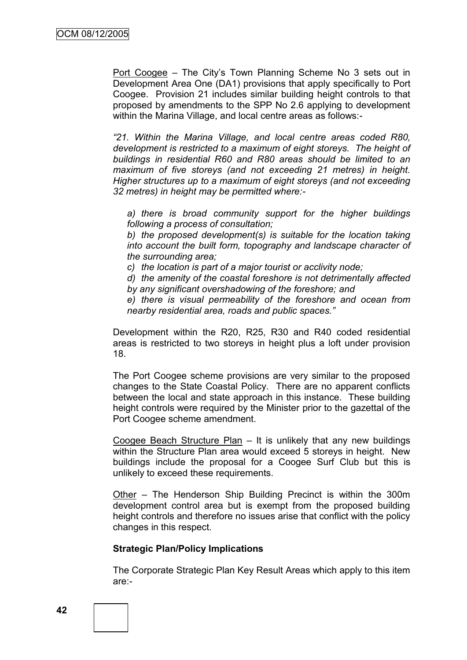Port Coogee – The City's Town Planning Scheme No 3 sets out in Development Area One (DA1) provisions that apply specifically to Port Coogee. Provision 21 includes similar building height controls to that proposed by amendments to the SPP No 2.6 applying to development within the Marina Village, and local centre areas as follows:-

*"21. Within the Marina Village, and local centre areas coded R80, development is restricted to a maximum of eight storeys. The height of buildings in residential R60 and R80 areas should be limited to an maximum of five storeys (and not exceeding 21 metres) in height. Higher structures up to a maximum of eight storeys (and not exceeding 32 metres) in height may be permitted where:-*

*a) there is broad community support for the higher buildings following a process of consultation;*

*b) the proposed development(s) is suitable for the location taking into account the built form, topography and landscape character of the surrounding area;*

*c) the location is part of a major tourist or acclivity node;*

*d) the amenity of the coastal foreshore is not detrimentally affected by any significant overshadowing of the foreshore; and*

*e) there is visual permeability of the foreshore and ocean from nearby residential area, roads and public spaces."*

Development within the R20, R25, R30 and R40 coded residential areas is restricted to two storeys in height plus a loft under provision 18.

The Port Coogee scheme provisions are very similar to the proposed changes to the State Coastal Policy. There are no apparent conflicts between the local and state approach in this instance. These building height controls were required by the Minister prior to the gazettal of the Port Coogee scheme amendment.

Coogee Beach Structure Plan – It is unlikely that any new buildings within the Structure Plan area would exceed 5 storeys in height. New buildings include the proposal for a Coogee Surf Club but this is unlikely to exceed these requirements.

Other – The Henderson Ship Building Precinct is within the 300m development control area but is exempt from the proposed building height controls and therefore no issues arise that conflict with the policy changes in this respect.

### **Strategic Plan/Policy Implications**

The Corporate Strategic Plan Key Result Areas which apply to this item are:-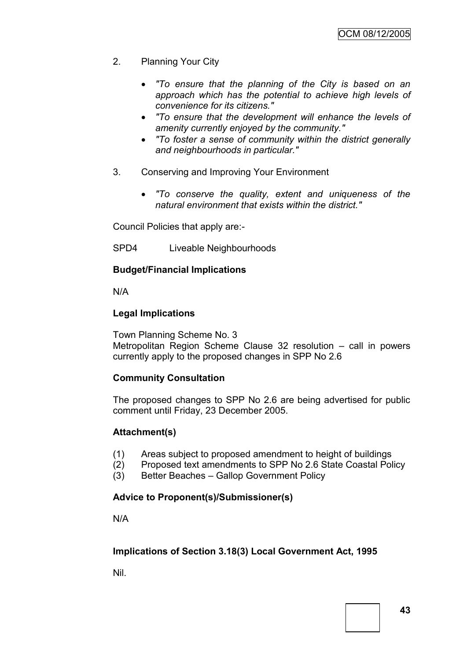- 2. Planning Your City
	- *"To ensure that the planning of the City is based on an approach which has the potential to achieve high levels of convenience for its citizens."*
	- *"To ensure that the development will enhance the levels of amenity currently enjoyed by the community."*
	- *"To foster a sense of community within the district generally and neighbourhoods in particular."*
- 3. Conserving and Improving Your Environment
	- *"To conserve the quality, extent and uniqueness of the natural environment that exists within the district."*

Council Policies that apply are:-

SPD4 Liveable Neighbourhoods

# **Budget/Financial Implications**

N/A

# **Legal Implications**

Town Planning Scheme No. 3 Metropolitan Region Scheme Clause 32 resolution – call in powers currently apply to the proposed changes in SPP No 2.6

# **Community Consultation**

The proposed changes to SPP No 2.6 are being advertised for public comment until Friday, 23 December 2005.

# **Attachment(s)**

- (1) Areas subject to proposed amendment to height of buildings
- (2) Proposed text amendments to SPP No 2.6 State Coastal Policy
- (3) Better Beaches Gallop Government Policy

# **Advice to Proponent(s)/Submissioner(s)**

N/A

# **Implications of Section 3.18(3) Local Government Act, 1995**

Nil.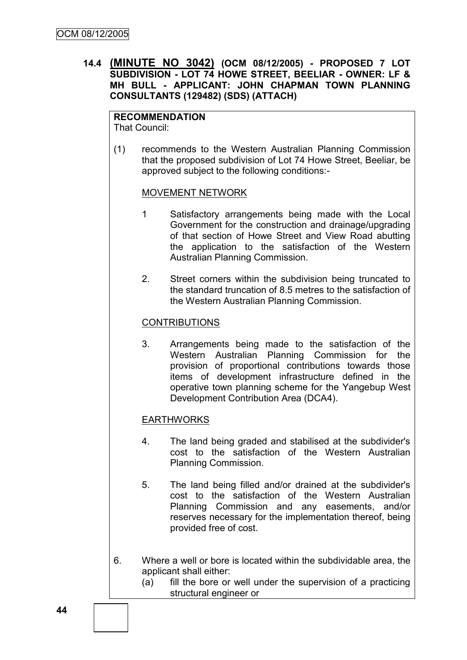**14.4 (MINUTE NO 3042) (OCM 08/12/2005) - PROPOSED 7 LOT SUBDIVISION - LOT 74 HOWE STREET, BEELIAR - OWNER: LF & MH BULL - APPLICANT: JOHN CHAPMAN TOWN PLANNING CONSULTANTS (129482) (SDS) (ATTACH)**

# **RECOMMENDATION**

That Council:

(1) recommends to the Western Australian Planning Commission that the proposed subdivision of Lot 74 Howe Street, Beeliar, be approved subject to the following conditions:-

#### MOVEMENT NETWORK

- 1 Satisfactory arrangements being made with the Local Government for the construction and drainage/upgrading of that section of Howe Street and View Road abutting the application to the satisfaction of the Western Australian Planning Commission.
- 2. Street corners within the subdivision being truncated to the standard truncation of 8.5 metres to the satisfaction of the Western Australian Planning Commission.

### **CONTRIBUTIONS**

3. Arrangements being made to the satisfaction of the Western Australian Planning Commission for the provision of proportional contributions towards those items of development infrastructure defined in the operative town planning scheme for the Yangebup West Development Contribution Area (DCA4).

### **EARTHWORKS**

- 4. The land being graded and stabilised at the subdivider's cost to the satisfaction of the Western Australian Planning Commission.
- 5. The land being filled and/or drained at the subdivider's cost to the satisfaction of the Western Australian Planning Commission and any easements, and/or reserves necessary for the implementation thereof, being provided free of cost.
- 6. Where a well or bore is located within the subdividable area, the applicant shall either:
	- (a) fill the bore or well under the supervision of a practicing structural engineer or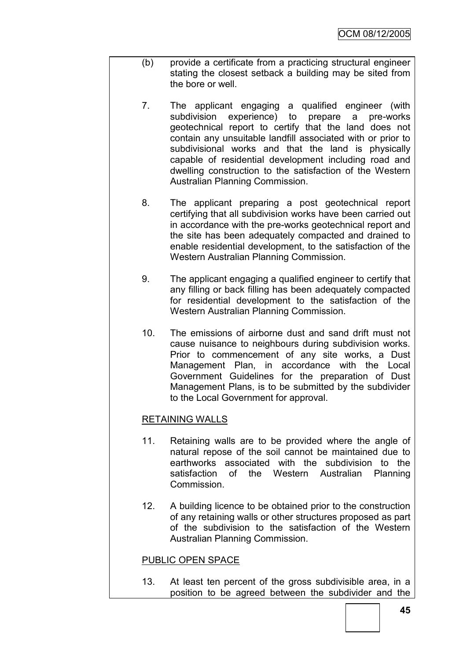- (b) provide a certificate from a practicing structural engineer stating the closest setback a building may be sited from the bore or well.
	- 7. The applicant engaging a qualified engineer (with subdivision experience) to prepare a pre-works geotechnical report to certify that the land does not contain any unsuitable landfill associated with or prior to subdivisional works and that the land is physically capable of residential development including road and dwelling construction to the satisfaction of the Western Australian Planning Commission.
	- 8. The applicant preparing a post geotechnical report certifying that all subdivision works have been carried out in accordance with the pre-works geotechnical report and the site has been adequately compacted and drained to enable residential development, to the satisfaction of the Western Australian Planning Commission.
	- 9. The applicant engaging a qualified engineer to certify that any filling or back filling has been adequately compacted for residential development to the satisfaction of the Western Australian Planning Commission.
	- 10. The emissions of airborne dust and sand drift must not cause nuisance to neighbours during subdivision works. Prior to commencement of any site works, a Dust Management Plan, in accordance with the Local Government Guidelines for the preparation of Dust Management Plans, is to be submitted by the subdivider to the Local Government for approval.

### RETAINING WALLS

- 11. Retaining walls are to be provided where the angle of natural repose of the soil cannot be maintained due to earthworks associated with the subdivision to the satisfaction of the Western Australian Planning Commission.
- 12. A building licence to be obtained prior to the construction of any retaining walls or other structures proposed as part of the subdivision to the satisfaction of the Western Australian Planning Commission.

### PUBLIC OPEN SPACE

13. At least ten percent of the gross subdivisible area, in a position to be agreed between the subdivider and the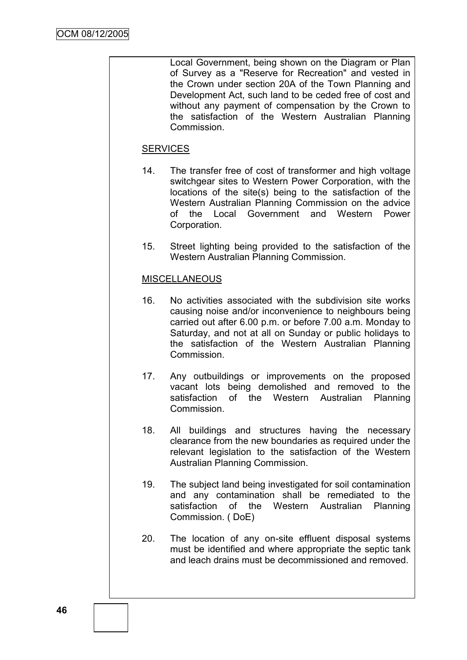Local Government, being shown on the Diagram or Plan of Survey as a "Reserve for Recreation" and vested in the Crown under section 20A of the Town Planning and Development Act, such land to be ceded free of cost and without any payment of compensation by the Crown to the satisfaction of the Western Australian Planning Commission.

# **SERVICES**

- 14. The transfer free of cost of transformer and high voltage switchgear sites to Western Power Corporation, with the locations of the site(s) being to the satisfaction of the Western Australian Planning Commission on the advice of the Local Government and Western Power Corporation.
- 15. Street lighting being provided to the satisfaction of the Western Australian Planning Commission.

### MISCELLANEOUS

- 16. No activities associated with the subdivision site works causing noise and/or inconvenience to neighbours being carried out after 6.00 p.m. or before 7.00 a.m. Monday to Saturday, and not at all on Sunday or public holidays to the satisfaction of the Western Australian Planning **Commission**
- 17. Any outbuildings or improvements on the proposed vacant lots being demolished and removed to the satisfaction of the Western Australian Planning **Commission**
- 18. All buildings and structures having the necessary clearance from the new boundaries as required under the relevant legislation to the satisfaction of the Western Australian Planning Commission.
- 19. The subject land being investigated for soil contamination and any contamination shall be remediated to the satisfaction of the Western Australian Planning Commission. ( DoE)
- 20. The location of any on-site effluent disposal systems must be identified and where appropriate the septic tank and leach drains must be decommissioned and removed.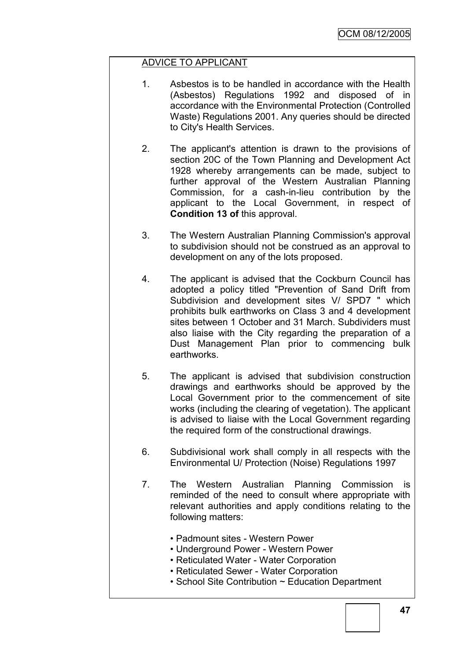## ADVICE TO APPLICANT

- 1. Asbestos is to be handled in accordance with the Health (Asbestos) Regulations 1992 and disposed of in accordance with the Environmental Protection (Controlled Waste) Regulations 2001. Any queries should be directed to City's Health Services.
- 2. The applicant's attention is drawn to the provisions of section 20C of the Town Planning and Development Act 1928 whereby arrangements can be made, subject to further approval of the Western Australian Planning Commission, for a cash-in-lieu contribution by the applicant to the Local Government, in respect of **Condition 13 of** this approval.
- 3. The Western Australian Planning Commission's approval to subdivision should not be construed as an approval to development on any of the lots proposed.
- 4. The applicant is advised that the Cockburn Council has adopted a policy titled "Prevention of Sand Drift from Subdivision and development sites V/ SPD7 " which prohibits bulk earthworks on Class 3 and 4 development sites between 1 October and 31 March. Subdividers must also liaise with the City regarding the preparation of a Dust Management Plan prior to commencing bulk earthworks.
- 5. The applicant is advised that subdivision construction drawings and earthworks should be approved by the Local Government prior to the commencement of site works (including the clearing of vegetation). The applicant is advised to liaise with the Local Government regarding the required form of the constructional drawings.
- 6. Subdivisional work shall comply in all respects with the Environmental U/ Protection (Noise) Regulations 1997
- 7. The Western Australian Planning Commission is reminded of the need to consult where appropriate with relevant authorities and apply conditions relating to the following matters:
	- Padmount sites Western Power
	- Underground Power Western Power
	- Reticulated Water Water Corporation
	- Reticulated Sewer Water Corporation
	- School Site Contribution ~ Education Department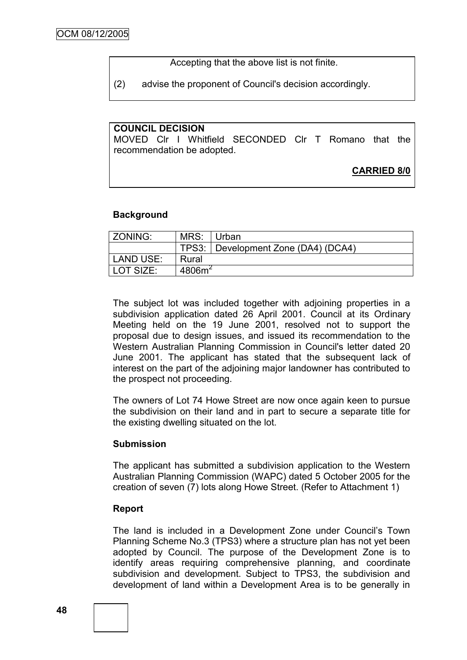Accepting that the above list is not finite.

(2) advise the proponent of Council's decision accordingly.

## **COUNCIL DECISION**

MOVED Clr I Whitfield SECONDED Clr T Romano that the recommendation be adopted.

## **CARRIED 8/0**

#### **Background**

| <b>ZONING:</b> | MRS:               | ∣Urban                              |
|----------------|--------------------|-------------------------------------|
|                |                    | TPS3: Development Zone (DA4) (DCA4) |
| LAND USE:      | Rural              |                                     |
| LOT SIZE:      | 4806m <sup>2</sup> |                                     |

The subject lot was included together with adjoining properties in a subdivision application dated 26 April 2001. Council at its Ordinary Meeting held on the 19 June 2001, resolved not to support the proposal due to design issues, and issued its recommendation to the Western Australian Planning Commission in Council's letter dated 20 June 2001. The applicant has stated that the subsequent lack of interest on the part of the adjoining major landowner has contributed to the prospect not proceeding.

The owners of Lot 74 Howe Street are now once again keen to pursue the subdivision on their land and in part to secure a separate title for the existing dwelling situated on the lot.

#### **Submission**

The applicant has submitted a subdivision application to the Western Australian Planning Commission (WAPC) dated 5 October 2005 for the creation of seven (7) lots along Howe Street. (Refer to Attachment 1)

#### **Report**

The land is included in a Development Zone under Council's Town Planning Scheme No.3 (TPS3) where a structure plan has not yet been adopted by Council. The purpose of the Development Zone is to identify areas requiring comprehensive planning, and coordinate subdivision and development. Subject to TPS3, the subdivision and development of land within a Development Area is to be generally in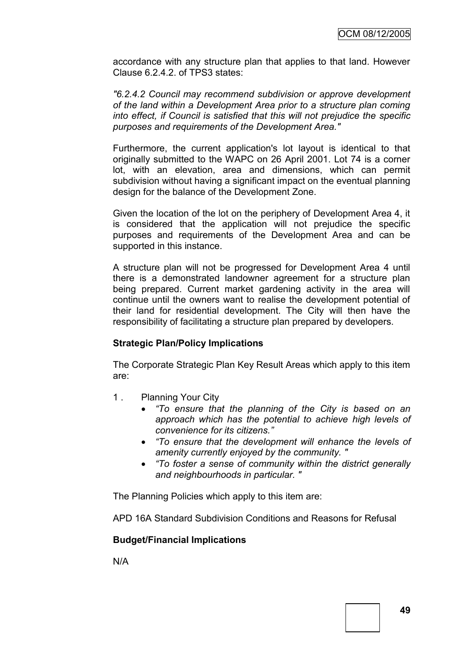accordance with any structure plan that applies to that land. However Clause 6.2.4.2. of TPS3 states:

*"6.2.4.2 Council may recommend subdivision or approve development of the land within a Development Area prior to a structure plan coming into effect, if Council is satisfied that this will not prejudice the specific purposes and requirements of the Development Area."*

Furthermore, the current application's lot layout is identical to that originally submitted to the WAPC on 26 April 2001. Lot 74 is a corner lot, with an elevation, area and dimensions, which can permit subdivision without having a significant impact on the eventual planning design for the balance of the Development Zone.

Given the location of the lot on the periphery of Development Area 4, it is considered that the application will not prejudice the specific purposes and requirements of the Development Area and can be supported in this instance.

A structure plan will not be progressed for Development Area 4 until there is a demonstrated landowner agreement for a structure plan being prepared. Current market gardening activity in the area will continue until the owners want to realise the development potential of their land for residential development. The City will then have the responsibility of facilitating a structure plan prepared by developers.

### **Strategic Plan/Policy Implications**

The Corporate Strategic Plan Key Result Areas which apply to this item are:

- 1 . Planning Your City
	- *"To ensure that the planning of the City is based on an approach which has the potential to achieve high levels of convenience for its citizens."*
	- *"To ensure that the development will enhance the levels of amenity currently enjoyed by the community. "*
	- *"To foster a sense of community within the district generally and neighbourhoods in particular. "*

The Planning Policies which apply to this item are:

APD 16A Standard Subdivision Conditions and Reasons for Refusal

### **Budget/Financial Implications**

N/A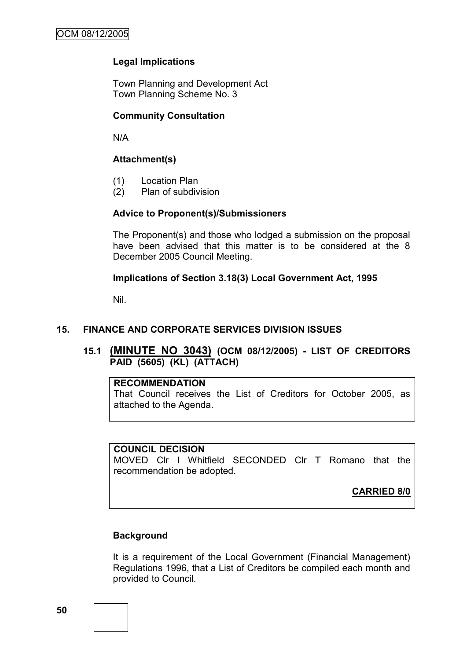# **Legal Implications**

Town Planning and Development Act Town Planning Scheme No. 3

### **Community Consultation**

N/A

### **Attachment(s)**

- (1) Location Plan
- (2) Plan of subdivision

#### **Advice to Proponent(s)/Submissioners**

The Proponent(s) and those who lodged a submission on the proposal have been advised that this matter is to be considered at the 8 December 2005 Council Meeting.

#### **Implications of Section 3.18(3) Local Government Act, 1995**

Nil.

### **15. FINANCE AND CORPORATE SERVICES DIVISION ISSUES**

**15.1 (MINUTE NO 3043) (OCM 08/12/2005) - LIST OF CREDITORS PAID (5605) (KL) (ATTACH)**

### **RECOMMENDATION**

That Council receives the List of Creditors for October 2005, as attached to the Agenda.

#### **COUNCIL DECISION**

MOVED Clr I Whitfield SECONDED Clr T Romano that the recommendation be adopted.

**CARRIED 8/0**

### **Background**

It is a requirement of the Local Government (Financial Management) Regulations 1996, that a List of Creditors be compiled each month and provided to Council.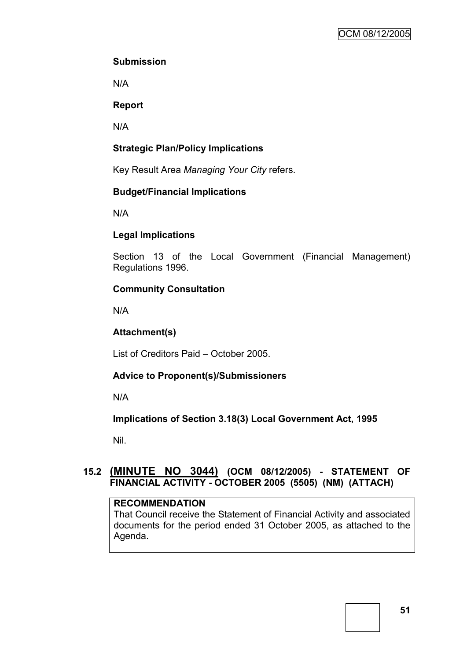# **Submission**

N/A

## **Report**

N/A

# **Strategic Plan/Policy Implications**

Key Result Area *Managing Your City* refers.

## **Budget/Financial Implications**

N/A

## **Legal Implications**

Section 13 of the Local Government (Financial Management) Regulations 1996.

## **Community Consultation**

N/A

# **Attachment(s)**

List of Creditors Paid – October 2005.

# **Advice to Proponent(s)/Submissioners**

N/A

**Implications of Section 3.18(3) Local Government Act, 1995**

Nil.

# **15.2 (MINUTE NO 3044) (OCM 08/12/2005) - STATEMENT OF FINANCIAL ACTIVITY - OCTOBER 2005 (5505) (NM) (ATTACH)**

### **RECOMMENDATION**

That Council receive the Statement of Financial Activity and associated documents for the period ended 31 October 2005, as attached to the Agenda.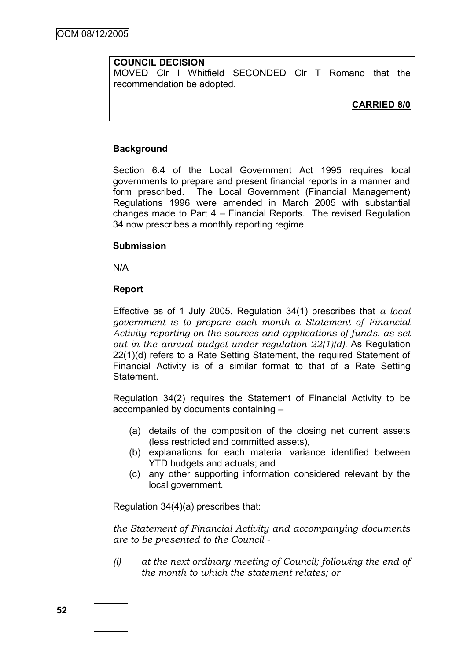## **COUNCIL DECISION**

MOVED Clr I Whitfield SECONDED Clr T Romano that the recommendation be adopted.

# **CARRIED 8/0**

### **Background**

Section 6.4 of the Local Government Act 1995 requires local governments to prepare and present financial reports in a manner and form prescribed. The Local Government (Financial Management) Regulations 1996 were amended in March 2005 with substantial changes made to Part 4 – Financial Reports. The revised Regulation 34 now prescribes a monthly reporting regime.

#### **Submission**

N/A

### **Report**

Effective as of 1 July 2005, Regulation 34(1) prescribes that *a local government is to prepare each month a Statement of Financial Activity reporting on the sources and applications of funds, as set out in the annual budget under regulation 22(1)(d)*. As Regulation 22(1)(d) refers to a Rate Setting Statement, the required Statement of Financial Activity is of a similar format to that of a Rate Setting Statement.

Regulation 34(2) requires the Statement of Financial Activity to be accompanied by documents containing –

- (a) details of the composition of the closing net current assets (less restricted and committed assets),
- (b) explanations for each material variance identified between YTD budgets and actuals; and
- (c) any other supporting information considered relevant by the local government.

Regulation 34(4)(a) prescribes that:

*the Statement of Financial Activity and accompanying documents are to be presented to the Council -*

*(i) at the next ordinary meeting of Council; following the end of the month to which the statement relates; or*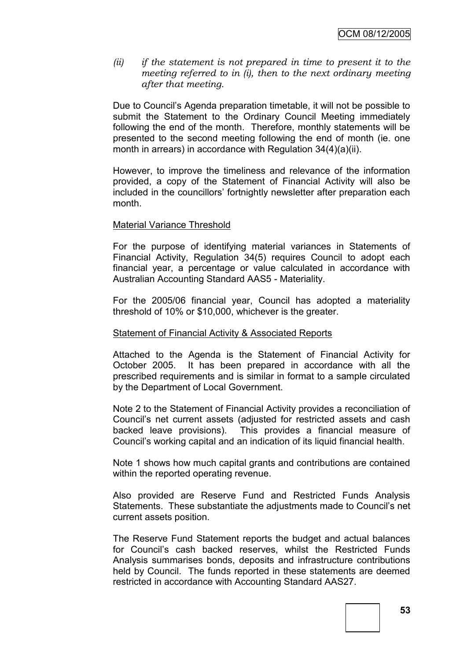*(ii) if the statement is not prepared in time to present it to the meeting referred to in (i), then to the next ordinary meeting after that meeting.*

Due to Council's Agenda preparation timetable, it will not be possible to submit the Statement to the Ordinary Council Meeting immediately following the end of the month. Therefore, monthly statements will be presented to the second meeting following the end of month (ie. one month in arrears) in accordance with Regulation 34(4)(a)(ii).

However, to improve the timeliness and relevance of the information provided, a copy of the Statement of Financial Activity will also be included in the councillors' fortnightly newsletter after preparation each month.

#### Material Variance Threshold

For the purpose of identifying material variances in Statements of Financial Activity, Regulation 34(5) requires Council to adopt each financial year, a percentage or value calculated in accordance with Australian Accounting Standard AAS5 - Materiality.

For the 2005/06 financial year, Council has adopted a materiality threshold of 10% or \$10,000, whichever is the greater.

#### Statement of Financial Activity & Associated Reports

Attached to the Agenda is the Statement of Financial Activity for October 2005. It has been prepared in accordance with all the prescribed requirements and is similar in format to a sample circulated by the Department of Local Government.

Note 2 to the Statement of Financial Activity provides a reconciliation of Council's net current assets (adjusted for restricted assets and cash backed leave provisions). This provides a financial measure of Council's working capital and an indication of its liquid financial health.

Note 1 shows how much capital grants and contributions are contained within the reported operating revenue.

Also provided are Reserve Fund and Restricted Funds Analysis Statements. These substantiate the adjustments made to Council's net current assets position.

The Reserve Fund Statement reports the budget and actual balances for Council's cash backed reserves, whilst the Restricted Funds Analysis summarises bonds, deposits and infrastructure contributions held by Council. The funds reported in these statements are deemed restricted in accordance with Accounting Standard AAS27.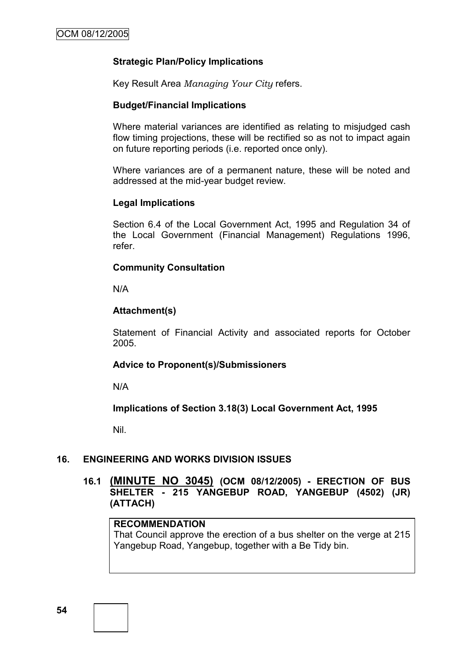## **Strategic Plan/Policy Implications**

Key Result Area *Managing Your City* refers.

### **Budget/Financial Implications**

Where material variances are identified as relating to misjudged cash flow timing projections, these will be rectified so as not to impact again on future reporting periods (i.e. reported once only).

Where variances are of a permanent nature, these will be noted and addressed at the mid-year budget review.

### **Legal Implications**

Section 6.4 of the Local Government Act, 1995 and Regulation 34 of the Local Government (Financial Management) Regulations 1996, refer.

### **Community Consultation**

N/A

### **Attachment(s)**

Statement of Financial Activity and associated reports for October 2005.

### **Advice to Proponent(s)/Submissioners**

N/A

### **Implications of Section 3.18(3) Local Government Act, 1995**

Nil.

### **16. ENGINEERING AND WORKS DIVISION ISSUES**

## **16.1 (MINUTE NO 3045) (OCM 08/12/2005) - ERECTION OF BUS SHELTER - 215 YANGEBUP ROAD, YANGEBUP (4502) (JR) (ATTACH)**

# **RECOMMENDATION**

That Council approve the erection of a bus shelter on the verge at 215 Yangebup Road, Yangebup, together with a Be Tidy bin.

**54**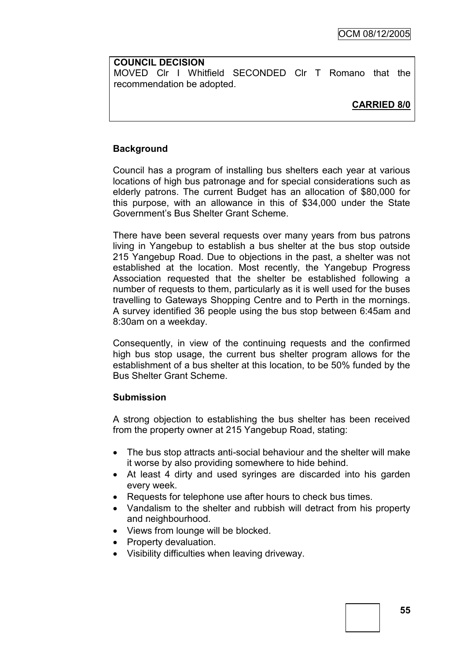#### **COUNCIL DECISION**

MOVED Clr I Whitfield SECONDED Clr T Romano that the recommendation be adopted.

# **CARRIED 8/0**

### **Background**

Council has a program of installing bus shelters each year at various locations of high bus patronage and for special considerations such as elderly patrons. The current Budget has an allocation of \$80,000 for this purpose, with an allowance in this of \$34,000 under the State Government's Bus Shelter Grant Scheme.

There have been several requests over many years from bus patrons living in Yangebup to establish a bus shelter at the bus stop outside 215 Yangebup Road. Due to objections in the past, a shelter was not established at the location. Most recently, the Yangebup Progress Association requested that the shelter be established following a number of requests to them, particularly as it is well used for the buses travelling to Gateways Shopping Centre and to Perth in the mornings. A survey identified 36 people using the bus stop between 6:45am and 8:30am on a weekday.

Consequently, in view of the continuing requests and the confirmed high bus stop usage, the current bus shelter program allows for the establishment of a bus shelter at this location, to be 50% funded by the Bus Shelter Grant Scheme.

### **Submission**

A strong objection to establishing the bus shelter has been received from the property owner at 215 Yangebup Road, stating:

- The bus stop attracts anti-social behaviour and the shelter will make it worse by also providing somewhere to hide behind.
- At least 4 dirty and used syringes are discarded into his garden every week.
- Requests for telephone use after hours to check bus times.
- Vandalism to the shelter and rubbish will detract from his property and neighbourhood.
- Views from lounge will be blocked.
- Property devaluation.
- Visibility difficulties when leaving driveway.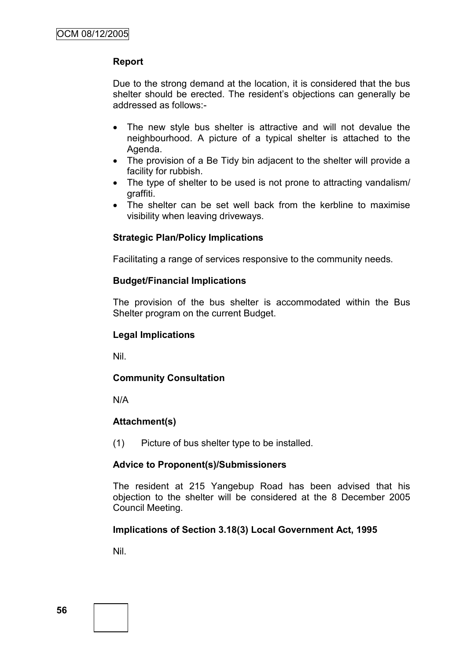## **Report**

Due to the strong demand at the location, it is considered that the bus shelter should be erected. The resident's objections can generally be addressed as follows:-

- The new style bus shelter is attractive and will not devalue the neighbourhood. A picture of a typical shelter is attached to the Agenda.
- The provision of a Be Tidy bin adjacent to the shelter will provide a facility for rubbish.
- The type of shelter to be used is not prone to attracting vandalism/ graffiti.
- The shelter can be set well back from the kerbline to maximise visibility when leaving driveways.

### **Strategic Plan/Policy Implications**

Facilitating a range of services responsive to the community needs.

### **Budget/Financial Implications**

The provision of the bus shelter is accommodated within the Bus Shelter program on the current Budget.

### **Legal Implications**

Nil.

### **Community Consultation**

N/A

### **Attachment(s)**

(1) Picture of bus shelter type to be installed.

### **Advice to Proponent(s)/Submissioners**

The resident at 215 Yangebup Road has been advised that his objection to the shelter will be considered at the 8 December 2005 Council Meeting.

### **Implications of Section 3.18(3) Local Government Act, 1995**

Nil.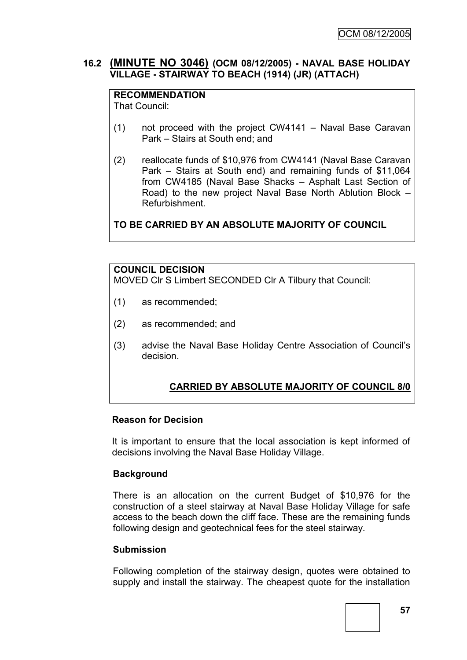## **16.2 (MINUTE NO 3046) (OCM 08/12/2005) - NAVAL BASE HOLIDAY VILLAGE - STAIRWAY TO BEACH (1914) (JR) (ATTACH)**

# **RECOMMENDATION**

That Council:

- (1) not proceed with the project CW4141 Naval Base Caravan Park – Stairs at South end; and
- (2) reallocate funds of \$10,976 from CW4141 (Naval Base Caravan Park – Stairs at South end) and remaining funds of \$11,064 from CW4185 (Naval Base Shacks – Asphalt Last Section of Road) to the new project Naval Base North Ablution Block – Refurbishment.

**TO BE CARRIED BY AN ABSOLUTE MAJORITY OF COUNCIL**

### **COUNCIL DECISION**

MOVED Clr S Limbert SECONDED Clr A Tilbury that Council:

- (1) as recommended;
- (2) as recommended; and
- (3) advise the Naval Base Holiday Centre Association of Council's decision.

# **CARRIED BY ABSOLUTE MAJORITY OF COUNCIL 8/0**

### **Reason for Decision**

It is important to ensure that the local association is kept informed of decisions involving the Naval Base Holiday Village.

### **Background**

There is an allocation on the current Budget of \$10,976 for the construction of a steel stairway at Naval Base Holiday Village for safe access to the beach down the cliff face. These are the remaining funds following design and geotechnical fees for the steel stairway.

### **Submission**

Following completion of the stairway design, quotes were obtained to supply and install the stairway. The cheapest quote for the installation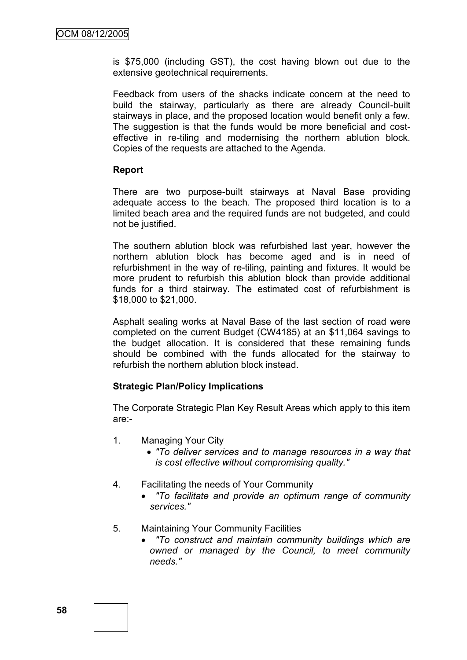is \$75,000 (including GST), the cost having blown out due to the extensive geotechnical requirements.

Feedback from users of the shacks indicate concern at the need to build the stairway, particularly as there are already Council-built stairways in place, and the proposed location would benefit only a few. The suggestion is that the funds would be more beneficial and costeffective in re-tiling and modernising the northern ablution block. Copies of the requests are attached to the Agenda.

#### **Report**

There are two purpose-built stairways at Naval Base providing adequate access to the beach. The proposed third location is to a limited beach area and the required funds are not budgeted, and could not be justified.

The southern ablution block was refurbished last year, however the northern ablution block has become aged and is in need of refurbishment in the way of re-tiling, painting and fixtures. It would be more prudent to refurbish this ablution block than provide additional funds for a third stairway. The estimated cost of refurbishment is \$18,000 to \$21,000.

Asphalt sealing works at Naval Base of the last section of road were completed on the current Budget (CW4185) at an \$11,064 savings to the budget allocation. It is considered that these remaining funds should be combined with the funds allocated for the stairway to refurbish the northern ablution block instead.

### **Strategic Plan/Policy Implications**

The Corporate Strategic Plan Key Result Areas which apply to this item are:-

- 1. Managing Your City
	- *"To deliver services and to manage resources in a way that is cost effective without compromising quality."*
- 4. Facilitating the needs of Your Community
	- *"To facilitate and provide an optimum range of community services."*
- 5. Maintaining Your Community Facilities
	- *"To construct and maintain community buildings which are owned or managed by the Council, to meet community needs."*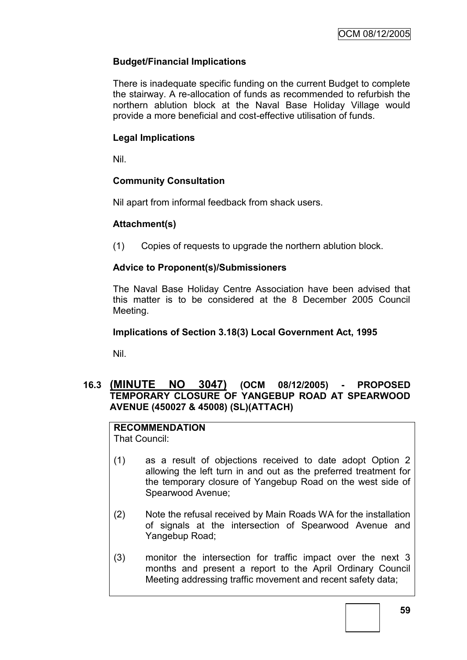# **Budget/Financial Implications**

There is inadequate specific funding on the current Budget to complete the stairway. A re-allocation of funds as recommended to refurbish the northern ablution block at the Naval Base Holiday Village would provide a more beneficial and cost-effective utilisation of funds.

# **Legal Implications**

Nil.

# **Community Consultation**

Nil apart from informal feedback from shack users.

# **Attachment(s)**

(1) Copies of requests to upgrade the northern ablution block.

# **Advice to Proponent(s)/Submissioners**

The Naval Base Holiday Centre Association have been advised that this matter is to be considered at the 8 December 2005 Council Meeting.

## **Implications of Section 3.18(3) Local Government Act, 1995**

Nil.

# **16.3 (MINUTE NO 3047) (OCM 08/12/2005) - PROPOSED TEMPORARY CLOSURE OF YANGEBUP ROAD AT SPEARWOOD AVENUE (450027 & 45008) (SL)(ATTACH)**

**RECOMMENDATION** That Council:

- (1) as a result of objections received to date adopt Option 2 allowing the left turn in and out as the preferred treatment for the temporary closure of Yangebup Road on the west side of Spearwood Avenue;
- (2) Note the refusal received by Main Roads WA for the installation of signals at the intersection of Spearwood Avenue and Yangebup Road;
- (3) monitor the intersection for traffic impact over the next 3 months and present a report to the April Ordinary Council Meeting addressing traffic movement and recent safety data;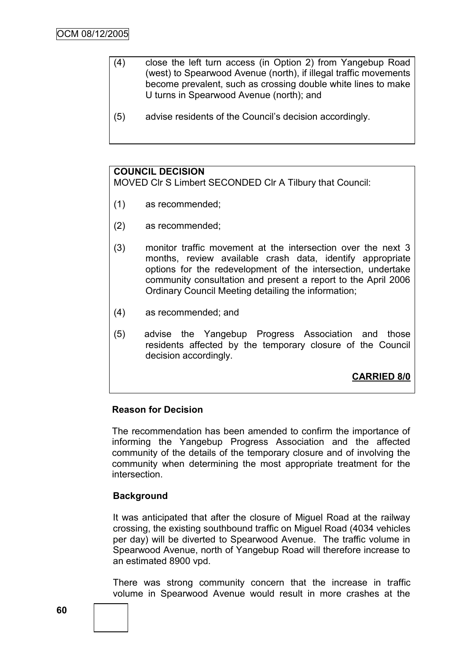- (4) close the left turn access (in Option 2) from Yangebup Road (west) to Spearwood Avenue (north), if illegal traffic movements become prevalent, such as crossing double white lines to make U turns in Spearwood Avenue (north); and
- (5) advise residents of the Council's decision accordingly.

# **COUNCIL DECISION**

MOVED Clr S Limbert SECONDED Clr A Tilbury that Council:

- (1) as recommended;
- (2) as recommended;
- (3) monitor traffic movement at the intersection over the next 3 months, review available crash data, identify appropriate options for the redevelopment of the intersection, undertake community consultation and present a report to the April 2006 Ordinary Council Meeting detailing the information;
- (4) as recommended; and
- (5) advise the Yangebup Progress Association and those residents affected by the temporary closure of the Council decision accordingly.

**CARRIED 8/0**

### **Reason for Decision**

The recommendation has been amended to confirm the importance of informing the Yangebup Progress Association and the affected community of the details of the temporary closure and of involving the community when determining the most appropriate treatment for the intersection.

### **Background**

It was anticipated that after the closure of Miguel Road at the railway crossing, the existing southbound traffic on Miguel Road (4034 vehicles per day) will be diverted to Spearwood Avenue. The traffic volume in Spearwood Avenue, north of Yangebup Road will therefore increase to an estimated 8900 vpd.

There was strong community concern that the increase in traffic volume in Spearwood Avenue would result in more crashes at the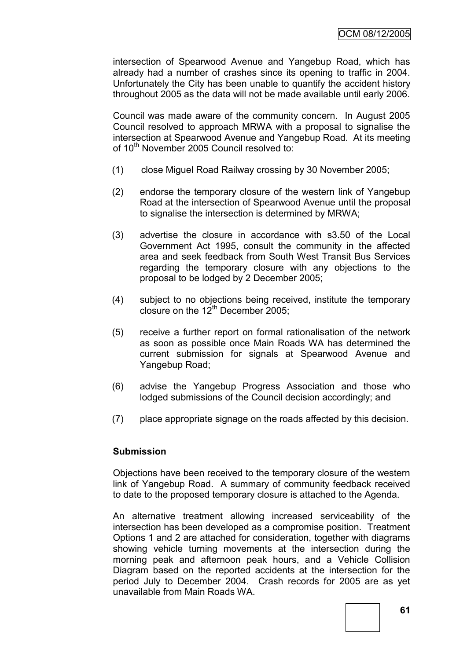intersection of Spearwood Avenue and Yangebup Road, which has already had a number of crashes since its opening to traffic in 2004. Unfortunately the City has been unable to quantify the accident history throughout 2005 as the data will not be made available until early 2006.

Council was made aware of the community concern. In August 2005 Council resolved to approach MRWA with a proposal to signalise the intersection at Spearwood Avenue and Yangebup Road. At its meeting of 10<sup>th</sup> November 2005 Council resolved to:

- (1) close Miguel Road Railway crossing by 30 November 2005;
- (2) endorse the temporary closure of the western link of Yangebup Road at the intersection of Spearwood Avenue until the proposal to signalise the intersection is determined by MRWA;
- (3) advertise the closure in accordance with s3.50 of the Local Government Act 1995, consult the community in the affected area and seek feedback from South West Transit Bus Services regarding the temporary closure with any objections to the proposal to be lodged by 2 December 2005;
- (4) subject to no objections being received, institute the temporary closure on the  $12<sup>th</sup>$  December 2005;
- (5) receive a further report on formal rationalisation of the network as soon as possible once Main Roads WA has determined the current submission for signals at Spearwood Avenue and Yangebup Road;
- (6) advise the Yangebup Progress Association and those who lodged submissions of the Council decision accordingly; and
- (7) place appropriate signage on the roads affected by this decision.

### **Submission**

Objections have been received to the temporary closure of the western link of Yangebup Road. A summary of community feedback received to date to the proposed temporary closure is attached to the Agenda.

An alternative treatment allowing increased serviceability of the intersection has been developed as a compromise position. Treatment Options 1 and 2 are attached for consideration, together with diagrams showing vehicle turning movements at the intersection during the morning peak and afternoon peak hours, and a Vehicle Collision Diagram based on the reported accidents at the intersection for the period July to December 2004. Crash records for 2005 are as yet unavailable from Main Roads WA.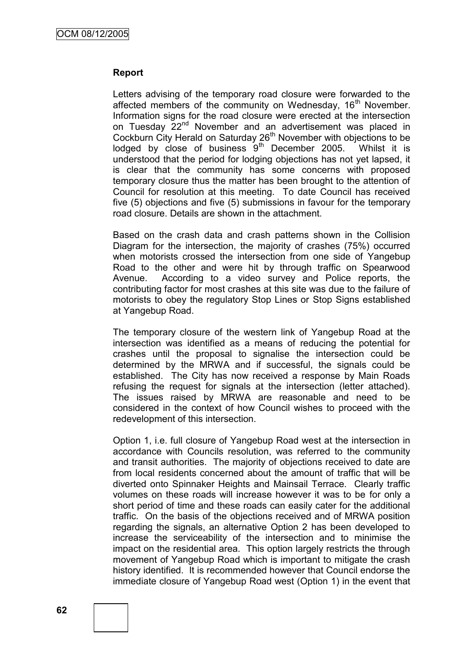#### **Report**

Letters advising of the temporary road closure were forwarded to the affected members of the community on Wednesday, 16<sup>th</sup> November. Information signs for the road closure were erected at the intersection on Tuesday 22<sup>nd</sup> November and an advertisement was placed in Cockburn City Herald on Saturday 26<sup>th</sup> November with objections to be lodged by close of business  $9<sup>th</sup>$  December 2005. Whilst it is understood that the period for lodging objections has not yet lapsed, it is clear that the community has some concerns with proposed temporary closure thus the matter has been brought to the attention of Council for resolution at this meeting. To date Council has received five (5) objections and five (5) submissions in favour for the temporary road closure. Details are shown in the attachment.

Based on the crash data and crash patterns shown in the Collision Diagram for the intersection, the majority of crashes (75%) occurred when motorists crossed the intersection from one side of Yangebup Road to the other and were hit by through traffic on Spearwood Avenue. According to a video survey and Police reports, the contributing factor for most crashes at this site was due to the failure of motorists to obey the regulatory Stop Lines or Stop Signs established at Yangebup Road.

The temporary closure of the western link of Yangebup Road at the intersection was identified as a means of reducing the potential for crashes until the proposal to signalise the intersection could be determined by the MRWA and if successful, the signals could be established. The City has now received a response by Main Roads refusing the request for signals at the intersection (letter attached). The issues raised by MRWA are reasonable and need to be considered in the context of how Council wishes to proceed with the redevelopment of this intersection.

Option 1, i.e. full closure of Yangebup Road west at the intersection in accordance with Councils resolution, was referred to the community and transit authorities. The majority of objections received to date are from local residents concerned about the amount of traffic that will be diverted onto Spinnaker Heights and Mainsail Terrace. Clearly traffic volumes on these roads will increase however it was to be for only a short period of time and these roads can easily cater for the additional traffic. On the basis of the objections received and of MRWA position regarding the signals, an alternative Option 2 has been developed to increase the serviceability of the intersection and to minimise the impact on the residential area. This option largely restricts the through movement of Yangebup Road which is important to mitigate the crash history identified. It is recommended however that Council endorse the immediate closure of Yangebup Road west (Option 1) in the event that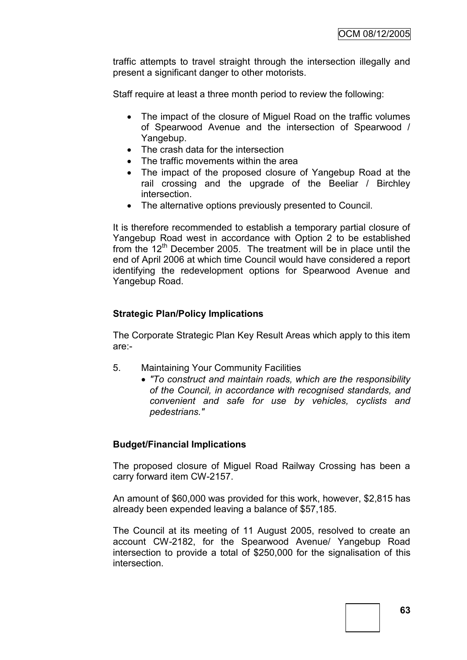traffic attempts to travel straight through the intersection illegally and present a significant danger to other motorists.

Staff require at least a three month period to review the following:

- The impact of the closure of Miquel Road on the traffic volumes of Spearwood Avenue and the intersection of Spearwood / Yangebup.
- The crash data for the intersection
- The traffic movements within the area
- The impact of the proposed closure of Yangebup Road at the rail crossing and the upgrade of the Beeliar / Birchley intersection.
- The alternative options previously presented to Council.

It is therefore recommended to establish a temporary partial closure of Yangebup Road west in accordance with Option 2 to be established from the  $12<sup>th</sup>$  December 2005. The treatment will be in place until the end of April 2006 at which time Council would have considered a report identifying the redevelopment options for Spearwood Avenue and Yangebup Road.

### **Strategic Plan/Policy Implications**

The Corporate Strategic Plan Key Result Areas which apply to this item are:-

- 5. Maintaining Your Community Facilities
	- *"To construct and maintain roads, which are the responsibility of the Council, in accordance with recognised standards, and convenient and safe for use by vehicles, cyclists and pedestrians."*

### **Budget/Financial Implications**

The proposed closure of Miguel Road Railway Crossing has been a carry forward item CW-2157.

An amount of \$60,000 was provided for this work, however, \$2,815 has already been expended leaving a balance of \$57,185.

The Council at its meeting of 11 August 2005, resolved to create an account CW-2182, for the Spearwood Avenue/ Yangebup Road intersection to provide a total of \$250,000 for the signalisation of this intersection.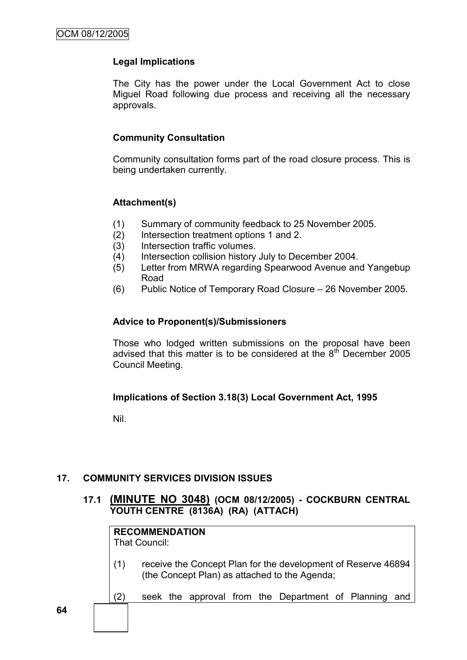## **Legal Implications**

The City has the power under the Local Government Act to close Miguel Road following due process and receiving all the necessary approvals.

### **Community Consultation**

Community consultation forms part of the road closure process. This is being undertaken currently.

### **Attachment(s)**

- (1) Summary of community feedback to 25 November 2005.
- (2) Intersection treatment options 1 and 2.
- (3) Intersection traffic volumes.
- (4) Intersection collision history July to December 2004.
- (5) Letter from MRWA regarding Spearwood Avenue and Yangebup Road
- (6) Public Notice of Temporary Road Closure 26 November 2005.

#### **Advice to Proponent(s)/Submissioners**

Those who lodged written submissions on the proposal have been advised that this matter is to be considered at the  $8<sup>th</sup>$  December 2005 Council Meeting.

### **Implications of Section 3.18(3) Local Government Act, 1995**

Nil.

# **17. COMMUNITY SERVICES DIVISION ISSUES**

## **17.1 (MINUTE NO 3048) (OCM 08/12/2005) - COCKBURN CENTRAL YOUTH CENTRE (8136A) (RA) (ATTACH)**

|     | <b>RECOMMENDATION</b><br>That Council:                                                                         |  |  |  |  |                                                   |  |  |     |
|-----|----------------------------------------------------------------------------------------------------------------|--|--|--|--|---------------------------------------------------|--|--|-----|
| (1) | receive the Concept Plan for the development of Reserve 46894<br>(the Concept Plan) as attached to the Agenda; |  |  |  |  |                                                   |  |  |     |
| '2) |                                                                                                                |  |  |  |  | seek the approval from the Department of Planning |  |  | and |
|     |                                                                                                                |  |  |  |  |                                                   |  |  |     |

**64**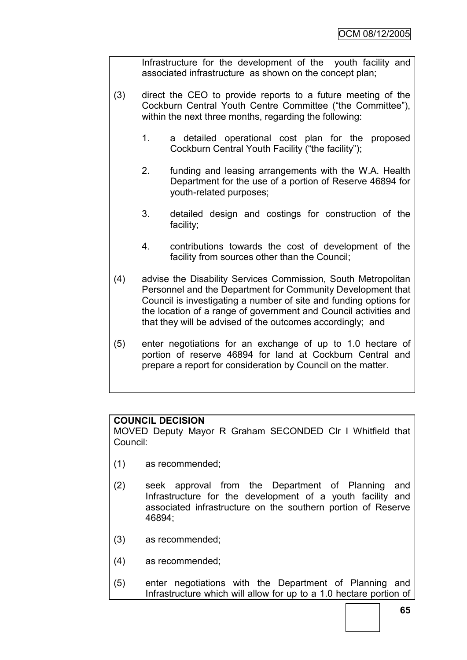Infrastructure for the development of the youth facility and associated infrastructure as shown on the concept plan;

- (3) direct the CEO to provide reports to a future meeting of the Cockburn Central Youth Centre Committee ("the Committee"), within the next three months, regarding the following:
	- 1. a detailed operational cost plan for the proposed Cockburn Central Youth Facility ("the facility");
	- 2. funding and leasing arrangements with the W.A. Health Department for the use of a portion of Reserve 46894 for youth-related purposes;
	- 3. detailed design and costings for construction of the facility;
	- 4. contributions towards the cost of development of the facility from sources other than the Council;
- (4) advise the Disability Services Commission, South Metropolitan Personnel and the Department for Community Development that Council is investigating a number of site and funding options for the location of a range of government and Council activities and that they will be advised of the outcomes accordingly; and
- (5) enter negotiations for an exchange of up to 1.0 hectare of portion of reserve 46894 for land at Cockburn Central and prepare a report for consideration by Council on the matter.

### **COUNCIL DECISION**

MOVED Deputy Mayor R Graham SECONDED Clr I Whitfield that Council:

- (1) as recommended;
- (2) seek approval from the Department of Planning and Infrastructure for the development of a youth facility and associated infrastructure on the southern portion of Reserve 46894;
- (3) as recommended;
- (4) as recommended;
- (5) enter negotiations with the Department of Planning and Infrastructure which will allow for up to a 1.0 hectare portion of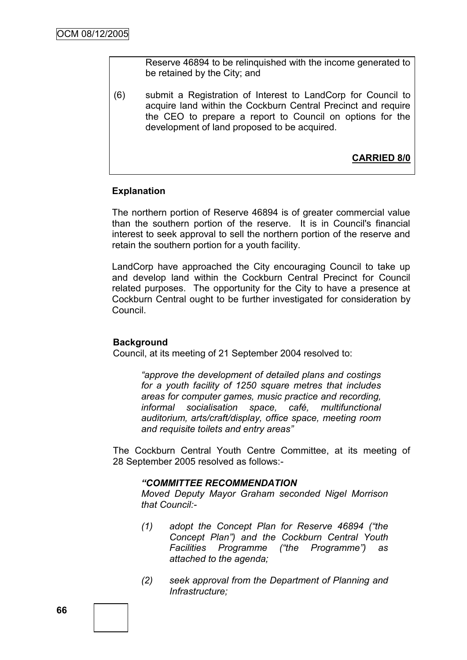Reserve 46894 to be relinquished with the income generated to be retained by the City; and

(6) submit a Registration of Interest to LandCorp for Council to acquire land within the Cockburn Central Precinct and require the CEO to prepare a report to Council on options for the development of land proposed to be acquired.

**CARRIED 8/0**

### **Explanation**

The northern portion of Reserve 46894 is of greater commercial value than the southern portion of the reserve. It is in Council's financial interest to seek approval to sell the northern portion of the reserve and retain the southern portion for a youth facility.

LandCorp have approached the City encouraging Council to take up and develop land within the Cockburn Central Precinct for Council related purposes. The opportunity for the City to have a presence at Cockburn Central ought to be further investigated for consideration by Council.

#### **Background**

Council, at its meeting of 21 September 2004 resolved to:

*"approve the development of detailed plans and costings for a youth facility of 1250 square metres that includes areas for computer games, music practice and recording, informal socialisation space, café, multifunctional auditorium, arts/craft/display, office space, meeting room and requisite toilets and entry areas"*

The Cockburn Central Youth Centre Committee, at its meeting of 28 September 2005 resolved as follows:-

#### *"COMMITTEE RECOMMENDATION*

*Moved Deputy Mayor Graham seconded Nigel Morrison that Council:-*

- *(1) adopt the Concept Plan for Reserve 46894 ("the Concept Plan") and the Cockburn Central Youth Facilities Programme ("the Programme") as attached to the agenda;*
- *(2) seek approval from the Department of Planning and Infrastructure;*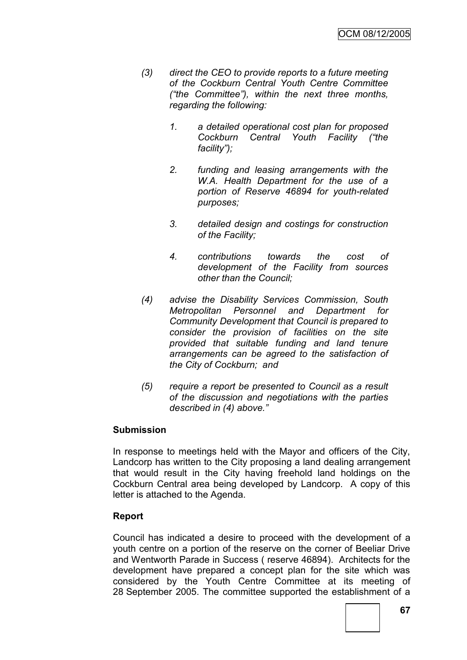- *(3) direct the CEO to provide reports to a future meeting of the Cockburn Central Youth Centre Committee ("the Committee"), within the next three months, regarding the following:*
	- *1. a detailed operational cost plan for proposed Cockburn Central Youth Facility ("the facility");*
	- *2. funding and leasing arrangements with the W.A. Health Department for the use of a portion of Reserve 46894 for youth-related purposes;*
	- *3. detailed design and costings for construction of the Facility;*
	- *4. contributions towards the cost of development of the Facility from sources other than the Council;*
- *(4) advise the Disability Services Commission, South Metropolitan Personnel and Department for Community Development that Council is prepared to consider the provision of facilities on the site provided that suitable funding and land tenure arrangements can be agreed to the satisfaction of the City of Cockburn; and*
- *(5) require a report be presented to Council as a result of the discussion and negotiations with the parties described in (4) above."*

### **Submission**

In response to meetings held with the Mayor and officers of the City, Landcorp has written to the City proposing a land dealing arrangement that would result in the City having freehold land holdings on the Cockburn Central area being developed by Landcorp. A copy of this letter is attached to the Agenda.

### **Report**

Council has indicated a desire to proceed with the development of a youth centre on a portion of the reserve on the corner of Beeliar Drive and Wentworth Parade in Success ( reserve 46894). Architects for the development have prepared a concept plan for the site which was considered by the Youth Centre Committee at its meeting of 28 September 2005. The committee supported the establishment of a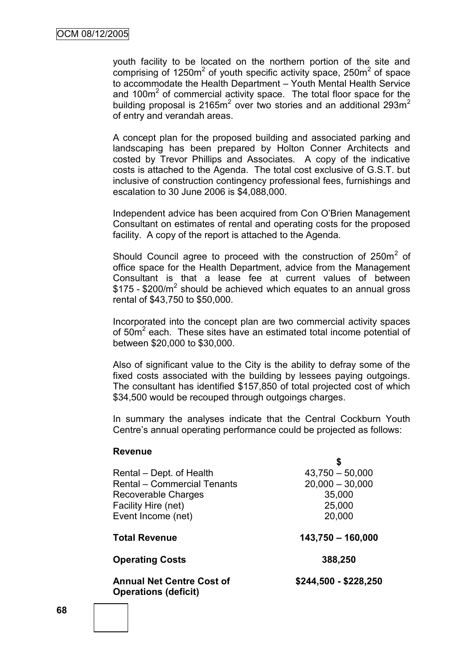youth facility to be located on the northern portion of the site and comprising of  $1250m^2$  of youth specific activity space,  $250m^2$  of space to accommodate the Health Department – Youth Mental Health Service and 100 $m<sup>2</sup>$  of commercial activity space. The total floor space for the building proposal is 2165 $m^2$  over two stories and an additional 293 $m^2$ of entry and verandah areas.

A concept plan for the proposed building and associated parking and landscaping has been prepared by Holton Conner Architects and costed by Trevor Phillips and Associates. A copy of the indicative costs is attached to the Agenda. The total cost exclusive of G.S.T. but inclusive of construction contingency professional fees, furnishings and escalation to 30 June 2006 is \$4,088,000.

Independent advice has been acquired from Con O'Brien Management Consultant on estimates of rental and operating costs for the proposed facility. A copy of the report is attached to the Agenda.

Should Council agree to proceed with the construction of  $250m^2$  of office space for the Health Department, advice from the Management Consultant is that a lease fee at current values of between  $$175$  -  $$200/m^2$  should be achieved which equates to an annual gross rental of \$43,750 to \$50,000.

Incorporated into the concept plan are two commercial activity spaces of  $50m^2$  each. These sites have an estimated total income potential of between \$20,000 to \$30,000.

Also of significant value to the City is the ability to defray some of the fixed costs associated with the building by lessees paying outgoings. The consultant has identified \$157,850 of total projected cost of which \$34,500 would be recouped through outgoings charges.

In summary the analyses indicate that the Central Cockburn Youth Centre's annual operating performance could be projected as follows:

| Rental – Dept. of Health                                        | $43,750 - 50,000$     |  |  |  |  |
|-----------------------------------------------------------------|-----------------------|--|--|--|--|
| <b>Rental - Commercial Tenants</b>                              | $20,000 - 30,000$     |  |  |  |  |
| Recoverable Charges                                             | 35,000                |  |  |  |  |
| Facility Hire (net)                                             | 25,000                |  |  |  |  |
| Event Income (net)                                              | 20,000                |  |  |  |  |
| <b>Total Revenue</b>                                            | $143,750 - 160,000$   |  |  |  |  |
| <b>Operating Costs</b>                                          | 388,250               |  |  |  |  |
| <b>Annual Net Centre Cost of</b><br><b>Operations (deficit)</b> | \$244,500 - \$228,250 |  |  |  |  |

#### **Revenue**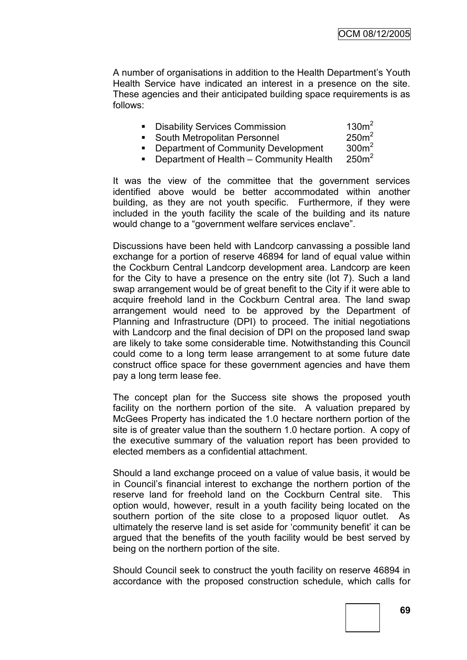A number of organisations in addition to the Health Department's Youth Health Service have indicated an interest in a presence on the site. These agencies and their anticipated building space requirements is as follows:

| <b>Disability Services Commission</b> | 130m <sup>2</sup> |
|---------------------------------------|-------------------|
|                                       |                   |

• South Metropolitan Personnel 250m<sup>2</sup>

**• Department of Community Development**  $300m^2$ 

**Department of Health – Community Health**  $250m^2$ 

It was the view of the committee that the government services identified above would be better accommodated within another building, as they are not youth specific. Furthermore, if they were included in the youth facility the scale of the building and its nature would change to a "government welfare services enclave".

Discussions have been held with Landcorp canvassing a possible land exchange for a portion of reserve 46894 for land of equal value within the Cockburn Central Landcorp development area. Landcorp are keen for the City to have a presence on the entry site (lot 7). Such a land swap arrangement would be of great benefit to the City if it were able to acquire freehold land in the Cockburn Central area. The land swap arrangement would need to be approved by the Department of Planning and Infrastructure (DPI) to proceed. The initial negotiations with Landcorp and the final decision of DPI on the proposed land swap are likely to take some considerable time. Notwithstanding this Council could come to a long term lease arrangement to at some future date construct office space for these government agencies and have them pay a long term lease fee.

The concept plan for the Success site shows the proposed youth facility on the northern portion of the site. A valuation prepared by McGees Property has indicated the 1.0 hectare northern portion of the site is of greater value than the southern 1.0 hectare portion. A copy of the executive summary of the valuation report has been provided to elected members as a confidential attachment.

Should a land exchange proceed on a value of value basis, it would be in Council's financial interest to exchange the northern portion of the reserve land for freehold land on the Cockburn Central site. This option would, however, result in a youth facility being located on the southern portion of the site close to a proposed liquor outlet. As ultimately the reserve land is set aside for 'community benefit' it can be argued that the benefits of the youth facility would be best served by being on the northern portion of the site.

Should Council seek to construct the youth facility on reserve 46894 in accordance with the proposed construction schedule, which calls for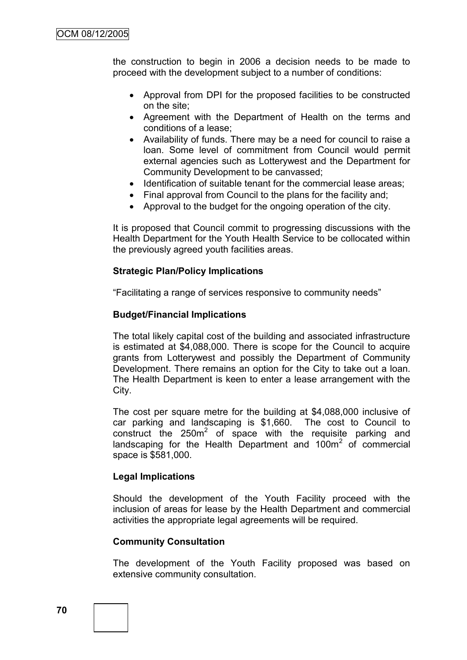the construction to begin in 2006 a decision needs to be made to proceed with the development subject to a number of conditions:

- Approval from DPI for the proposed facilities to be constructed on the site;
- Agreement with the Department of Health on the terms and conditions of a lease;
- Availability of funds. There may be a need for council to raise a loan. Some level of commitment from Council would permit external agencies such as Lotterywest and the Department for Community Development to be canvassed;
- Identification of suitable tenant for the commercial lease areas;
- Final approval from Council to the plans for the facility and;
- Approval to the budget for the ongoing operation of the city.

It is proposed that Council commit to progressing discussions with the Health Department for the Youth Health Service to be collocated within the previously agreed youth facilities areas.

### **Strategic Plan/Policy Implications**

"Facilitating a range of services responsive to community needs"

#### **Budget/Financial Implications**

The total likely capital cost of the building and associated infrastructure is estimated at \$4,088,000. There is scope for the Council to acquire grants from Lotterywest and possibly the Department of Community Development. There remains an option for the City to take out a loan. The Health Department is keen to enter a lease arrangement with the City.

The cost per square metre for the building at \$4,088,000 inclusive of car parking and landscaping is \$1,660. The cost to Council to construct the  $250m^2$  of space with the requisite parking and landscaping for the Health Department and  $100m^2$  of commercial space is \$581,000.

#### **Legal Implications**

Should the development of the Youth Facility proceed with the inclusion of areas for lease by the Health Department and commercial activities the appropriate legal agreements will be required.

#### **Community Consultation**

The development of the Youth Facility proposed was based on extensive community consultation.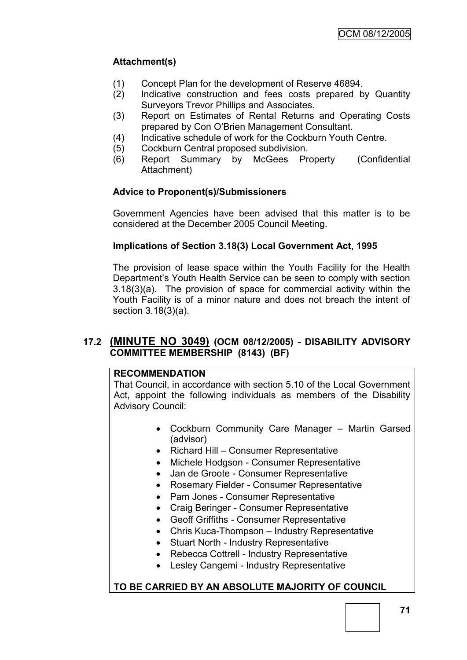# **Attachment(s)**

- (1) Concept Plan for the development of Reserve 46894.
- (2) Indicative construction and fees costs prepared by Quantity Surveyors Trevor Phillips and Associates.
- (3) Report on Estimates of Rental Returns and Operating Costs prepared by Con O'Brien Management Consultant.
- (4) Indicative schedule of work for the Cockburn Youth Centre.
- (5) Cockburn Central proposed subdivision.
- (6) Report Summary by McGees Property (Confidential Attachment)

# **Advice to Proponent(s)/Submissioners**

Government Agencies have been advised that this matter is to be considered at the December 2005 Council Meeting.

# **Implications of Section 3.18(3) Local Government Act, 1995**

The provision of lease space within the Youth Facility for the Health Department's Youth Health Service can be seen to comply with section 3.18(3)(a). The provision of space for commercial activity within the Youth Facility is of a minor nature and does not breach the intent of section 3.18(3)(a).

# **17.2 (MINUTE NO 3049) (OCM 08/12/2005) - DISABILITY ADVISORY COMMITTEE MEMBERSHIP (8143) (BF)**

### **RECOMMENDATION**

That Council, in accordance with section 5.10 of the Local Government Act, appoint the following individuals as members of the Disability Advisory Council:

- Cockburn Community Care Manager Martin Garsed (advisor)
- Richard Hill Consumer Representative
- Michele Hodgson Consumer Representative
- Jan de Groote Consumer Representative
- Rosemary Fielder Consumer Representative
- Pam Jones Consumer Representative
- Craig Beringer Consumer Representative
- Geoff Griffiths Consumer Representative
- Chris Kuca-Thompson Industry Representative
- Stuart North Industry Representative
- Rebecca Cottrell Industry Representative
- Lesley Cangemi Industry Representative

# **TO BE CARRIED BY AN ABSOLUTE MAJORITY OF COUNCIL**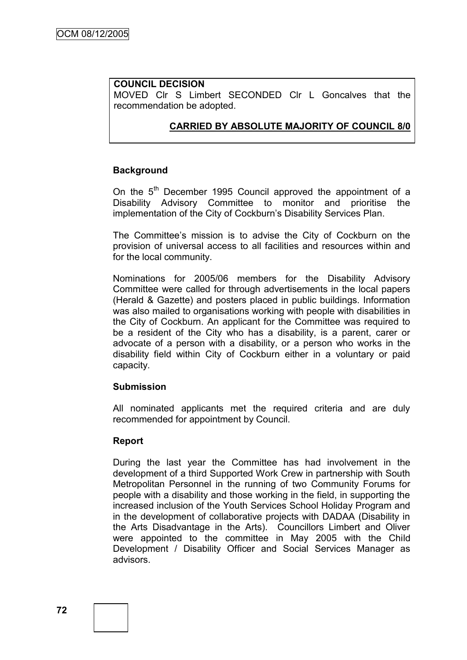### **COUNCIL DECISION**

MOVED Clr S Limbert SECONDED Clr L Goncalves that the recommendation be adopted.

# **CARRIED BY ABSOLUTE MAJORITY OF COUNCIL 8/0**

### **Background**

On the 5<sup>th</sup> December 1995 Council approved the appointment of a Disability Advisory Committee to monitor and prioritise the implementation of the City of Cockburn's Disability Services Plan.

The Committee's mission is to advise the City of Cockburn on the provision of universal access to all facilities and resources within and for the local community.

Nominations for 2005/06 members for the Disability Advisory Committee were called for through advertisements in the local papers (Herald & Gazette) and posters placed in public buildings. Information was also mailed to organisations working with people with disabilities in the City of Cockburn. An applicant for the Committee was required to be a resident of the City who has a disability, is a parent, carer or advocate of a person with a disability, or a person who works in the disability field within City of Cockburn either in a voluntary or paid capacity.

### **Submission**

All nominated applicants met the required criteria and are duly recommended for appointment by Council.

### **Report**

During the last year the Committee has had involvement in the development of a third Supported Work Crew in partnership with South Metropolitan Personnel in the running of two Community Forums for people with a disability and those working in the field, in supporting the increased inclusion of the Youth Services School Holiday Program and in the development of collaborative projects with DADAA (Disability in the Arts Disadvantage in the Arts). Councillors Limbert and Oliver were appointed to the committee in May 2005 with the Child Development / Disability Officer and Social Services Manager as advisors.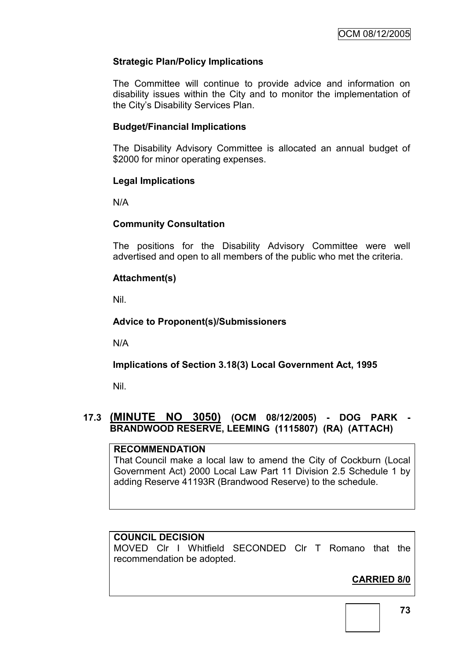# **Strategic Plan/Policy Implications**

The Committee will continue to provide advice and information on disability issues within the City and to monitor the implementation of the City's Disability Services Plan.

### **Budget/Financial Implications**

The Disability Advisory Committee is allocated an annual budget of \$2000 for minor operating expenses.

### **Legal Implications**

N/A

### **Community Consultation**

The positions for the Disability Advisory Committee were well advertised and open to all members of the public who met the criteria.

# **Attachment(s)**

Nil.

### **Advice to Proponent(s)/Submissioners**

N/A

# **Implications of Section 3.18(3) Local Government Act, 1995**

Nil.

# **17.3 (MINUTE NO 3050) (OCM 08/12/2005) - DOG PARK - BRANDWOOD RESERVE, LEEMING (1115807) (RA) (ATTACH)**

### **RECOMMENDATION**

That Council make a local law to amend the City of Cockburn (Local Government Act) 2000 Local Law Part 11 Division 2.5 Schedule 1 by adding Reserve 41193R (Brandwood Reserve) to the schedule.

### **COUNCIL DECISION**

MOVED Clr I Whitfield SECONDED Clr T Romano that the recommendation be adopted.

# **CARRIED 8/0**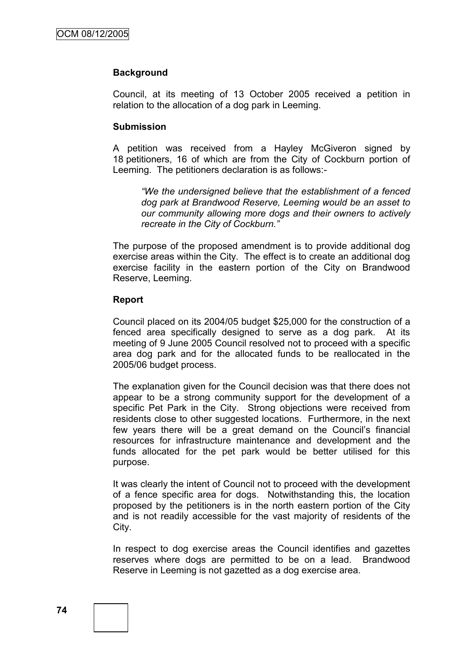#### **Background**

Council, at its meeting of 13 October 2005 received a petition in relation to the allocation of a dog park in Leeming.

#### **Submission**

A petition was received from a Hayley McGiveron signed by 18 petitioners, 16 of which are from the City of Cockburn portion of Leeming. The petitioners declaration is as follows:-

*"We the undersigned believe that the establishment of a fenced dog park at Brandwood Reserve, Leeming would be an asset to our community allowing more dogs and their owners to actively recreate in the City of Cockburn."*

The purpose of the proposed amendment is to provide additional dog exercise areas within the City. The effect is to create an additional dog exercise facility in the eastern portion of the City on Brandwood Reserve, Leeming.

#### **Report**

Council placed on its 2004/05 budget \$25,000 for the construction of a fenced area specifically designed to serve as a dog park. At its meeting of 9 June 2005 Council resolved not to proceed with a specific area dog park and for the allocated funds to be reallocated in the 2005/06 budget process.

The explanation given for the Council decision was that there does not appear to be a strong community support for the development of a specific Pet Park in the City. Strong objections were received from residents close to other suggested locations. Furthermore, in the next few years there will be a great demand on the Council's financial resources for infrastructure maintenance and development and the funds allocated for the pet park would be better utilised for this purpose.

It was clearly the intent of Council not to proceed with the development of a fence specific area for dogs. Notwithstanding this, the location proposed by the petitioners is in the north eastern portion of the City and is not readily accessible for the vast majority of residents of the City.

In respect to dog exercise areas the Council identifies and gazettes reserves where dogs are permitted to be on a lead. Brandwood Reserve in Leeming is not gazetted as a dog exercise area.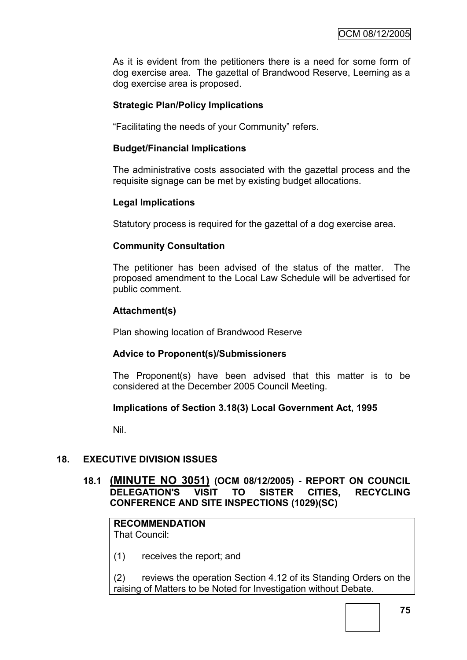As it is evident from the petitioners there is a need for some form of dog exercise area. The gazettal of Brandwood Reserve, Leeming as a dog exercise area is proposed.

### **Strategic Plan/Policy Implications**

"Facilitating the needs of your Community" refers.

#### **Budget/Financial Implications**

The administrative costs associated with the gazettal process and the requisite signage can be met by existing budget allocations.

#### **Legal Implications**

Statutory process is required for the gazettal of a dog exercise area.

#### **Community Consultation**

The petitioner has been advised of the status of the matter. The proposed amendment to the Local Law Schedule will be advertised for public comment.

#### **Attachment(s)**

Plan showing location of Brandwood Reserve

#### **Advice to Proponent(s)/Submissioners**

The Proponent(s) have been advised that this matter is to be considered at the December 2005 Council Meeting.

### **Implications of Section 3.18(3) Local Government Act, 1995**

Nil.

### **18. EXECUTIVE DIVISION ISSUES**

### **18.1 (MINUTE NO 3051) (OCM 08/12/2005) - REPORT ON COUNCIL DELEGATION'S VISIT TO SISTER CITIES, RECYCLING CONFERENCE AND SITE INSPECTIONS (1029)(SC)**

**RECOMMENDATION** That Council:

(1) receives the report; and

(2) reviews the operation Section 4.12 of its Standing Orders on the raising of Matters to be Noted for Investigation without Debate.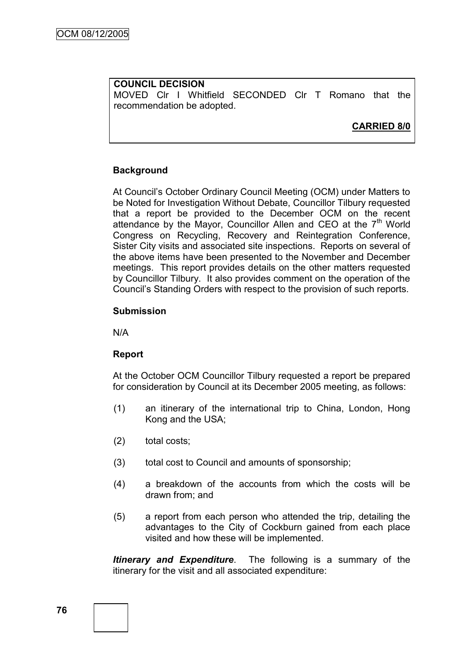**COUNCIL DECISION** MOVED Clr I Whitfield SECONDED Clr T Romano that the recommendation be adopted.

# **CARRIED 8/0**

### **Background**

At Council's October Ordinary Council Meeting (OCM) under Matters to be Noted for Investigation Without Debate, Councillor Tilbury requested that a report be provided to the December OCM on the recent attendance by the Mayor, Councillor Allen and CEO at the  $7<sup>th</sup>$  World Congress on Recycling, Recovery and Reintegration Conference, Sister City visits and associated site inspections. Reports on several of the above items have been presented to the November and December meetings. This report provides details on the other matters requested by Councillor Tilbury. It also provides comment on the operation of the Council's Standing Orders with respect to the provision of such reports.

### **Submission**

N/A

# **Report**

At the October OCM Councillor Tilbury requested a report be prepared for consideration by Council at its December 2005 meeting, as follows:

- (1) an itinerary of the international trip to China, London, Hong Kong and the USA;
- (2) total costs;
- (3) total cost to Council and amounts of sponsorship;
- (4) a breakdown of the accounts from which the costs will be drawn from; and
- (5) a report from each person who attended the trip, detailing the advantages to the City of Cockburn gained from each place visited and how these will be implemented.

*Itinerary and Expenditure*. The following is a summary of the itinerary for the visit and all associated expenditure: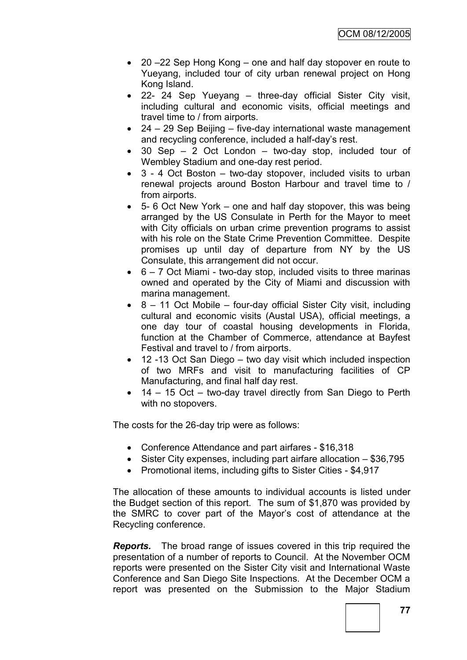- 20 –22 Sep Hong Kong one and half day stopover en route to Yueyang, included tour of city urban renewal project on Hong Kong Island.
- 22- 24 Sep Yueyang three-day official Sister City visit, including cultural and economic visits, official meetings and travel time to / from airports.
- 24 29 Sep Beijing five-day international waste management and recycling conference, included a half-day's rest.
- 30 Sep 2 Oct London two-day stop, included tour of Wembley Stadium and one-day rest period.
- 3 4 Oct Boston two-day stopover, included visits to urban renewal projects around Boston Harbour and travel time to / from airports.
- $\bullet$  5- 6 Oct New York one and half day stopover, this was being arranged by the US Consulate in Perth for the Mayor to meet with City officials on urban crime prevention programs to assist with his role on the State Crime Prevention Committee. Despite promises up until day of departure from NY by the US Consulate, this arrangement did not occur.
- $6 7$  Oct Miami two-day stop, included visits to three marinas owned and operated by the City of Miami and discussion with marina management.
- $\bullet$  8 11 Oct Mobile four-day official Sister City visit, including cultural and economic visits (Austal USA), official meetings, a one day tour of coastal housing developments in Florida, function at the Chamber of Commerce, attendance at Bayfest Festival and travel to / from airports.
- 12 -13 Oct San Diego two day visit which included inspection of two MRFs and visit to manufacturing facilities of CP Manufacturing, and final half day rest.
- 14 15 Oct two-day travel directly from San Diego to Perth with no stopovers.

The costs for the 26-day trip were as follows:

- Conference Attendance and part airfares \$16,318
- Sister City expenses, including part airfare allocation  $-$  \$36,795
- Promotional items, including gifts to Sister Cities \$4,917

The allocation of these amounts to individual accounts is listed under the Budget section of this report. The sum of \$1,870 was provided by the SMRC to cover part of the Mayor's cost of attendance at the Recycling conference.

*Reports.* The broad range of issues covered in this trip required the presentation of a number of reports to Council. At the November OCM reports were presented on the Sister City visit and International Waste Conference and San Diego Site Inspections. At the December OCM a report was presented on the Submission to the Major Stadium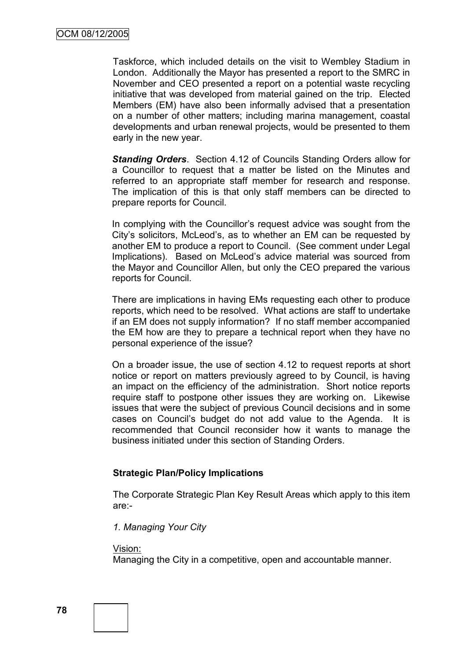Taskforce, which included details on the visit to Wembley Stadium in London. Additionally the Mayor has presented a report to the SMRC in November and CEO presented a report on a potential waste recycling initiative that was developed from material gained on the trip. Elected Members (EM) have also been informally advised that a presentation on a number of other matters; including marina management, coastal developments and urban renewal projects, would be presented to them early in the new year.

*Standing Orders*. Section 4.12 of Councils Standing Orders allow for a Councillor to request that a matter be listed on the Minutes and referred to an appropriate staff member for research and response. The implication of this is that only staff members can be directed to prepare reports for Council.

In complying with the Councillor's request advice was sought from the City's solicitors, McLeod's, as to whether an EM can be requested by another EM to produce a report to Council. (See comment under Legal Implications). Based on McLeod's advice material was sourced from the Mayor and Councillor Allen, but only the CEO prepared the various reports for Council.

There are implications in having EMs requesting each other to produce reports, which need to be resolved. What actions are staff to undertake if an EM does not supply information? If no staff member accompanied the EM how are they to prepare a technical report when they have no personal experience of the issue?

On a broader issue, the use of section 4.12 to request reports at short notice or report on matters previously agreed to by Council, is having an impact on the efficiency of the administration. Short notice reports require staff to postpone other issues they are working on. Likewise issues that were the subject of previous Council decisions and in some cases on Council's budget do not add value to the Agenda. It is recommended that Council reconsider how it wants to manage the business initiated under this section of Standing Orders.

### **Strategic Plan/Policy Implications**

The Corporate Strategic Plan Key Result Areas which apply to this item are:-

*1. Managing Your City*

Vision:

Managing the City in a competitive, open and accountable manner.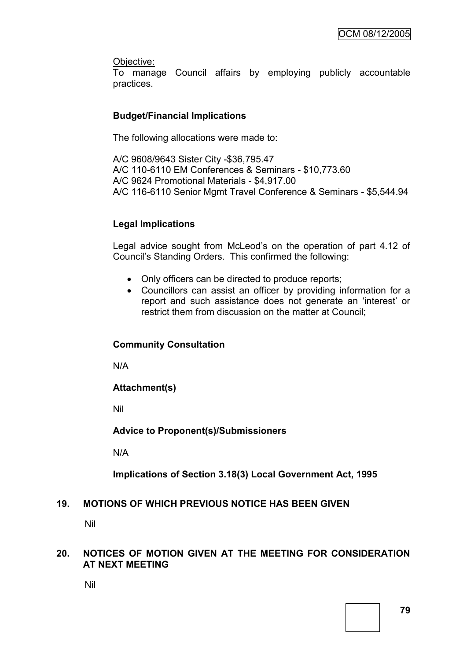Objective:

To manage Council affairs by employing publicly accountable practices.

### **Budget/Financial Implications**

The following allocations were made to:

A/C 9608/9643 Sister City -\$36,795.47 A/C 110-6110 EM Conferences & Seminars - \$10,773.60 A/C 9624 Promotional Materials - \$4,917.00 A/C 116-6110 Senior Mgmt Travel Conference & Seminars - \$5,544.94

### **Legal Implications**

Legal advice sought from McLeod's on the operation of part 4.12 of Council's Standing Orders. This confirmed the following:

- Only officers can be directed to produce reports;
- Councillors can assist an officer by providing information for a report and such assistance does not generate an 'interest' or restrict them from discussion on the matter at Council;

### **Community Consultation**

N/A

**Attachment(s)**

Nil

**Advice to Proponent(s)/Submissioners**

N/A

**Implications of Section 3.18(3) Local Government Act, 1995**

### **19. MOTIONS OF WHICH PREVIOUS NOTICE HAS BEEN GIVEN**

Nil

### **20. NOTICES OF MOTION GIVEN AT THE MEETING FOR CONSIDERATION AT NEXT MEETING**

Nil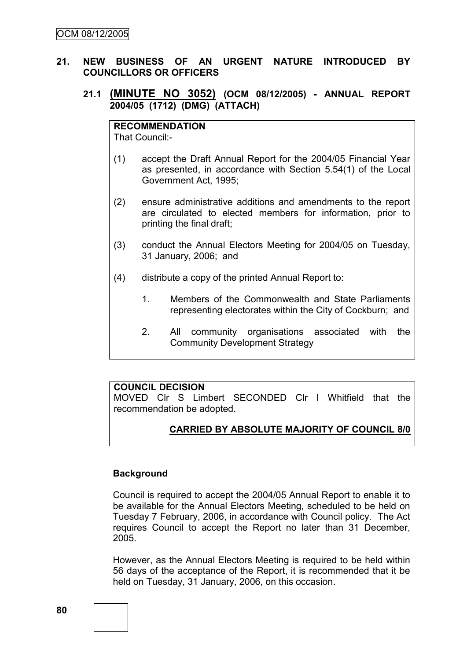### **21. NEW BUSINESS OF AN URGENT NATURE INTRODUCED BY COUNCILLORS OR OFFICERS**

### **21.1 (MINUTE NO 3052) (OCM 08/12/2005) - ANNUAL REPORT 2004/05 (1712) (DMG) (ATTACH)**

**RECOMMENDATION** That Council:-

- (1) accept the Draft Annual Report for the 2004/05 Financial Year as presented, in accordance with Section 5.54(1) of the Local Government Act, 1995;
- (2) ensure administrative additions and amendments to the report are circulated to elected members for information, prior to printing the final draft;
- (3) conduct the Annual Electors Meeting for 2004/05 on Tuesday, 31 January, 2006; and
- (4) distribute a copy of the printed Annual Report to:
	- 1. Members of the Commonwealth and State Parliaments representing electorates within the City of Cockburn; and
	- 2. All community organisations associated with the Community Development Strategy

### **COUNCIL DECISION**

MOVED Clr S Limbert SECONDED Clr I Whitfield that the recommendation be adopted.

# **CARRIED BY ABSOLUTE MAJORITY OF COUNCIL 8/0**

#### **Background**

Council is required to accept the 2004/05 Annual Report to enable it to be available for the Annual Electors Meeting, scheduled to be held on Tuesday 7 February, 2006, in accordance with Council policy. The Act requires Council to accept the Report no later than 31 December, 2005.

However, as the Annual Electors Meeting is required to be held within 56 days of the acceptance of the Report, it is recommended that it be held on Tuesday, 31 January, 2006, on this occasion.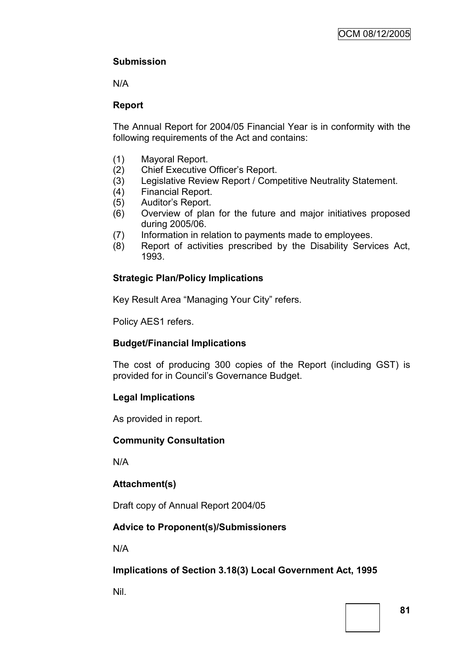# **Submission**

N/A

# **Report**

The Annual Report for 2004/05 Financial Year is in conformity with the following requirements of the Act and contains:

- (1) Mayoral Report.
- (2) Chief Executive Officer's Report.
- (3) Legislative Review Report / Competitive Neutrality Statement.
- (4) Financial Report.
- (5) Auditor's Report.
- (6) Overview of plan for the future and major initiatives proposed during 2005/06.
- (7) Information in relation to payments made to employees.
- (8) Report of activities prescribed by the Disability Services Act, 1993.

# **Strategic Plan/Policy Implications**

Key Result Area "Managing Your City" refers.

Policy AES1 refers.

# **Budget/Financial Implications**

The cost of producing 300 copies of the Report (including GST) is provided for in Council's Governance Budget.

# **Legal Implications**

As provided in report.

### **Community Consultation**

N/A

# **Attachment(s)**

Draft copy of Annual Report 2004/05

# **Advice to Proponent(s)/Submissioners**

N/A

**Implications of Section 3.18(3) Local Government Act, 1995**

Nil.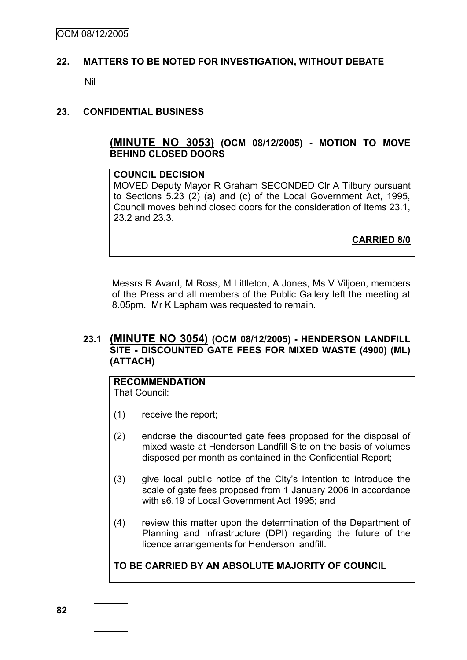#### **22. MATTERS TO BE NOTED FOR INVESTIGATION, WITHOUT DEBATE**

Nil

#### **23. CONFIDENTIAL BUSINESS**

#### **(MINUTE NO 3053) (OCM 08/12/2005) - MOTION TO MOVE BEHIND CLOSED DOORS**

#### **COUNCIL DECISION**

MOVED Deputy Mayor R Graham SECONDED Clr A Tilbury pursuant to Sections 5.23 (2) (a) and (c) of the Local Government Act, 1995, Council moves behind closed doors for the consideration of Items 23.1, 23.2 and 23.3.

**CARRIED 8/0**

Messrs R Avard, M Ross, M Littleton, A Jones, Ms V Viljoen, members of the Press and all members of the Public Gallery left the meeting at 8.05pm. Mr K Lapham was requested to remain.

### **23.1 (MINUTE NO 3054) (OCM 08/12/2005) - HENDERSON LANDFILL SITE - DISCOUNTED GATE FEES FOR MIXED WASTE (4900) (ML) (ATTACH)**

# **RECOMMENDATION**

That Council:

- (1) receive the report;
- (2) endorse the discounted gate fees proposed for the disposal of mixed waste at Henderson Landfill Site on the basis of volumes disposed per month as contained in the Confidential Report;
- (3) give local public notice of the City's intention to introduce the scale of gate fees proposed from 1 January 2006 in accordance with s6.19 of Local Government Act 1995; and
- (4) review this matter upon the determination of the Department of Planning and Infrastructure (DPI) regarding the future of the licence arrangements for Henderson landfill.

**TO BE CARRIED BY AN ABSOLUTE MAJORITY OF COUNCIL**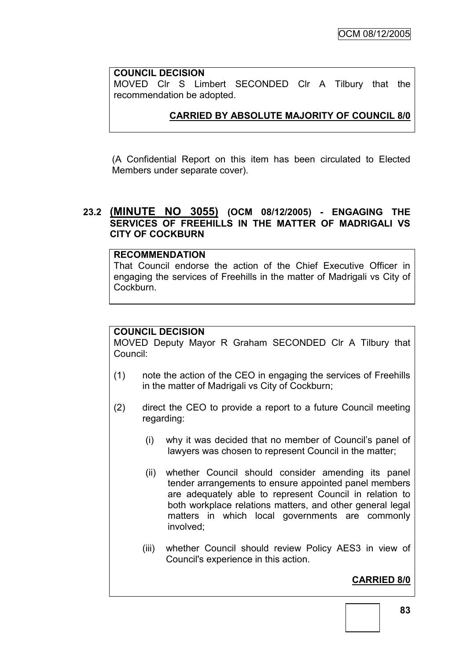### **COUNCIL DECISION**

MOVED Clr S Limbert SECONDED Clr A Tilbury that the recommendation be adopted.

# **CARRIED BY ABSOLUTE MAJORITY OF COUNCIL 8/0**

(A Confidential Report on this item has been circulated to Elected Members under separate cover).

### **23.2 (MINUTE NO 3055) (OCM 08/12/2005) - ENGAGING THE SERVICES OF FREEHILLS IN THE MATTER OF MADRIGALI VS CITY OF COCKBURN**

# **RECOMMENDATION**

That Council endorse the action of the Chief Executive Officer in engaging the services of Freehills in the matter of Madrigali vs City of Cockburn.

### **COUNCIL DECISION**

MOVED Deputy Mayor R Graham SECONDED Clr A Tilbury that Council:

- (1) note the action of the CEO in engaging the services of Freehills in the matter of Madrigali vs City of Cockburn;
- (2) direct the CEO to provide a report to a future Council meeting regarding:
	- (i) why it was decided that no member of Council's panel of lawyers was chosen to represent Council in the matter;
	- (ii) whether Council should consider amending its panel tender arrangements to ensure appointed panel members are adequately able to represent Council in relation to both workplace relations matters, and other general legal matters in which local governments are commonly involved;
	- (iii) whether Council should review Policy AES3 in view of Council's experience in this action.

# **CARRIED 8/0**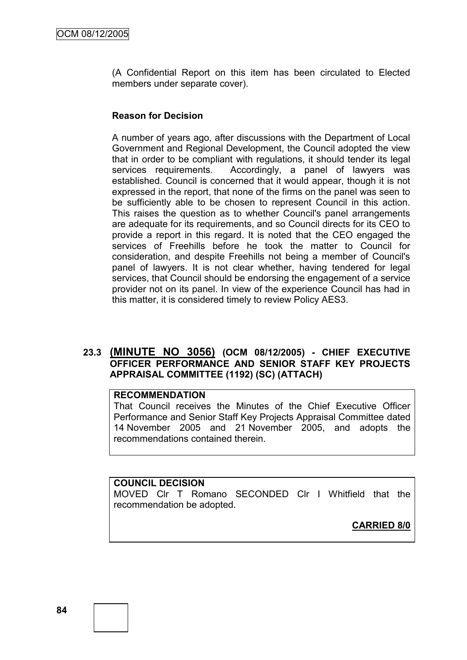(A Confidential Report on this item has been circulated to Elected members under separate cover).

### **Reason for Decision**

A number of years ago, after discussions with the Department of Local Government and Regional Development, the Council adopted the view that in order to be compliant with regulations, it should tender its legal services requirements. Accordingly, a panel of lawyers was established. Council is concerned that it would appear, though it is not expressed in the report, that none of the firms on the panel was seen to be sufficiently able to be chosen to represent Council in this action. This raises the question as to whether Council's panel arrangements are adequate for its requirements, and so Council directs for its CEO to provide a report in this regard. It is noted that the CEO engaged the services of Freehills before he took the matter to Council for consideration, and despite Freehills not being a member of Council's panel of lawyers. It is not clear whether, having tendered for legal services, that Council should be endorsing the engagement of a service provider not on its panel. In view of the experience Council has had in this matter, it is considered timely to review Policy AES3.

### **23.3 (MINUTE NO 3056) (OCM 08/12/2005) - CHIEF EXECUTIVE OFFICER PERFORMANCE AND SENIOR STAFF KEY PROJECTS APPRAISAL COMMITTEE (1192) (SC) (ATTACH)**

### **RECOMMENDATION**

That Council receives the Minutes of the Chief Executive Officer Performance and Senior Staff Key Projects Appraisal Committee dated 14 November 2005 and 21 November 2005, and adopts the recommendations contained therein.

#### **COUNCIL DECISION**

MOVED Clr T Romano SECONDED Clr I Whitfield that the recommendation be adopted.

**CARRIED 8/0**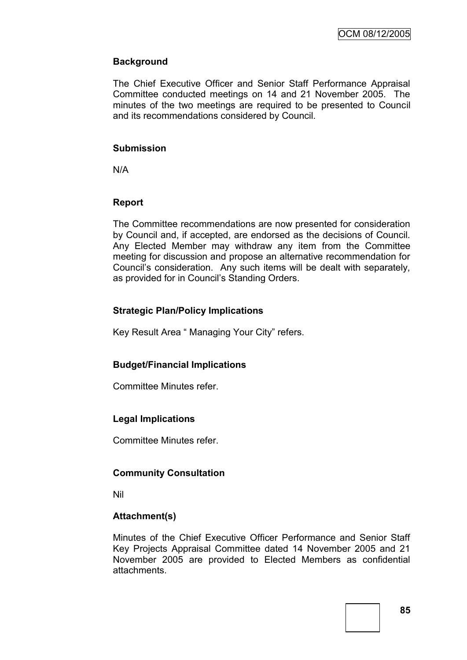### **Background**

The Chief Executive Officer and Senior Staff Performance Appraisal Committee conducted meetings on 14 and 21 November 2005. The minutes of the two meetings are required to be presented to Council and its recommendations considered by Council.

#### **Submission**

N/A

### **Report**

The Committee recommendations are now presented for consideration by Council and, if accepted, are endorsed as the decisions of Council. Any Elected Member may withdraw any item from the Committee meeting for discussion and propose an alternative recommendation for Council's consideration. Any such items will be dealt with separately, as provided for in Council's Standing Orders.

### **Strategic Plan/Policy Implications**

Key Result Area " Managing Your City" refers.

### **Budget/Financial Implications**

Committee Minutes refer.

### **Legal Implications**

Committee Minutes refer.

### **Community Consultation**

Nil

### **Attachment(s)**

Minutes of the Chief Executive Officer Performance and Senior Staff Key Projects Appraisal Committee dated 14 November 2005 and 21 November 2005 are provided to Elected Members as confidential attachments.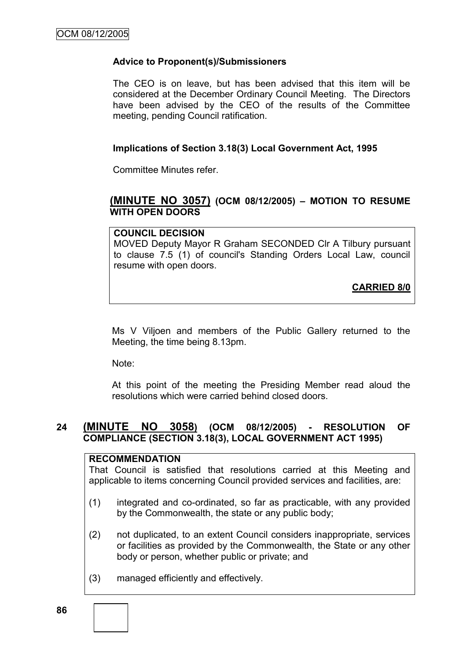### **Advice to Proponent(s)/Submissioners**

The CEO is on leave, but has been advised that this item will be considered at the December Ordinary Council Meeting. The Directors have been advised by the CEO of the results of the Committee meeting, pending Council ratification.

### **Implications of Section 3.18(3) Local Government Act, 1995**

Committee Minutes refer.

# **(MINUTE NO 3057) (OCM 08/12/2005) – MOTION TO RESUME WITH OPEN DOORS**

### **COUNCIL DECISION**

MOVED Deputy Mayor R Graham SECONDED Clr A Tilbury pursuant to clause 7.5 (1) of council's Standing Orders Local Law, council resume with open doors.

**CARRIED 8/0**

Ms V Viljoen and members of the Public Gallery returned to the Meeting, the time being 8.13pm.

Note:

At this point of the meeting the Presiding Member read aloud the resolutions which were carried behind closed doors.

### **24 (MINUTE NO 3058) (OCM 08/12/2005) - RESOLUTION OF COMPLIANCE (SECTION 3.18(3), LOCAL GOVERNMENT ACT 1995)**

### **RECOMMENDATION**

That Council is satisfied that resolutions carried at this Meeting and applicable to items concerning Council provided services and facilities, are:

- (1) integrated and co-ordinated, so far as practicable, with any provided by the Commonwealth, the state or any public body;
- (2) not duplicated, to an extent Council considers inappropriate, services or facilities as provided by the Commonwealth, the State or any other body or person, whether public or private; and
- (3) managed efficiently and effectively.